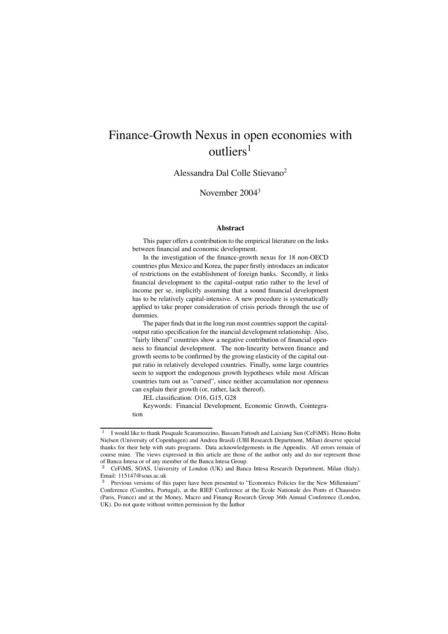# Finance-Growth Nexus in open economies with outliers<sup>1</sup>

Alessandra Dal Colle Stievano2

November 20043

### **Abstract**

This paper offers a contribution to the empirical literature on the links between financial and economic development.

In the investigation of the finance-growth nexus for 18 non-OECD countries plus Mexico and Korea, the paper firstly introduces an indicator of restrictions on the establishment of foreign banks. Secondly, it links financial development to the capital–output ratio rather to the level of income per se, implicitly assuming that a sound financial development has to be relatively capital-intensive. A new procedure is systematically applied to take proper consideration of crisis periods through the use of dummies.

The paper finds that in the long run most countries support the capitaloutput ratio specification for the inancial development relationship. Also, "fairly liberal" countries show a negative contribution of financial openness to financial development. The non-linearity between finance and growth seems to be confirmed by the growing elasticity of the capital output ratio in relatively developed countries. Finally, some large countries seem to support the endogenous growth hypotheses while most African countries turn out as "cursed", since neither accumulation nor openness can explain their growth (or, rather, lack thereof).

JEL classification: O16, G15, G28

Keywords: Financial Development, Economic Growth, Cointegration

<sup>&</sup>lt;sup>1</sup> I would like to thank Pasquale Scaramozzino, Bassam Fattouh and Laixiang Sun (CeFiMS). Heino Bohn Nielsen (University of Copenhagen) and Andrea Brasili (UBI Research Department, Milan) deserve special thanks for their help with stats programs. Data acknowledgements in the Appendix. All errors remain of course mine. The views expressed in this article are those of the author only and do nor represent those of Banca Intesa or of any member of the Banca Intesa Group.

<sup>2</sup> CeFiMS, SOAS, University of London (UK) and Banca Intesa Research Department, Milan (Italy). Email: 115147@soas.ac.uk

<sup>&</sup>lt;sup>3</sup> Previous versions of this paper have been presented to "Economics Policies for the New Millennium" Conference (Coimbra, Portugal), at the RIEF Conference at the Ecole Nationale des Ponts et Chaussées (Paris, France) and at the Money, Macro and Finance Research Group 36th Annual Conference (London, UK). Do not quote without written permission by the  $\frac{1}{4}$ uthor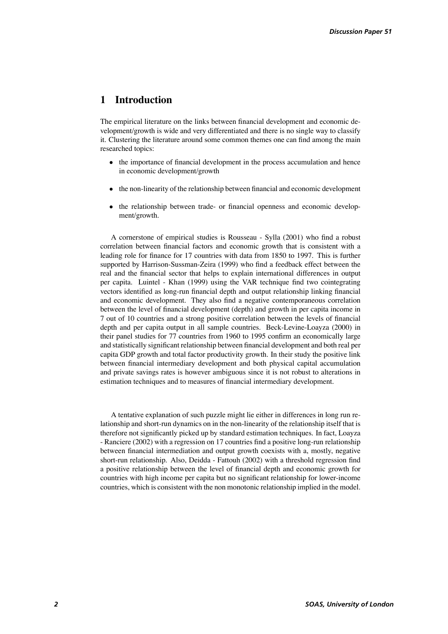# **1 Introduction**

The empirical literature on the links between financial development and economic development/growth is wide and very differentiated and there is no single way to classify it. Clustering the literature around some common themes one can find among the main researched topics:

- the importance of financial development in the process accumulation and hence in economic development/growth
- the non-linearity of the relationship between financial and economic development
- the relationship between trade- or financial openness and economic development/growth.

A cornerstone of empirical studies is Rousseau - Sylla (2001) who find a robust correlation between financial factors and economic growth that is consistent with a leading role for finance for 17 countries with data from 1850 to 1997. This is further supported by Harrison-Sussman-Zeira (1999) who find a feedback effect between the real and the financial sector that helps to explain international differences in output per capita. Luintel - Khan (1999) using the VAR technique find two cointegrating vectors identified as long-run financial depth and output relationship linking financial and economic development. They also find a negative contemporaneous correlation between the level of financial development (depth) and growth in per capita income in 7 out of 10 countries and a strong positive correlation between the levels of financial depth and per capita output in all sample countries. Beck-Levine-Loayza (2000) in their panel studies for 77 countries from 1960 to 1995 confirm an economically large and statistically significant relationship between financial development and both real per capita GDP growth and total factor productivity growth. In their study the positive link between financial intermediary development and both physical capital accumulation and private savings rates is however ambiguous since it is not robust to alterations in estimation techniques and to measures of financial intermediary development.

A tentative explanation of such puzzle might lie either in differences in long run relationship and short-run dynamics on in the non-linearity of the relationship itself that is therefore not significantly picked up by standard estimation techniques. In fact, Loayza - Ranciere (2002) with a regression on 17 countries find a positive long-run relationship between financial intermediation and output growth coexists with a, mostly, negative short-run relationship. Also, Deidda - Fattouh (2002) with a threshold regression find a positive relationship between the level of financial depth and economic growth for countries with high income per capita but no significant relationship for lower-income countries, which is consistent with the non monotonic relationship implied in the model.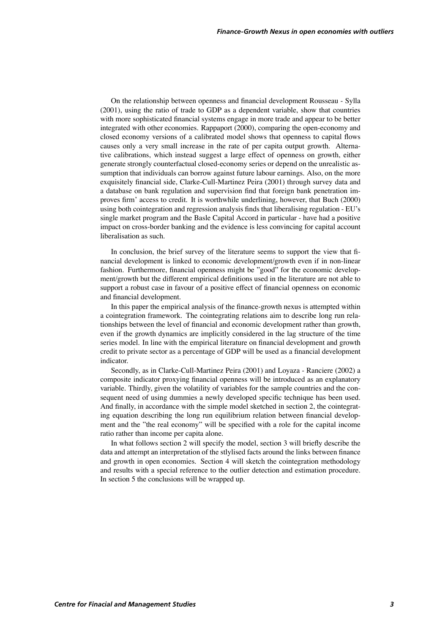On the relationship between openness and financial development Rousseau - Sylla (2001), using the ratio of trade to GDP as a dependent variable, show that countries with more sophisticated financial systems engage in more trade and appear to be better integrated with other economies. Rappaport (2000), comparing the open-economy and closed economy versions of a calibrated model shows that openness to capital flows causes only a very small increase in the rate of per capita output growth. Alternative calibrations, which instead suggest a large effect of openness on growth, either generate strongly counterfactual closed-economy series or depend on the unrealistic assumption that individuals can borrow against future labour earnings. Also, on the more exquisitely financial side, Clarke-Cull-Martinez Peira (2001) through survey data and a database on bank regulation and supervision find that foreign bank penetration improves firm' access to credit. It is worthwhile underlining, however, that Buch (2000) using both cointegration and regression analysis finds that liberalising regulation - EU's single market program and the Basle Capital Accord in particular - have had a positive impact on cross-border banking and the evidence is less convincing for capital account liberalisation as such.

In conclusion, the brief survey of the literature seems to support the view that financial development is linked to economic development/growth even if in non-linear fashion. Furthermore, financial openness might be "good" for the economic development/growth but the different empirical definitions used in the literature are not able to support a robust case in favour of a positive effect of financial openness on economic and financial development.

In this paper the empirical analysis of the finance-growth nexus is attempted within a cointegration framework. The cointegrating relations aim to describe long run relationships between the level of financial and economic development rather than growth, even if the growth dynamics are implicitly considered in the lag structure of the time series model. In line with the empirical literature on financial development and growth credit to private sector as a percentage of GDP will be used as a financial development indicator.

Secondly, as in Clarke-Cull-Martinez Peira (2001) and Loyaza - Ranciere (2002) a composite indicator proxying financial openness will be introduced as an explanatory variable. Thirdly, given the volatility of variables for the sample countries and the consequent need of using dummies a newly developed specific technique has been used. And finally, in accordance with the simple model sketched in section 2, the cointegrating equation describing the long run equilibrium relation between financial development and the "the real economy" will be specified with a role for the capital income ratio rather than income per capita alone.

In what follows section 2 will specify the model, section 3 will briefly describe the data and attempt an interpretation of the stlylised facts around the links between finance and growth in open economies. Section 4 will sketch the cointegration methodology and results with a special reference to the outlier detection and estimation procedure. In section 5 the conclusions will be wrapped up.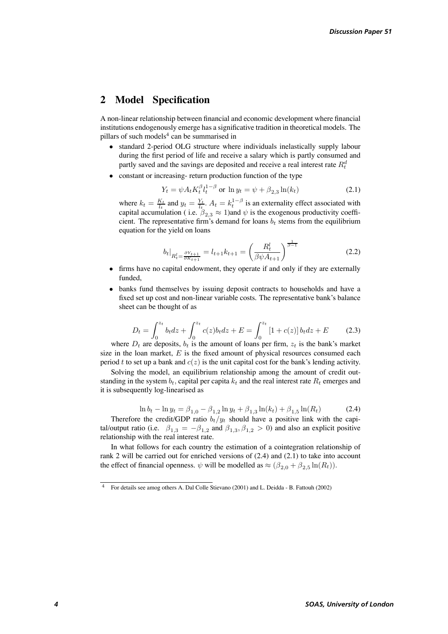# **2 Model Specification**

A non-linear relationship between financial and economic development where financial institutions endogenously emerge has a significative tradition in theoretical models. The pillars of such models<sup>4</sup> can be summarised in

- standard 2-period OLG structure where individuals inelastically supply labour during the first period of life and receive a salary which is partly consumed and partly saved and the savings are deposited and receive a real interest rate  $R_t^d$
- constant or increasing-return production function of the type

$$
Y_t = \psi A_t K_t^{\beta} l_t^{1-\beta} \text{ or } \ln y_t = \psi + \beta_{2,3} \ln(k_t)
$$
 (2.1)

where  $k_t = \frac{K_t}{l_t}$  and  $y_t = \frac{Y_t}{l_t}$ .  $A_t = k_t^{1-\beta}$  is an externality effect associated with capital accumulation (i.e.  $\beta \approx 1$ ) and  $\psi$  is the exogenous productivity coefficapital accumulation ( i.e.  $\beta_{2,3} \approx 1$ )and  $\psi$  is the exogenous productivity coeffi-<br>cient. The representative firm's demand for loans h, stems from the equilibrium cient. The representative firm's demand for loans  $b_t$  stems from the equilibrium equation for the yield on loans

$$
b_t|_{R_t^l = \frac{\partial Y_{t+1}}{\partial K_{t+1}}} = l_{t+1}k_{t+1} = \left(\frac{R_t^l}{\beta \psi A_{t+1}}\right)^{\frac{1}{\beta - 1}}
$$
(2.2)

- firms have no capital endowment, they operate if and only if they are externally funded,
- banks fund themselves by issuing deposit contracts to households and have a fixed set up cost and non-linear variable costs. The representative bank's balance sheet can be thought of as

$$
D_t = \int_0^{z_t} b_t dz + \int_0^{z_t} c(z) b_t dz + E = \int_0^{z_t} [1 + c(z)] b_t dz + E \qquad (2.3)
$$

where  $D_t$  are deposits,  $b_t$  is the amount of loans per firm,  $z_t$  is the bank's market size in the loan market,  $E$  is the fixed amount of physical resources consumed each period t to set up a bank and  $c(z)$  is the unit capital cost for the bank's lending activity.

Solving the model, an equilibrium relationship among the amount of credit outstanding in the system  $b_t$ , capital per capita  $k_t$  and the real interest rate  $R_t$  emerges and it is subsequently log-linearised as

$$
\ln b_t - \ln y_t = \beta_{1,0} - \beta_{1,2} \ln y_t + \beta_{1,3} \ln(k_t) + \beta_{1,5} \ln(R_t)
$$
 (2.4)

ln  $b_t - \ln y_t = \beta_{1,0} - \beta_{1,2} \ln y_t + \beta_{1,3} \ln(k_t) + \beta_{1,5} \ln(R_t)$  (2.4)<br>Therefore the credit/GDP ratio  $b_t/y_t$  should have a positive link with the capital/output ratio (i.e.  $\beta_{1,3} = -\beta_{1,2}$  and  $\beta_{1,3}, \beta_{1,2} > 0$ ) and also an explicit positive relationship with the real interest rate.

In what follows for each country the estimation of a cointegration relationship of rank 2 will be carried out for enriched versions of (2.4) and (2.1) to take into account the effect of financial openness.  $\psi$  will be modelled as  $\approx (\beta_{2,0} + \beta_{2,5} \ln(R_t)).$ 

<sup>4</sup> For details see amog others A. Dal Colle Stievano (2001) and L. Deidda - B. Fattouh (2002)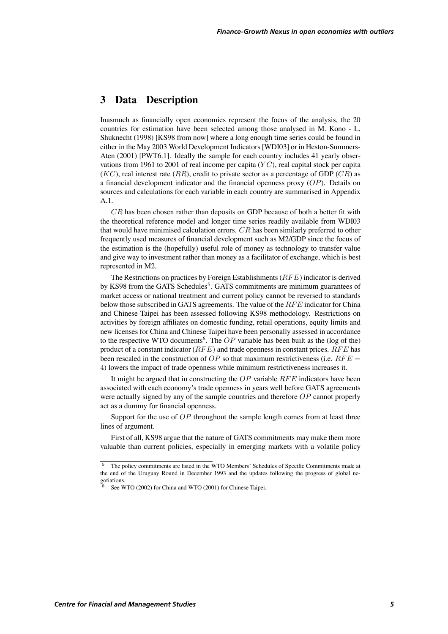# **3 Data Description**

Inasmuch as financially open economies represent the focus of the analysis, the 20 countries for estimation have been selected among those analysed in M. Kono - L. Shuknecht (1998) [KS98 from now] where a long enough time series could be found in either in the May 2003 World Development Indicators [WDI03] or in Heston-Summers-Aten (2001) [PWT6.1]. Ideally the sample for each country includes 41 yearly observations from 1961 to 2001 of real income per capita ( $\overline{Y}C$ ), real capital stock per capita  $(KC)$ , real interest rate  $(RR)$ , credit to private sector as a percentage of GDP  $(CR)$  as a financial development indicator and the financial openness proxy  $(OP)$ . Details on sources and calculations for each variable in each country are summarised in Appendix A.1.

 $CR$  has been chosen rather than deposits on GDP because of both a better fit with the theoretical reference model and longer time series readily available from WDI03 that would have minimised calculation errors.  $CR$  has been similarly preferred to other frequently used measures of financial development such as M2/GDP since the focus of the estimation is the (hopefully) useful role of money as technology to transfer value and give way to investment rather than money as a facilitator of exchange, which is best represented in M2.

The Restrictions on practices by Foreign Establishments  $(RFE)$  indicator is derived by KS98 from the GATS Schedules<sup>5</sup>. GATS commitments are minimum guarantees of market access or national treatment and current policy cannot be reversed to standards below those subscribed in GATS agreements. The value of the  $RFE$  indicator for China and Chinese Taipei has been assessed following KS98 methodology. Restrictions on activities by foreign affiliates on domestic funding, retail operations, equity limits and new licenses for China and Chinese Taipei have been personally assessed in accordance to the respective WTO documents<sup>6</sup>. The  $OP$  variable has been built as the (log of the) product of a constant indicator ( $RFE$ ) and trade openness in constant prices.  $RFE$  has been rescaled in the construction of OP so that maximum restrictiveness (i.e.  $RFE =$ 4) lowers the impact of trade openness while minimum restrictiveness increases it.

It might be argued that in constructing the  $OP$  variable  $RFE$  indicators have been associated with each economy's trade openness in years well before GATS agreements were actually signed by any of the sample countries and therefore  $OP$  cannot properly act as a dummy for financial openness.

Support for the use of  $OP$  throughout the sample length comes from at least three lines of argument.

First of all, KS98 argue that the nature of GATS commitments may make them more valuable than current policies, especially in emerging markets with a volatile policy

<sup>5</sup> The policy commitments are listed in the WTO Members' Schedules of Specific Commitments made at the end of the Uruguay Round in December 1993 and the updates following the progress of global negotiations.

See WTO (2002) for China and WTO (2001) for Chinese Taipei.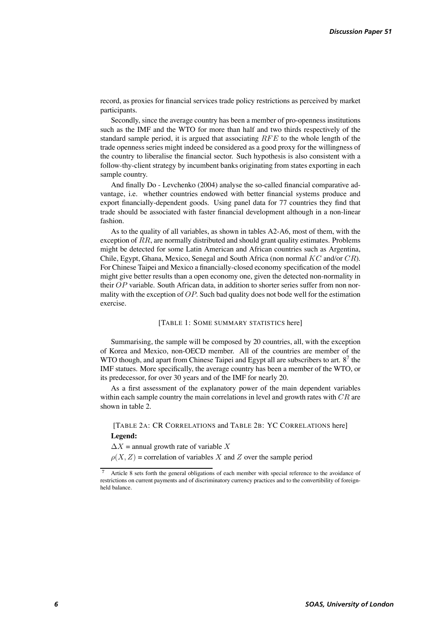record, as proxies for financial services trade policy restrictions as perceived by market participants.

Secondly, since the average country has been a member of pro-openness institutions such as the IMF and the WTO for more than half and two thirds respectively of the standard sample period, it is argued that associating  $RFE$  to the whole length of the trade openness series might indeed be considered as a good proxy for the willingness of the country to liberalise the financial sector. Such hypothesis is also consistent with a follow-thy-client strategy by incumbent banks originating from states exporting in each sample country.

And finally Do - Levchenko (2004) analyse the so-called financial comparative advantage, i.e. whether countries endowed with better financial systems produce and export financially-dependent goods. Using panel data for 77 countries they find that trade should be associated with faster financial development although in a non-linear fashion.

As to the quality of all variables, as shown in tables A2-A6, most of them, with the exception of  $RR$ , are normally distributed and should grant quality estimates. Problems might be detected for some Latin American and African countries such as Argentina, Chile, Egypt, Ghana, Mexico, Senegal and South Africa (non normal  $KC$  and/or  $CR$ ). For Chinese Taipei and Mexico a financially-closed economy specification of the model might give better results than a open economy one, given the detected non-normality in their  $OP$  variable. South African data, in addition to shorter series suffer from non normality with the exception of  $OP$ . Such bad quality does not bode well for the estimation exercise.

### [TABLE 1: SOME SUMMARY STATISTICS here]

Summarising, the sample will be composed by 20 countries, all, with the exception of Korea and Mexico, non-OECD member. All of the countries are member of the WTO though, and apart from Chinese Taipei and Egypt all are subscribers to art.  $8<sup>7</sup>$  the IMF statues. More specifically, the average country has been a member of the WTO, or its predecessor, for over 30 years and of the IMF for nearly 20.

As a first assessment of the explanatory power of the main dependent variables within each sample country the main correlations in level and growth rates with  $CR$  are shown in table 2.

[TABLE 2A: CR CORRELATIONS and TABLE 2B: YC CORRELATIONS here] **Legend:**

 $\Delta X$  = annual growth rate of variable X

 $\rho(X, Z)$  = correlation of variables X and Z over the sample period

Article 8 sets forth the general obligations of each member with special reference to the avoidance of restrictions on current payments and of discriminatory currency practices and to the convertibility of foreignheld balance.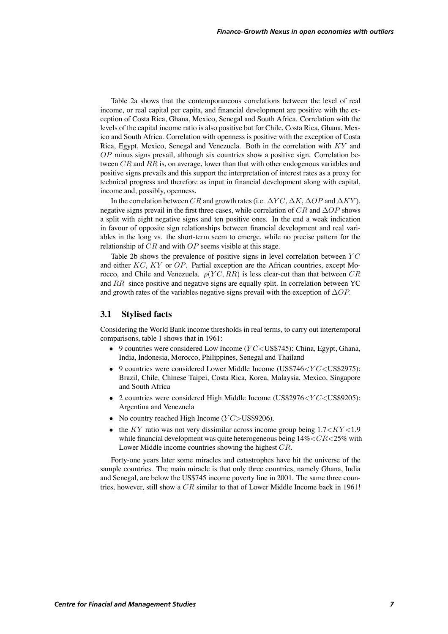Table 2a shows that the contemporaneous correlations between the level of real income, or real capital per capita, and financial development are positive with the exception of Costa Rica, Ghana, Mexico, Senegal and South Africa. Correlation with the levels of the capital income ratio is also positive but for Chile, Costa Rica, Ghana, Mexico and South Africa. Correlation with openness is positive with the exception of Costa Rica, Egypt, Mexico, Senegal and Venezuela. Both in the correlation with  $KY$  and  $OP$  minus signs prevail, although six countries show a positive sign. Correlation between  $CR$  and  $RR$  is, on average, lower than that with other endogenous variables and positive signs prevails and this support the interpretation of interest rates as a proxy for technical progress and therefore as input in financial development along with capital, income and, possibly, openness.

In the correlation between CR and growth rates (i.e.  $\Delta YC$ ,  $\Delta K$ ,  $\Delta OP$  and  $\Delta XY$ ), negative signs prevail in the first three cases, while correlation of  $CR$  and  $\Delta OP$  shows a split with eight negative signs and ten positive ones. In the end a weak indication in favour of opposite sign relationships between financial development and real variables in the long vs. the short-term seem to emerge, while no precise pattern for the relationship of  $CR$  and with  $OP$  seems visible at this stage.

Table 2b shows the prevalence of positive signs in level correlation between  $\overline{Y}C$ and either  $KC$ ,  $KY$  or  $OP$ . Partial exception are the African countries, except Morocco, and Chile and Venezuela.  $\rho(YC, RR)$  is less clear-cut than that between  $CR$ and  $RR$  since positive and negative signs are equally split. In correlation between YC and growth rates of the variables negative signs prevail with the exception of  $\Delta OP$ .

### **3.1 Stylised facts**

Considering the World Bank income thresholds in real terms, to carry out intertemporal comparisons, table 1 shows that in 1961:

- 9 countries were considered Low Income  $(YC \leq US\$  745): China, Egypt, Ghana, India, Indonesia, Morocco, Philippines, Senegal and Thailand
- 9 countries were considered Lower Middle Income (US\$746 $\lt YC$  $lt$ US\$2975): Brazil, Chile, Chinese Taipei, Costa Rica, Korea, Malaysia, Mexico, Singapore and South Africa
- 2 countries were considered High Middle Income (US\$2976 $\lt YC$  $lt$ US\$9205): Argentina and Venezuela
- No country reached High Income  $(YC > US$9206)$ .
- the KY ratio was not very dissimilar across income group being  $1.7\leq KY\leq1.9$ while financial development was quite heterogeneous being  $14\% < CR < 25\%$  with Lower Middle income countries showing the highest  $CR$ .

Forty-one years later some miracles and catastrophes have hit the universe of the sample countries. The main miracle is that only three countries, namely Ghana, India and Senegal, are below the US\$745 income poverty line in 2001. The same three countries, however, still show a  $CR$  similar to that of Lower Middle Income back in 1961!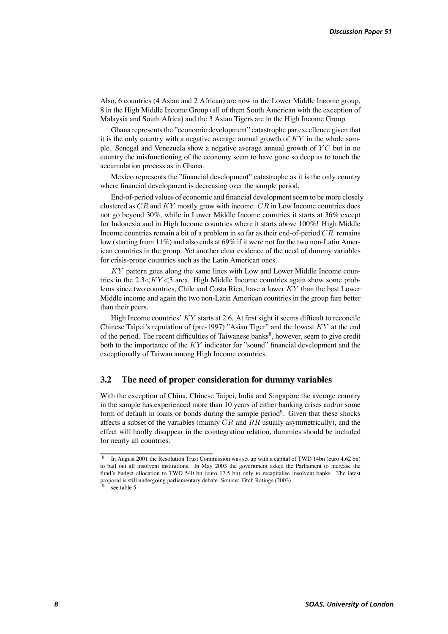Also, 6 countries (4 Asian and 2 African) are now in the Lower Middle Income group, 8 in the High Middle Income Group (all of them South American with the exception of Malaysia and South Africa) and the 3 Asian Tigers are in the High Income Group.

Ghana represents the "economic development" catastrophe par excellence given that it is the only country with a negative average annual growth of  $KY$  in the whole sample. Senegal and Venezuela show a negative average annual growth of  $\overline{Y}C$  but in no country the misfunctioning of the economy seem to have gone so deep as to touch the accumulation process as in Ghana.

Mexico represents the "financial development" catastrophe as it is the only country where financial development is decreasing over the sample period.

End-of-period values of economic and financial development seem to be more closely clustered as  $CR$  and  $KY$  mostly grow with income.  $CR$  in Low Income countries does not go beyond 30%, while in Lower Middle Income countries it starts at 36% except for Indonesia and in High Income countries where it starts above 100%! High Middle Income countries remain a bit of a problem in so far as their end-of-period  $CR$  remains low (starting from 11%) and also ends at 69% if it were not for the two non-Latin American countries in the group. Yet another clear evidence of the need of dummy variables for crisis-prone countries such as the Latin American ones.

 $KY$  pattern goes along the same lines with Low and Lower Middle Income countries in the  $2.3\leq KY\leq 3$  area. High Middle Income countries again show some problems since two countries, Chile and Costa Rica, have a lower  $KY$  than the best Lower Middle income and again the two non-Latin American countries in the group fare better than their peers.

High Income countries'  $KY$  starts at 2.6. At first sight it seems difficult to reconcile Chinese Taipei's reputation of (pre-1997) "Asian Tiger" and the lowest  $KY$  at the end of the period. The recent difficulties of Taiwanese banks $\delta$ , however, seem to give credit both to the importance of the  $KY$  indicator for "sound" financial development and the exceptionally of Taiwan among High Income countries.

### **3.2 The need of proper consideration for dummy variables**

With the exception of China, Chinese Taipei, India and Singapore the average country in the sample has experienced more than 10 years of either banking crises and/or some form of default in loans or bonds during the sample period<sup>9</sup>. Given that these shocks affects a subset of the variables (mainly  $CR$  and  $RR$  usually asymmetrically), and the effect will hardly disappear in the cointegration relation, dummies should be included for nearly all countries.

<sup>8</sup> In August 2001 the Resolution Trust Commission was set up with a capital of TWD 14bn (euro 4.62 bn) to bail out all insolvent institutions. In May 2003 the government asked the Parliament to increase the fund's budget allocation to TWD 540 bn (euro 17.5 bn) only to recapitalise insolvent banks. The latest proposal is still undergoing parliamentary debate. Source: Fitch Ratings (2003)

see table 5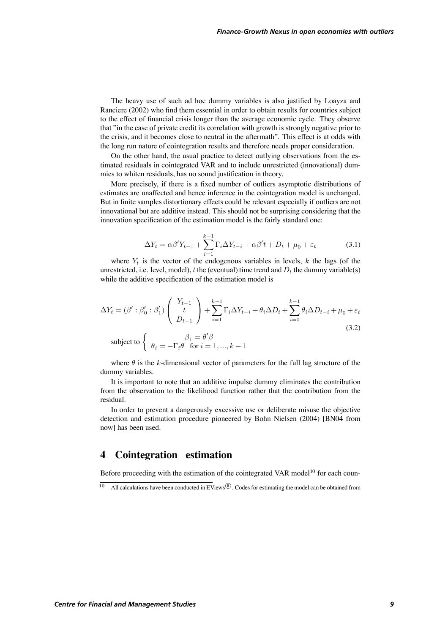The heavy use of such ad hoc dummy variables is also justified by Loayza and Ranciere (2002) who find them essential in order to obtain results for countries subject to the effect of financial crisis longer than the average economic cycle. They observe that "in the case of private credit its correlation with growth is strongly negative prior to the crisis, and it becomes close to neutral in the aftermath". This effect is at odds with the long run nature of cointegration results and therefore needs proper consideration.

On the other hand, the usual practice to detect outlying observations from the estimated residuals in cointegrated VAR and to include unrestricted (innovational) dummies to whiten residuals, has no sound justification in theory.

More precisely, if there is a fixed number of outliers asymptotic distributions of estimates are unaffected and hence inference in the cointegration model is unchanged. But in finite samples distortionary effects could be relevant especially if outliers are not innovational but are additive instead. This should not be surprising considering that the innovation specification of the estimation model is the fairly standard one:

$$
\Delta Y_t = \alpha \beta' Y_{t-1} + \sum_{i=1}^{k-1} \Gamma_i \Delta Y_{t-i} + \alpha \beta' t + D_t + \mu_0 + \varepsilon_t \tag{3.1}
$$

where  $Y_t$  is the vector of the endogenous variables in levels, k the lags (of the unrestricted, i.e. level, model), t the (eventual) time trend and  $D_t$  the dummy variable(s) while the additive specification of the estimation model is

$$
\Delta Y_t = (\beta' : \beta'_0 : \beta'_1) \begin{pmatrix} Y_{t-1} \\ t \\ D_{t-1} \end{pmatrix} + \sum_{i=1}^{k-1} \Gamma_i \Delta Y_{t-i} + \theta_i \Delta D_t + \sum_{i=0}^{k-1} \theta_i \Delta D_{t-i} + \mu_0 + \varepsilon_t
$$
  
\nsubject to 
$$
\begin{cases} \beta_1 = \theta' \beta \\ \theta_i = -\Gamma_i \theta \quad \text{for } i = 1, ..., k-1 \end{cases}
$$
\n(3.2)

where  $\theta$  is the k-dimensional vector of parameters for the full lag structure of the dummy variables.

It is important to note that an additive impulse dummy eliminates the contribution from the observation to the likelihood function rather that the contribution from the residual.

In order to prevent a dangerously excessive use or deliberate misuse the objective detection and estimation procedure pioneered by Bohn Nielsen (2004) [BN04 from now] has been used.

# **4 Cointegration estimation**

Before proceeding with the estimation of the cointegrated VAR model<sup>10</sup> for each coun-

All calculations have been conducted in  $\overline{EV}$ iews<sup> $\circledR$ </sup>. Codes for estimating the model can be obtained from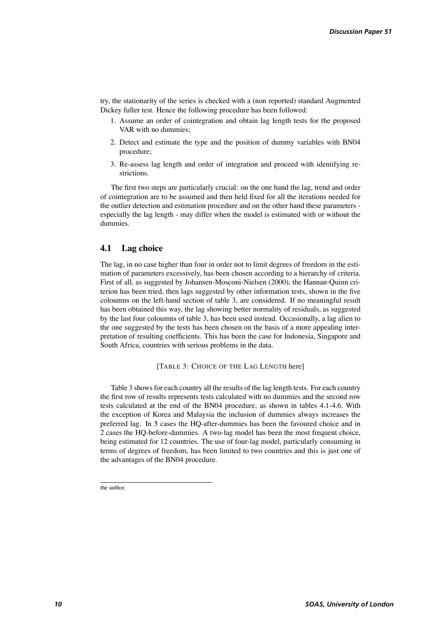try, the stationarity of the series is checked with a (non reported) standard Augmented Dickey fuller test. Hence the following procedure has been followed:

- 1. Assume an order of cointegration and obtain lag length tests for the proposed VAR with no dummies;
- 2. Detect and estimate the type and the position of dummy variables with BN04 procedure;
- 3. Re-assess lag length and order of integration and proceed with identifying restrictions.

The first two steps are particularly crucial: on the one hand the lag, trend and order of cointegration are to be assumed and then held fixed for all the iterations needed for the outlier detection and estimation procedure and on the other hand these parameters especially the lag length - may differ when the model is estimated with or without the dummies.

### **4.1 Lag choice**

The lag, in no case higher than four in order not to limit degrees of freedom in the estimation of parameters excessively, has been chosen according to a hierarchy of criteria. First of all, as suggested by Johansen-Mosconi-Nielsen (2000), the Hannan-Quinn criterion has been tried, then lags suggested by other information tests, shown in the five coloumns on the left-hand section of table 3, are considered. If no meaningful result has been obtained this way, the lag showing better normality of residuals, as suggested by the last four coloumns of table 3, has been used instead. Occasionally, a lag alien to the one suggested by the tests has been chosen on the basis of a more appealing interpretation of resulting coefficients. This has been the case for Indonesia, Singapore and South Africa, countries with serious problems in the data.

### [TABLE 3: CHOICE OF THE LAG LENGTH here]

Table 3 shows for each country all the results of the lag length tests. For each country the first row of results represents tests calculated with no dummies and the second row tests calculated at the end of the BN04 procedure, as shown in tables 4.1-4.6. With the exception of Korea and Malaysia the inclusion of dummies always increases the preferred lag. In 5 cases the HQ-after-dummies has been the favoured choice and in 2 cases the HQ-before-dummies. A two-lag model has been the most frequent choice, being estimated for 12 countries. The use of four-lag model, particularly consuming in terms of degrees of freedom, has been limited to two countries and this is just one of the advantages of the BN04 procedure.

the author.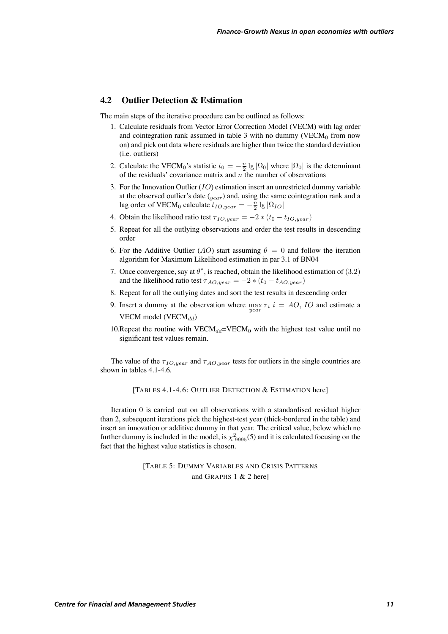### **4.2 Outlier Detection & Estimation**

The main steps of the iterative procedure can be outlined as follows:

- 1. Calculate residuals from Vector Error Correction Model (VECM) with lag order and cointegration rank assumed in table 3 with no dummy (VECM $<sub>0</sub>$  from now</sub> on) and pick out data where residuals are higher than twice the standard deviation (i.e. outliers)
- 2. Calculate the VECM<sub>0</sub>'s statistic  $t_0 = -\frac{n}{2} \lg |\Omega_0|$  where  $|\Omega_0|$  is the determinant of the residuals' covariance matrix and *n* the number of observations of the residuals' covariance matrix and  $n$  the number of observations
- 3. For the Innovation Outlier  $(IO)$  estimation insert an unrestricted dummy variable at the observed outlier's date  $\left(\frac{1}{\text{year}}\right)$  and, using the same cointegration rank and a lag order of VECM<sub>0</sub> calculate  $t_{IO, year} = -\frac{\bar{n}}{2} \lg |\Omega_{IO}|$
- 4. Obtain the likelihood ratio test  $\tau_{IO, year} = -2 * (t_0 t_{IO, year})$
- 5. Repeat for all the outlying observations and order the test results in descending order
- 6. For the Additive Outlier (AO) start assuming  $\theta = 0$  and follow the iteration algorithm for Maximum Likelihood estimation in par 3.1 of BN04
- 7. Once convergence, say at  $\theta^*$ , is reached, obtain the likelihood estimation of (3.2) and the likelihood ratio test  $\tau_{AO, year} = -2 * (t_0 - t_{AO, year})$
- 8. Repeat for all the outlying dates and sort the test results in descending order
- 9. Insert a dummy at the observation where  $\max_{year} \tau_i$   $i = AO$ , *IO* and estimate a VECM model (VECM $_{dd}$ )
- 10. Repeat the routine with VECM<sub>dd</sub>=VECM<sub>0</sub> with the highest test value until no significant test values remain.

The value of the  $\tau_{IO, year}$  and  $\tau_{AO, year}$  tests for outliers in the single countries are shown in tables 4.1-4.6.

[TABLES 4.1-4.6: OUTLIER DETECTION & ESTIMATION here]

Iteration 0 is carried out on all observations with a standardised residual higher than 2, subsequent iterations pick the highest-test year (thick-bordered in the table) and insert an innovation or additive dummy in that year. The critical value, below which no further dummy is included in the model, is  $\chi^2_{.9995}(5)$  and it is calculated focusing on the fact that the highest value statistics is chosen.

> [TABLE 5: DUMMY VARIABLES AND CRISIS PATTERNS and GRAPHS 1 & 2 here]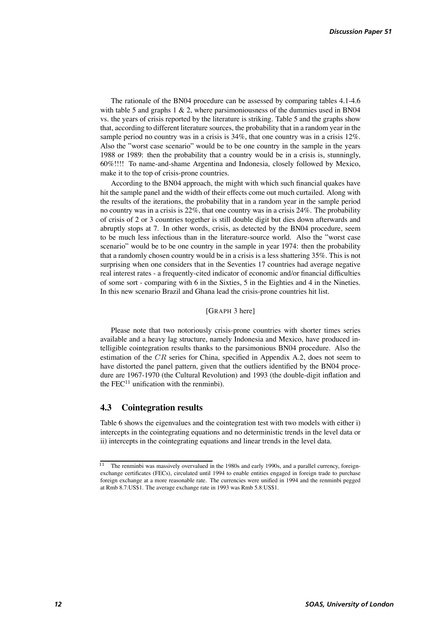The rationale of the BN04 procedure can be assessed by comparing tables 4.1-4.6 with table 5 and graphs  $1 \& 2$ , where parsimoniousness of the dummies used in BN04 vs. the years of crisis reported by the literature is striking. Table 5 and the graphs show that, according to different literature sources, the probability that in a random year in the sample period no country was in a crisis is 34%, that one country was in a crisis 12%. Also the "worst case scenario" would be to be one country in the sample in the years 1988 or 1989: then the probability that a country would be in a crisis is, stunningly, 60%!!!! To name-and-shame Argentina and Indonesia, closely followed by Mexico, make it to the top of crisis-prone countries.

According to the BN04 approach, the might with which such financial quakes have hit the sample panel and the width of their effects come out much curtailed. Along with the results of the iterations, the probability that in a random year in the sample period no country was in a crisis is 22%, that one country was in a crisis 24%. The probability of crisis of 2 or 3 countries together is still double digit but dies down afterwards and abruptly stops at 7. In other words, crisis, as detected by the BN04 procedure, seem to be much less infectious than in the literature-source world. Also the "worst case scenario" would be to be one country in the sample in year 1974: then the probability that a randomly chosen country would be in a crisis is a less shattering 35%. This is not surprising when one considers that in the Seventies 17 countries had average negative real interest rates - a frequently-cited indicator of economic and/or financial difficulties of some sort - comparing with 6 in the Sixties, 5 in the Eighties and 4 in the Nineties. In this new scenario Brazil and Ghana lead the crisis-prone countries hit list.

### [GRAPH 3 here]

Please note that two notoriously crisis-prone countries with shorter times series available and a heavy lag structure, namely Indonesia and Mexico, have produced intelligible cointegration results thanks to the parsimonious BN04 procedure. Also the estimation of the  $CR$  series for China, specified in Appendix A.2, does not seem to have distorted the panel pattern, given that the outliers identified by the BN04 procedure are 1967-1970 (the Cultural Revolution) and 1993 (the double-digit inflation and the  $FEC<sup>11</sup>$  unification with the renminbi).

### **4.3 Cointegration results**

Table 6 shows the eigenvalues and the cointegration test with two models with either i) intercepts in the cointegrating equations and no deterministic trends in the level data or ii) intercepts in the cointegrating equations and linear trends in the level data.

<sup>&</sup>lt;sup>11</sup> The renminbi was massively overvalued in the 1980s and early 1990s, and a parallel currency, foreignexchange certificates (FECs), circulated until 1994 to enable entities engaged in foreign trade to purchase foreign exchange at a more reasonable rate. The currencies were unified in 1994 and the renminbi pegged at Rmb 8.7:US\$1. The average exchange rate in 1993 was Rmb 5.8:US\$1.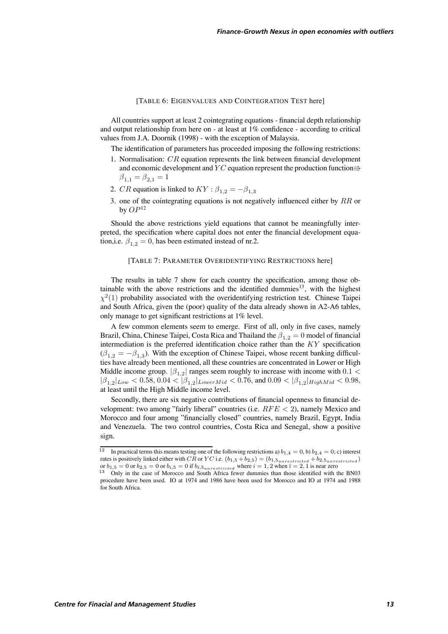### [TABLE 6: EIGENVALUES AND COINTEGRATION TEST here]

All countries support at least 2 cointegrating equations - financial depth relationship and output relationship from here on - at least at 1% confidence - according to critical values from J.A. Doornik (1998) - with the exception of Malaysia.

The identification of parameters has proceeded imposing the following restrictions:

- 1. Normalisation:  $CR$  equation represents the link between financial development and economic development and  $\overline{Y}C$  equation represent the production function $\Rightarrow$  $\beta_{1,1} = \beta_{2,1} = 1$
- 2. CR equation is linked to  $KY : \beta_{1,2} = -\beta_{1,3}$
- 3. one of the cointegrating equations is not negatively influenced either by  $RR$  or by  $OP^{12}$

Should the above restrictions yield equations that cannot be meaningfully interpreted, the specification where capital does not enter the financial development equation,i.e.  $\beta_{1,2} = 0$ , has been estimated instead of nr.2.

### [TABLE 7: PARAMETER OVERIDENTIFYING RESTRICTIONS here]

The results in table 7 show for each country the specification, among those obtainable with the above restrictions and the identified dummies<sup>13</sup>, with the highest  $\chi^2(1)$  probability associated with the overidentifying restriction test. Chinese Taipei and South Africa, given the (poor) quality of the data already shown in A2-A6 tables, only manage to get significant restrictions at 1% level.

A few common elements seem to emerge. First of all, only in five cases, namely Brazil, China, Chinese Taipei, Costa Rica and Thailand the  $\beta_{1,2} = 0$  model of financial intermediation is the preferred identification choice rather than the  $KY$  specification  $(\beta_{1,2} = -\beta_{1,3})$ . With the exception of Chinese Taipei, whose recent banking difficulties have already been mentioned, all these countries are concentrated in Lower or High Middle income group.  $|\beta_{1,2}|$  ranges seem roughly to increase with income with 0.1 <  $|\beta_{1,2}|_{Low} < 0.58, 0.04 < |\beta_{1,2}|_{LowerMid} < 0.76$ , and  $0.09 < |\beta_{1,2}|_{HighMid} < 0.98$ , at least until the High Middle income level.

Secondly, there are six negative contributions of financial openness to financial development: two among "fairly liberal" countries (i.e.  $RFE < 2$ ), namely Mexico and Morocco and four among "financially closed" countries, namely Brazil, Egypt, India and Venezuela. The two control countries, Costa Rica and Senegal, show a positive sign.

<sup>12</sup> In practical terms this means testing one of the following restrictions a)  $b_{1,4} = 0$ , b)  $b_{2,4} = 0$ ; c) interest rates is positively linked either with  $\overline{CR}$  or  $\overline{YC}$  i.e.  $(b_{1,5} + b_{2,5})=(b_{1,5}$ <sub>unrestricted</sub> +  $b_{2,5}$ <sub>unrestricted</sub>) or  $b_{1,5} = 0$  or  $b_{2,5} = 0$  or  $b_{i,5} = 0$  if  $b_{\overline{i},5}$   $\mu_{\overline{n}}$  where  $i = 1, 2$  when  $\overline{i} = 2, 1$  is near zero 13 Only in the case of Morocco and South Africa fewer dummies than those identified with the BN03

procedure have been used. IO at 1974 and 1986 have been used for Morocco and IO at 1974 and 1988 for South Africa.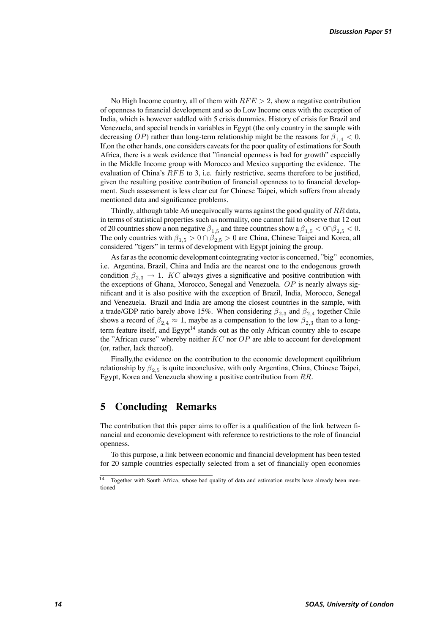No High Income country, all of them with  $RFE > 2$ , show a negative contribution of openness to financial development and so do Low Income ones with the exception of India, which is however saddled with 5 crisis dummies. History of crisis for Brazil and Venezuela, and special trends in variables in Egypt (the only country in the sample with decreasing OP) rather than long-term relationship might be the reasons for  $\beta_{1,4}$  < 0. If,on the other hands, one considers caveats for the poor quality of estimations for South Africa, there is a weak evidence that "financial openness is bad for growth" especially in the Middle Income group with Morocco and Mexico supporting the evidence. The evaluation of China's  $RFE$  to 3, i.e. fairly restrictive, seems therefore to be justified, given the resulting positive contribution of financial openness to to financial development. Such assessment is less clear cut for Chinese Taipei, which suffers from already mentioned data and significance problems.

Thirdly, although table A6 unequivocally warns against the good quality of  $RR$  data, in terms of statistical properties such as normality, one cannot fail to observe that 12 out of 20 countries show a non negative  $\beta_{1,5}$  and three countries show a  $\beta_{1,5} < 0 \cap \beta_{2,5} < 0$ . The only countries with  $\beta_{1,5} > 0 \cap \beta_{2,5} > 0$  are China, Chinese Taipei and Korea, all considered "tigers" in terms of development with Egypt joining the group.

As far as the economic development cointegrating vector is concerned, "big" economies, i.e. Argentina, Brazil, China and India are the nearest one to the endogenous growth condition  $\beta_{2,3} \rightarrow 1$ . KC always gives a significative and positive contribution with the exceptions of Ghana, Morocco, Senegal and Venezuela.  $OP$  is nearly always significant and it is also positive with the exception of Brazil, India, Morocco, Senegal and Venezuela. Brazil and India are among the closest countries in the sample, with a trade/GDP ratio barely above 15%. When considering  $\beta_{2,3}$  and  $\beta_{2,4}$  together Chile shows a record of  $\beta_{2,4} \approx 1$ , maybe as a compensation to the low  $\beta_{2,3}$  than to a longterm feature itself, and Egypt<sup>14</sup> stands out as the only African country able to escape the "African curse" whereby neither  $KC$  nor  $OP$  are able to account for development (or, rather, lack thereof).

Finally,the evidence on the contribution to the economic development equilibrium relationship by  $\beta_{2,5}$  is quite inconclusive, with only Argentina, China, Chinese Taipei, Egypt, Korea and Venezuela showing a positive contribution from  $RR$ .

# **5 Concluding Remarks**

The contribution that this paper aims to offer is a qualification of the link between financial and economic development with reference to restrictions to the role of financial openness.

To this purpose, a link between economic and financial development has been tested for 20 sample countries especially selected from a set of financially open economies

<sup>&</sup>lt;sup>14</sup> Together with South Africa, whose bad quality of data and estimation results have already been mentioned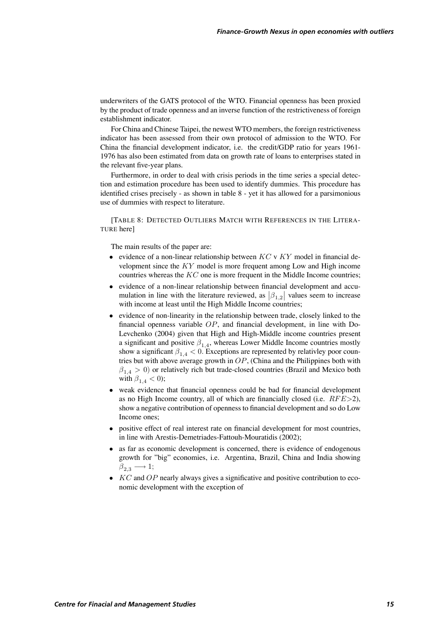underwriters of the GATS protocol of the WTO. Financial openness has been proxied by the product of trade openness and an inverse function of the restrictiveness of foreign establishment indicator.

For China and Chinese Taipei, the newest WTO members, the foreign restrictiveness indicator has been assessed from their own protocol of admission to the WTO. For China the financial development indicator, i.e. the credit/GDP ratio for years 1961- 1976 has also been estimated from data on growth rate of loans to enterprises stated in the relevant five-year plans.

Furthermore, in order to deal with crisis periods in the time series a special detection and estimation procedure has been used to identify dummies. This procedure has identified crises precisely - as shown in table 8 - yet it has allowed for a parsimonious use of dummies with respect to literature.

[TABLE 8: DETECTED OUTLIERS MATCH WITH REFERENCES IN THE LITERA-TURE here]

The main results of the paper are:

- evidence of a non-linear relationship between  $KC \vee KY$  model in financial development since the  $KY$  model is more frequent among Low and High income countries whereas the  $KC$  one is more frequent in the Middle Income countries;
- evidence of a non-linear relationship between financial development and accu-¯ evidence of a non-linear relationship between financial development and accumulation in line with the literature reviewed, as  $|\beta_{1,2}|$  values seem to increase with income at least until the High Middle Income countries;
- evidence of non-linearity in the relationship between trade, closely linked to the financial openness variable  $OP$ , and financial development, in line with Do-Levchenko (2004) given that High and High-Middle income countries present a significant and positive  $\beta_{1,4}$ , whereas Lower Middle Income countries mostly show a significant  $\beta_{1,4} < 0$ . Exceptions are represented by relativley poor countries but with above average growth in  $OP$ , (China and the Philippines both with  $\beta_{1,4} > 0$ ) or relatively rich but trade-closed countries (Brazil and Mexico both with  $\beta_{1,4} < 0$ );
- weak evidence that financial openness could be bad for financial development as no High Income country, all of which are financially closed (i.e.  $RFE > 2$ ), show a negative contribution of openness to financial development and so do Low Income ones;
- positive effect of real interest rate on financial development for most countries, in line with Arestis-Demetriades-Fattouh-Mouratidis (2002);
- as far as economic development is concerned, there is evidence of endogenous growth for "big" economies, i.e. Argentina, Brazil, China and India showing  $\beta_{2,3} \longrightarrow 1;$
- $KC$  and  $OP$  nearly always gives a significative and positive contribution to economic development with the exception of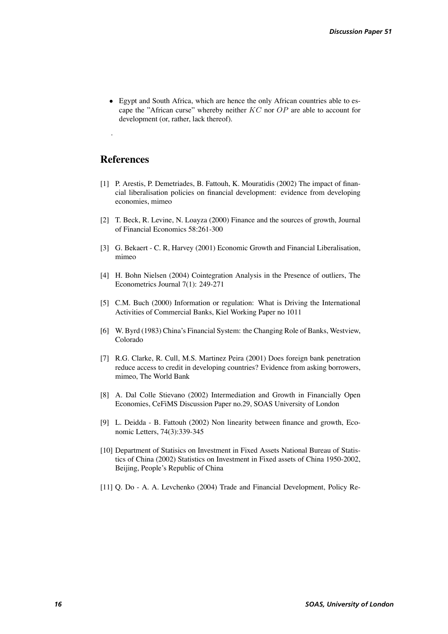• Egypt and South Africa, which are hence the only African countries able to escape the "African curse" whereby neither  $KC$  nor  $OP$  are able to account for development (or, rather, lack thereof).

# **References**

.

- [1] P. Arestis, P. Demetriades, B. Fattouh, K. Mouratidis (2002) The impact of financial liberalisation policies on financial development: evidence from developing economies, mimeo
- [2] T. Beck, R. Levine, N. Loayza (2000) Finance and the sources of growth, Journal of Financial Economics 58:261-300
- [3] G. Bekaert C. R, Harvey (2001) Economic Growth and Financial Liberalisation, mimeo
- [4] H. Bohn Nielsen (2004) Cointegration Analysis in the Presence of outliers, The Econometrics Journal 7(1): 249-271
- [5] C.M. Buch (2000) Information or regulation: What is Driving the International Activities of Commercial Banks, Kiel Working Paper no 1011
- [6] W. Byrd (1983) China's Financial System: the Changing Role of Banks, Westview, Colorado
- [7] R.G. Clarke, R. Cull, M.S. Martinez Peira (2001) Does foreign bank penetration reduce access to credit in developing countries? Evidence from asking borrowers, mimeo, The World Bank
- [8] A. Dal Colle Stievano (2002) Intermediation and Growth in Financially Open Economies, CeFiMS Discussion Paper no.29, SOAS University of London
- [9] L. Deidda B. Fattouh (2002) Non linearity between finance and growth, Economic Letters, 74(3):339-345
- [10] Department of Statisics on Investment in Fixed Assets National Bureau of Statistics of China (2002) Statistics on Investment in Fixed assets of China 1950-2002, Beijing, People's Republic of China
- [11] Q. Do A. A. Levchenko (2004) Trade and Financial Development, Policy Re-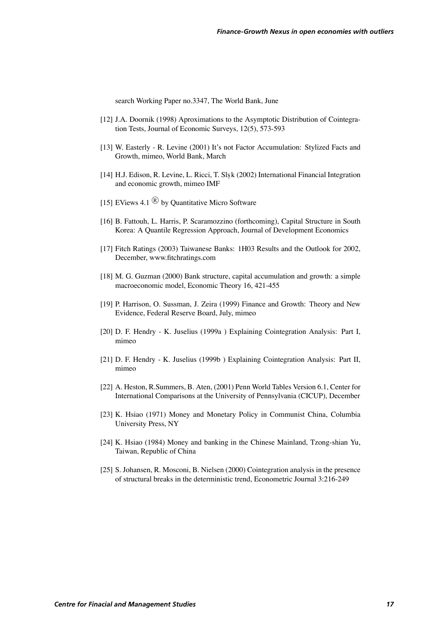search Working Paper no.3347, The World Bank, June

- [12] J.A. Doornik (1998) Aproximations to the Asymptotic Distribution of Cointegration Tests, Journal of Economic Surveys, 12(5), 573-593
- [13] W. Easterly R. Levine (2001) It's not Factor Accumulation: Stylized Facts and Growth, mimeo, World Bank, March
- [14] H.J. Edison, R. Levine, L. Ricci, T. Slø k (2002) International Financial Integration and economic growth, mimeo IMF
- [15] EViews 4.1  $\overline{R}$  by Quantitative Micro Software
- [16] B. Fattouh, L. Harris, P. Scaramozzino (forthcoming), Capital Structure in South Korea: A Quantile Regression Approach, Journal of Development Economics
- [17] Fitch Ratings (2003) Taiwanese Banks: 1H03 Results and the Outlook for 2002, December, www.fitchratings.com
- [18] M. G. Guzman (2000) Bank structure, capital accumulation and growth: a simple macroeconomic model, Economic Theory 16, 421-455
- [19] P. Harrison, O. Sussman, J. Zeira (1999) Finance and Growth: Theory and New Evidence, Federal Reserve Board, July, mimeo
- [20] D. F. Hendry K. Juselius (1999a ) Explaining Cointegration Analysis: Part I, mimeo
- [21] D. F. Hendry K. Juselius (1999b) Explaining Cointegration Analysis: Part II, mimeo
- [22] A. Heston, R.Summers, B. Aten, (2001) Penn World Tables Version 6.1, Center for International Comparisons at the University of Pennsylvania (CICUP), December
- [23] K. Hsiao (1971) Money and Monetary Policy in Communist China, Columbia University Press, NY
- [24] K. Hsiao (1984) Money and banking in the Chinese Mainland, Tzong-shian Yu, Taiwan, Republic of China
- [25] S. Johansen, R. Mosconi, B. Nielsen (2000) Cointegration analysis in the presence of structural breaks in the deterministic trend, Econometric Journal 3:216-249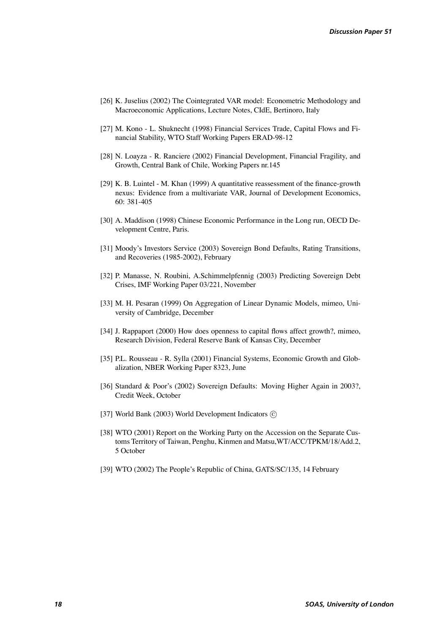- [26] K. Juselius (2002) The Cointegrated VAR model: Econometric Methodology and Macroeconomic Applications, Lecture Notes, CIdE, Bertinoro, Italy
- [27] M. Kono L. Shuknecht (1998) Financial Services Trade, Capital Flows and Financial Stability, WTO Staff Working Papers ERAD-98-12
- [28] N. Loayza R. Ranciere (2002) Financial Development, Financial Fragility, and Growth, Central Bank of Chile, Working Papers nr.145
- [29] K. B. Luintel M. Khan (1999) A quantitative reassessment of the finance-growth nexus: Evidence from a multivariate VAR, Journal of Development Economics, 60: 381-405
- [30] A. Maddison (1998) Chinese Economic Performance in the Long run, OECD Development Centre, Paris.
- [31] Moody's Investors Service (2003) Sovereign Bond Defaults, Rating Transitions, and Recoveries (1985-2002), February
- [32] P. Manasse, N. Roubini, A.Schimmelpfennig (2003) Predicting Sovereign Debt Crises, IMF Working Paper 03/221, November
- [33] M. H. Pesaran (1999) On Aggregation of Linear Dynamic Models, mimeo, University of Cambridge, December
- [34] J. Rappaport (2000) How does openness to capital flows affect growth?, mimeo, Research Division, Federal Reserve Bank of Kansas City, December
- [35] P.L. Rousseau R. Sylla (2001) Financial Systems, Economic Growth and Globalization, NBER Working Paper 8323, June
- [36] Standard & Poor's (2002) Sovereign Defaults: Moving Higher Again in 2003?, Credit Week, October
- [37] World Bank (2003) World Development Indicators  $\odot$
- [38] WTO (2001) Report on the Working Party on the Accession on the Separate Customs Territory of Taiwan, Penghu, Kinmen and Matsu,WT/ACC/TPKM/18/Add.2, 5 October
- [39] WTO (2002) The People's Republic of China, GATS/SC/135, 14 February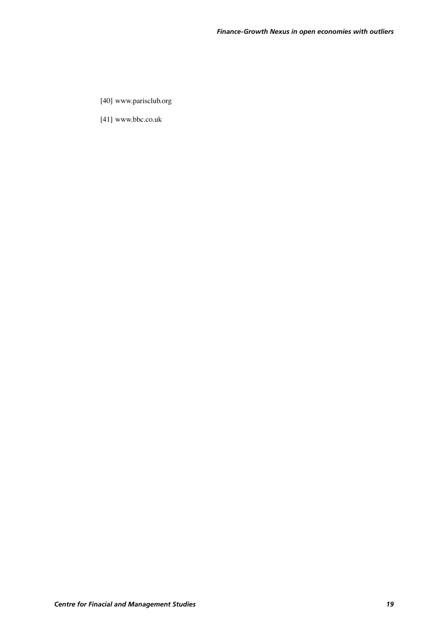- [40] www.parisclub.org
- [41] www.bbc.co.uk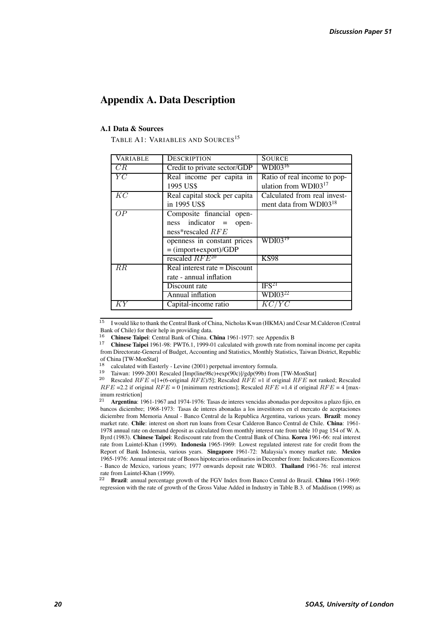# **Appendix A. Data Description**

### **A.1 Data & Sources**

TABLE A1: VARIABLES AND SOURCES<sup>15</sup>

| VARIABLE | <b>DESCRIPTION</b>                                                                | <b>SOURCE</b>                                                      |
|----------|-----------------------------------------------------------------------------------|--------------------------------------------------------------------|
| CR       | Credit to private sector/GDP                                                      | $WDI03^{16}$                                                       |
| YC       | Real income per capita in<br>1995 US\$                                            | Ratio of real income to pop-<br>ulation from $WDI03^{17}$          |
| KC       | Real capital stock per capita<br>in 1995 US\$                                     | Calculated from real invest-<br>ment data from WDI03 <sup>18</sup> |
| OP.      | Composite financial open-<br>$ness$ indicator $=$<br>open-<br>ness*rescaled $RFE$ |                                                                    |
|          | openness in constant prices<br>$=$ (import+export)/GDP                            | $\overline{\text{WD}}$ 103 <sup>19</sup>                           |
|          | rescaled $RFE^{20}$                                                               | <b>KS98</b>                                                        |
| $_{RR}$  | Real interest rate = $Discount$<br>rate - annual inflation                        |                                                                    |
|          | Discount rate                                                                     | IFS <sup>21</sup>                                                  |
|          | Annual inflation                                                                  | $WDI03^{22}$                                                       |
| ΚY       | Capital-income ratio                                                              | KC/YC                                                              |

<sup>15</sup> I would like to thank the Central Bank of China, Nicholas Kwan (HKMA) and Cesar M.Calderon (Central Bank of Chile) for their help in providing data.<br><sup>16</sup> Chinese Taipei: Central Bank of China. China 1961-1977: see Appendix B

<sup>22</sup> **Brazil**: annual percentage growth of the FGV Index from Banco Central do Brazil. **China** 1961-1969: regression with the rate of growth of the Gross Value Added in Industry in Table B.3. of Maddison (1998) as

<sup>&</sup>lt;sup>17</sup> Chinese Taipei 1961-98: PWT6.1, 1999-01 calculated with growth rate from nominal income per capita from Directorate-General of Budget, Accounting and Statistics, Monthly Statistics, Taiwan District, Republic of China [TW-MonStat]<br><sup>18</sup> calculated with Easterly - Levine (2001) perpetual inventory formula.

<sup>&</sup>lt;sup>19</sup> Taiwan: 1999-2001 Rescaled [Imp(line98c)+exp(90c)]/gdp(99b) from [TW-MonStat]<br><sup>20</sup> Rescaled *RFE* = [1+(6-original *RFE*)/5]; Rescaled *RFE* = 1 if original *RFE* not ranked; Rescaled

 $RFE = 2.2$  if original  $RFE = 0$  [minimum restrictions]; Rescaled  $RFE = 1.4$  if original  $RFE = 4$  [maximum restriction]<br> $21$  Argentina: 1

<sup>21</sup> **Argentina**: 1961-1967 and 1974-1976: Tasas de interes vencidas abonadas por depositos a plazo fijio, en bancos diciembre; 1968-1973: Tasas de interes abonadas a los investitores en el mercato de aceptaciones diciembre from Memoria Anual - Banco Central de la Republica Argentina, various years. **Brazil**: money market rate. **Chile**: interest on short run loans from Cesar Calderon Banco Central de Chile. **China**: 1961- 1978 annual rate on demand deposit as calculated from monthly interest rate from table 10 pag 154 of W. A. Byrd (1983). **Chinese Taipei**: Rediscount rate from the Central Bank of China. **Korea** 1961-66: real interest rate from Luintel-Khan (1999). **Indonesia** 1965-1969: Lowest regulated interest rate for credit from the Report of Bank Indonesia, various years. **Singapore** 1961-72: Malaysia's money market rate. **Mexico** 1965-1976: Annual interest rate of Bonos hipotecarios ordinarios in December from: Indicatores Economicos - Banco de Mexico, various years; 1977 onwards deposit rate WDI03. **Thailand** 1961-76: real interest rate from Luintel-Khan (1999).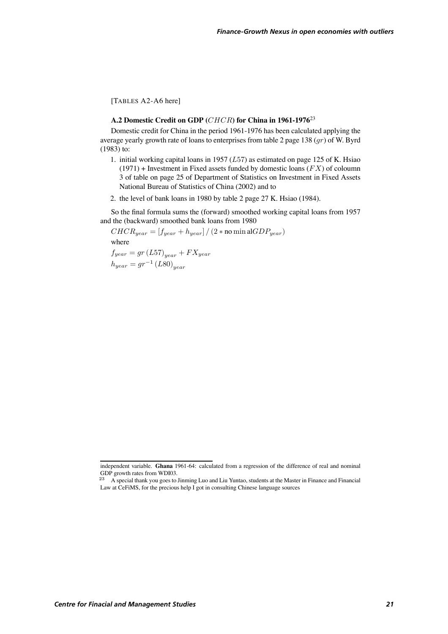[TABLES A2-A6 here]

### A.2 Domestic Credit on GDP (*CHCR*) for China in 1961-1976<sup>23</sup>

Domestic credit for China in the period 1961-1976 has been calculated applying the average yearly growth rate of loans to enterprises from table 2 page 138  $(qr)$  of W. Byrd (1983) to:

- 1. initial working capital loans in 1957 ( $L57$ ) as estimated on page 125 of K. Hsiao  $(1971)$  + Investment in Fixed assets funded by domestic loans  $(FX)$  of coloumn 3 of table on page 25 of Department of Statistics on Investment in Fixed Assets National Bureau of Statistics of China (2002) and to
- 2. the level of bank loans in 1980 by table 2 page 27 K. Hsiao (1984).

So the final formula sums the (forward) smoothed working capital loans from 1957 and the (backward) smoothed bank loans from 1980

 $CHCR_{year} = [f_{year} + h_{year}] / (2 * \text{no min al} GDP_{year})$ where

 $f_{year} = gr(L57)_{year} + FX_{year}$  $h_{year} = gr^{-1} (L80)_{year}$ 

independent variable. **Ghana** 1961-64: calculated from a regression of the difference of real and nominal GDP growth rates from WDI03.

<sup>&</sup>lt;sup>23</sup> A special thank you goes to Jinming Luo and Liu Yuntao, students at the Master in Finance and Financial Law at CeFiMS, for the precious help I got in consulting Chinese language sources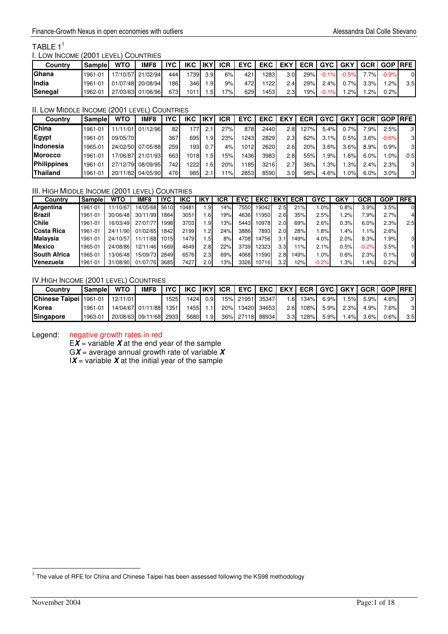# TABLE  $1^1$

### I. LOW INCOME (2001 LEVEL) COUNTRIES

| Countrv       | Sample  | <b>WTO</b> | IMF <sub>8</sub>  | IVC   | IKC. | likyl            | <b>ICR</b> |       | EYC EKC EKY ECR I |      |     | <b>GYC</b> | <b>GKY</b> | <b>GCR</b> | <b>GOP IRFE</b> |     |
|---------------|---------|------------|-------------------|-------|------|------------------|------------|-------|-------------------|------|-----|------------|------------|------------|-----------------|-----|
| <b>IGhana</b> | 1961-01 |            | 17/10/57 21/02/94 | 444 I | 739  | 3.9 <sub>l</sub> | 6%         | 421   | 1283              | 3.01 | 29% | $-0.1%$    | $-0.5%$    | $7\%$      | $-0.9%$         | ΩL  |
| <b>India</b>  | 1961-01 |            | 01/07/48 20/08/94 | 186   | 346l | .91              | 9%         | 472 I | 122               | 2.4I | 29% | 2.4%       | 0.7%l      | 3.3%       | .2%l            | 3.5 |
| Senegal       | 1962-01 |            | 27/03/63 01/06/96 | 673   | 1011 | $.5^{\circ}$     | $'7\%$ l   | 629   | 453               | 2.3I | 9%  | $-0.1%$    | $.2\%$     | .2%        | 0.2%l           |     |

### II. LOW MIDDLE INCOME (2001 LEVEL) COUNTRIES

| Country           | <b>Sample</b> | WTO      | IMF8     | <b>IYC</b> | IKC              | 'IKYı           | ICR  | <b>EYC</b>        | <b>EKC</b> | <b>EKY</b>       | <b>ECR</b> | <b>GYC</b> | <b>GKY</b> | GCR     | <b>GOP</b> | <b>IRFE</b> |
|-------------------|---------------|----------|----------|------------|------------------|-----------------|------|-------------------|------------|------------------|------------|------------|------------|---------|------------|-------------|
| <b>China</b>      | 1961-01       | 11/11/01 | 01/12/96 | 82         | '77ì             | 2.1             | 27%  | 878               | 2440       | 2.8              | 127%       | 5.4%       | 0.7%       | 7.9%    | 2.5%       | 3           |
| <b>Egypt</b>      | 1961-01       | 09/05/70 |          | 367        | 695              | .9              | 23%  | '243              | 2829       | 2.3 <sub>1</sub> | 62%        | 3.1%       | 7.5%       | $3.6\%$ | $-0.6%$    | 3           |
| <b>IIndonesia</b> | 1965-01       | 24/02/50 | 07/05/88 | 259        | 193 <sub>l</sub> | 0.7.            | 4%   | 1012 <sub>1</sub> | 2620       | 2.6              | 20%        | 3.6%       | 3.6%       | 8.9%    | 0.9%       | 3           |
| <b>Morocco</b>    | 1961-01       | 7/06/87  | 21/01/93 | 6631       | 1018I            | .5              | 15%l | 436               | 3983       | 2.8              | 55%        | .9%        | .6%        | 6.0%    | $.0\%$     | 0.5         |
| Philippines       | 1961-01       | 27/12/79 | 08/09/95 | 742        | 222              | .6 <sub>l</sub> | 20%  | 11851             | 3216       | 2.7              | 36%        | .3%        | .3%        | 2.4%    | 2.3%       | 3           |
| <b>Thailand</b>   | 1961-01       | 20/11/82 | 04/05/90 | 476        | 985              | 2.1             | 1%   | 2853              | 8590       | 3.0 <sub>l</sub> | 98%        | 4.6%       | $.0\%$     | 6.0%    | 3.0%       | 3           |

### III. HIGH MIDDLE INCOME (2001 LEVEL) COUNTRIES

| Country             | Sample  | <b>WTO</b> | IMF <sub>8</sub> | <b>IYC</b> | IKC  |                | ICR | <b>EYC</b> | <b>EKC</b> | <b>EKY</b>       | <b>ECR</b> | <b>GYC</b> | GK   | GCR     | <b>GOP</b> | <b>RFE</b> |
|---------------------|---------|------------|------------------|------------|------|----------------|-----|------------|------------|------------------|------------|------------|------|---------|------------|------------|
| Argentina           | 1961-01 | 11/10/67   | 4/05/68          | 5610       | 0481 | $.9 \square$   | 14% | 75501      | 19042      | 2.5              | 21%        | $.0\%$     | 0.8% | 3.9%    | 3.5%       |            |
| <b>Brazil</b>       | 1961-01 | 30/06/48   | 30/11/99         | 1864       | 3051 | $.6 \,$        | 19% | 4636       | 1950       | 2.6              | 35%        | 2.5%       | .2%  | 7.9%    | 2.7%       |            |
| <b>Chile</b>        | 1961-01 | 16/03/49   | 27/07/77         | 1998       | 3703 | .9             | 13% | 5443       | 10978      | 2.0 <sub>l</sub> | 69%        | 2.6%       | 0.3% | 6.0%    | 2.3%       | 2.5        |
| Costa Rica          | 1961-01 | 24/11/90   | 01/02/65         | 1842       | 2199 | $\overline{2}$ | 24% | 3886       | 7893       | 2.0              | 28%        | .8%        | .4%  | $.1\%$  | 2.6%       |            |
| <b>Malaysia</b>     | 1961-01 | 24/10/57   | 1/11/68          | 1015       | 479  | .5             | 8%  | 4708       | 14756      | 3.1              | 49%        | 4.0%       | 2.0% | 8.3%    | .9%        | 3          |
| <b>Mexico</b>       | 1965-01 | 24/08/86   | 2/11/46          | 669        | 4649 | 2.8            | 22% | 3739       | 12323      | 3.3 <sub>l</sub> | 11%        | 2.1%       | 0.5% | $-0.2%$ | 3.5%       |            |
| <b>South Africa</b> | 1965-01 | 13/06/48   | 5/09/73          | 2849       | 6576 | 2.3            | 69% | 4068       | 1590       | 2.8              | 149%       | .0%        | 0.6% | 2.3%    | 0.1%       | 01         |
| <b>Venezuela</b>    | 1961-01 | 31/08/90   | 01/07/76         | 3685       | 7427 | 2.0            | 13% | 3326       | 10716      | 3.2 <sub>l</sub> | 12%        | $-0.2%$    | .3%  | .4%     | 0.2%       |            |

# IV.HIGH INCOME (2001 LEVEL) COUNTRIES

| Country                | Sample  | <b>WTO</b> | IMF <sub>8</sub>       | <b>IYC</b> I |       |                  |           | IKC  IKY  ICR   EYC   EKC   EKY   ECR   GYC   GKY   GCR   GOP  RFE |                  |      |      |        |      |      |     |
|------------------------|---------|------------|------------------------|--------------|-------|------------------|-----------|--------------------------------------------------------------------|------------------|------|------|--------|------|------|-----|
| Chinese Taipei 1961-01 |         | 12/11/01   |                        | 525          | 14241 | 0.9 <sub>l</sub> |           | 15% 21951 35347                                                    | 1.6 <sup>1</sup> | 134% | 6.9% | 1.5%   | 5.9% | 4.6% | 3   |
| <b>IKorea</b>          | 1961-01 |            | 14/04/67 01/11/88      | 1351         | 1455  |                  |           | 20% 13420 34653                                                    | 2.6              | 108% | 5.9% | 2.3%   | 4.9% | 7.6% | 3   |
| Singapore              | 1963-01 |            | 20/08/63 09/11/68 2933 |              | 5680  | 1.9              | 36% 27118 | 88934                                                              | 3.3I             | 128% | 5.9% | $.4\%$ | 3.6% | 0.6% | 3.5 |

Legend: negative growth rates in red

 $EX = \text{variable } X$  at the end year of the sample

G*X* = average annual growth rate of variable *X*

 $I X =$  variable  $X$  at the initial year of the sample

j

 $<sup>1</sup>$  The value of RFE for China and Chinese Taipei has been assessed following the KS98 methodology</sup>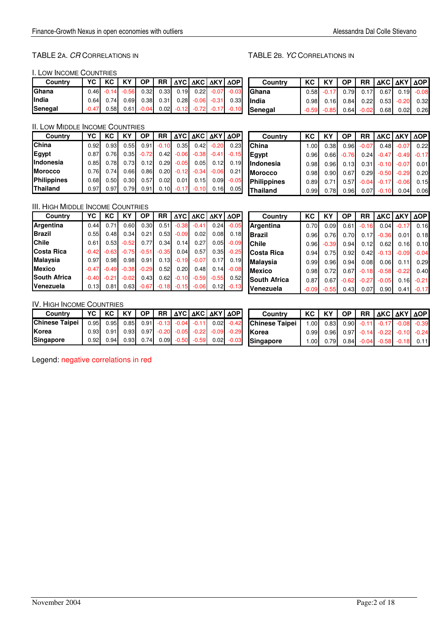# TABLE 2A. CR CORRELATIONS IN TABLE 2B. YC CORRELATIONS IN

I. LOW INCOME COUNTRIES

| Country |         |  |                                                      |  |  | YC   KC   KY   OP   RR   ΔYC   ΔKC   ΔKY   ΔOP                     |
|---------|---------|--|------------------------------------------------------|--|--|--------------------------------------------------------------------|
| Ghana   |         |  |                                                      |  |  | $0.46$ $-0.14$ $-0.56$ $0.32$ $0.33$ $0.19$ $0.22$ $-0.07$ $-0.03$ |
| India   |         |  |                                                      |  |  | $0.64$ 0.74 0.69 0.38 0.31 0.28 -0.06 -0.31 0.33                   |
| Senegal | $-0.47$ |  | $0.58$ 0.61 - $0.04$ 0.02 - $0.12$ - $0.72$ - $0.17$ |  |  | $-0.10$                                                            |

| Country | KC   KY   OP   RR   AKC   AKY   AOP         |  |  |  |
|---------|---------------------------------------------|--|--|--|
| Ghana   | $0.58$ $-0.17$ 0.79 0.17 0.67 0.19 $-0.08$  |  |  |  |
| India   | $0.98$ 0.16 0.84 0.22 0.53 -0.20 0.32       |  |  |  |
| Senegal | $-0.59$ $-0.85$ 0.64 $-0.02$ 0.68 0.02 0.26 |  |  |  |

# II. LOW MIDDLE INCOME COUNTRIES

| Country            | YC   | КC   | KΥ   | <b>OP</b> | <b>RR</b> |         | ΔΥC   ΔΚC   ΔΚΥ   ΔΟΡ |         |         |
|--------------------|------|------|------|-----------|-----------|---------|-----------------------|---------|---------|
| <b>China</b>       | 0.92 | 0.93 | 0.55 | 0.91      | $-0.10$   | 0.35    | 0.42                  | $-0.20$ | 0.23    |
| <b>Egypt</b>       | 0.87 | 0.76 | 0.35 | $-0.72$   | 0.42      | $-0.06$ | $-0.38$               | $-0.41$ | $-0.15$ |
| Indonesia          | 0.85 | 0.78 | 0.73 | 0.12      | 0.29      | $-0.05$ | 0.05                  | 0.12    | 0.19    |
| <b>Morocco</b>     | 0.76 | 0.74 | 0.66 | 0.86      | 0.20      | $-0.12$ | $-0.34$               | $-0.06$ | 0.21    |
| <b>Philippines</b> | 0.68 | 0.50 | 0.30 | 0.57      | 0.02      | 0.01    | 0.15                  | 0.09    | $-0.05$ |
| <b>IThailand</b>   | 0.97 | 0.97 | 0.79 | 0.91      | 0.10      | $-0.17$ | $-0.10$               | 0.16    | 0.05    |

| Country           | КC   | KY   | <b>OP</b> |         | RR AKC AKY AOP         |               |         |
|-------------------|------|------|-----------|---------|------------------------|---------------|---------|
| <b>China</b>      | 1.00 | 0.38 | 0.96      | $-0.07$ |                        | $0.48 - 0.07$ | 0.22    |
| Egypt             | 0.96 | 0.66 | $-0.76$   |         | $0.24 -0.47 -0.49$     |               | $-0.17$ |
| <b>IIndonesia</b> | 0.98 | 0.96 | 0.13      |         | $0.31$ $-0.10$ $-0.07$ |               | 0.01    |
| <b>Morocco</b>    | 0.98 | 0.90 | 0.67      |         | $0.29 - 0.50 - 0.29$   |               | 0.20    |
| Philippines       | 0.89 | 0.71 | 0.57      | $-0.04$ | $-0.17$                | $-0.06$       | 0.15    |
| <b>Thailand</b>   | 0.99 | 0.78 | 0.96      |         | $0.07 - 0.10$          | 0.04          | 0.06    |

# III. HIGH MIDDLE INCOME COUNTRIES

| Country             | YС      | КC      | KY      | <b>OP</b> | <b>RR</b> |         | <b>AYC AKC AKY</b> |         | <b>AOP</b> |
|---------------------|---------|---------|---------|-----------|-----------|---------|--------------------|---------|------------|
| Argentina           | 0.44    | 0.71    | 0.60    | 0.30      | 0.51      | $-0.38$ | $-0.41$            | 0.24    | $-0.05$    |
| <b>Brazil</b>       | 0.55    | 0.48    | 0.34    | 0.21      | 0.53      | $-0.09$ | 0.02               | 0.08    | 0.18       |
| <b>IChile</b>       | 0.61    | 0.53    | $-0.52$ | 0.77      | 0.34      | 0.14    | 0.27               | 0.05    | $-0.09$    |
| <b>Costa Rica</b>   | $-0.42$ | $-0.63$ | $-0.75$ | $-0.51$   | $-0.35$   | 0.04    | 0.57               | 0.35    | $-0.25$    |
| <b>Malaysia</b>     | 0.97    | 0.98    | 0.98    | 0.91      | 0.13      | $-0.19$ | $-0.07$            | 0.17    | 0.19       |
| <b>IMexico</b>      | $-0.47$ | $-0.49$ | $-0.38$ | $-0.29$   | 0.52      | 0.20    | 0.48               | 0.14    | $-0.08$    |
| <b>South Africa</b> | $-0.40$ | $-0.21$ | $-0.02$ | 0.43      | 0.62      | $-0.10$ | $-0.59$            | $-0.55$ | 0.52       |
| <b>Venezuela</b>    | 0.13    | 0.81    | 0.63    | $-0.67$   | $-0.18$   | $-0.15$ | $-0.06$            | 0.12    | $-0.13$    |

| Country             | KC      | <b>KY</b> | <b>OP</b> |         |         | RR AKC AKY AOP |         |
|---------------------|---------|-----------|-----------|---------|---------|----------------|---------|
| <b>Argentina</b>    | 0.70    | 0.09      | 0.61      | $-0.16$ |         | $0.04 - 0.17$  | 0.16    |
| <b>Brazil</b>       | 0.96    | 0.76      | 0.70      | 0.17    | $-0.36$ | 0.01           | 0.18    |
| <b>Chile</b>        | 0.96    | $-0.39$   | 0.94      | 0.12    | 0.62    | 0.16           | 0.10    |
| ICosta Rica         | 0.94    | 0.75      | 0.92      | 0.42    | $-0.13$ | $-0.09$        | $-0.04$ |
| <b>Malaysia</b>     | 0.99    | 0.96      | 0.94      | 0.08    | 0.06    | 0.11           | 0.29    |
| <b>Mexico</b>       | 0.98    | 0.72      | 0.67      | $-0.18$ | $-0.58$ | $-0.22$        | 0.40    |
| <b>South Africa</b> | 0.87    | 0.67      | $-0.62$   | $-0.27$ | $-0.05$ | 0.16           | $-0.21$ |
| Venezuela           | $-0.09$ | $-0.55$   | 0.43      | 0.07    | 0.90    | 0.41           | $-0.17$ |

### IV. HIGH INCOME COUNTRIES

| Country                                                           | YC   KC   KY   OP   RR   ΔYC   ΔKC   ΔKY   ΔOP |                                                                |  |  |  |
|-------------------------------------------------------------------|------------------------------------------------|----------------------------------------------------------------|--|--|--|
| Chinese Taipei   0.95 0.95 0.85 0.91 -0.13 -0.04 -0.11 0.02 -0.42 |                                                |                                                                |  |  |  |
| Korea                                                             |                                                | $0.93$ $0.91$ $0.93$ $0.97$ $0.20$ $0.05$ $0.22$ $0.09$ $0.29$ |  |  |  |
| Singapore                                                         | 0.92                                           | $0.94$ 0.93 0.74 0.09 -0.50 -0.59 0.02 -0.03                   |  |  |  |

| Country               |  |  | KC   KY   OP   RR  ∆KC  ∆KY  ∆OP                     |  |
|-----------------------|--|--|------------------------------------------------------|--|
| <b>Chinese Taipei</b> |  |  | $1.00$ 0.83 0.90 -0.11 -0.17 -0.08 -0.39             |  |
| <b>I</b> Korea        |  |  | $0.99$ $0.96$ $0.97$ $-0.14$ $-0.22$ $-0.10$ $-0.24$ |  |
| Singapore             |  |  | $1.00$ 0.79 0.84 -0.04 -0.58 -0.18 0.11              |  |

Legend: negative correlations in red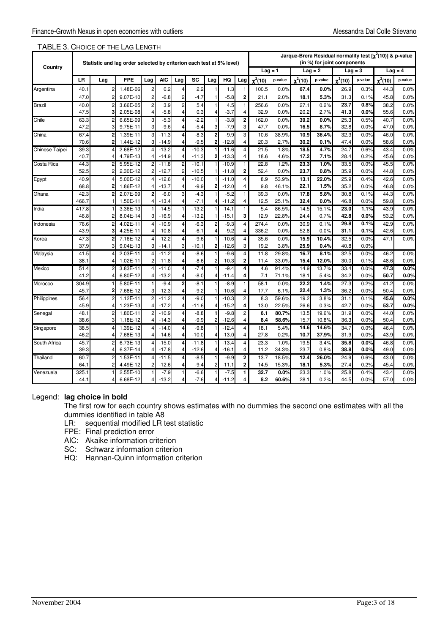| Country<br>$Lag = 2$<br>$Lag = 4$<br>$Laq = 1$<br>$Laq = 3$<br><b>AIC</b><br><b>SC</b><br>HQ<br>$\chi^2(10)$<br>$\chi^2(10)$<br>LR<br><b>FPE</b><br>Lag<br>$\chi^2(10)$<br>$\chi^2(10)$<br>Lag<br>Lag<br>Lag<br>p-value<br>p-value<br>Lag<br>p-value<br>p-value<br>0.0%<br>40.7<br>1.48E-06<br>2<br>2.2<br>1.3<br>100.5<br>0.0%<br>67.4<br>0.0%<br>0.3%<br>44.3<br>Argentina<br>2<br>0.2<br>1<br>26.9<br>4<br>$\overline{\mathbf{2}}$<br>47.0<br>$\overline{2}$<br>$-6.8$<br>$-5.8$<br>2.0%<br>18.1<br>5.3%<br>0.1%<br>45.8<br>0.0%<br>2<br>9.07E-10<br>2<br>-4.7<br>21.1<br>31.3<br>$\overline{c}$<br>5.4<br>256.6<br>Brazil<br>40.0<br>3.66E-05<br>2<br>3.9<br>4.5<br>$\mathbf{1}$<br>0.0%<br>27.1<br>0.2%<br>23.7<br>0.8%<br>38.2<br>0.0%<br>$\overline{c}$<br>47.5<br>$-3.7$<br>$\overline{4}$<br>2.7%<br>3<br>2.05E-08<br>$-5.8$<br>4<br>0.3<br>32.9<br>0.0%<br>20.2<br>41.3<br>0.0%<br>55.6<br>0.0%<br>4<br>Δ<br>2<br>39.2<br>Chile<br>63.3<br>$\overline{2}$<br>$\mathbf{3}$<br>$-5.3$<br>$-2.2$<br>$-3.8$<br>162.0<br>0.0%<br>25.3<br>0.5%<br>40.7<br>0.0%<br>6.65E-09<br>4<br>0.0%<br>3<br>47.2<br>$-9.6$<br>$-5.4$<br>$-7.9$<br>47.7<br>3<br>9.75E-11<br>3<br>0.0%<br>16.5<br>8.7%<br>32.8<br>0.0%<br>47.0<br>0.0% |
|------------------------------------------------------------------------------------------------------------------------------------------------------------------------------------------------------------------------------------------------------------------------------------------------------------------------------------------------------------------------------------------------------------------------------------------------------------------------------------------------------------------------------------------------------------------------------------------------------------------------------------------------------------------------------------------------------------------------------------------------------------------------------------------------------------------------------------------------------------------------------------------------------------------------------------------------------------------------------------------------------------------------------------------------------------------------------------------------------------------------------------------------------------------------------------------------------------------------------|
|                                                                                                                                                                                                                                                                                                                                                                                                                                                                                                                                                                                                                                                                                                                                                                                                                                                                                                                                                                                                                                                                                                                                                                                                                              |
|                                                                                                                                                                                                                                                                                                                                                                                                                                                                                                                                                                                                                                                                                                                                                                                                                                                                                                                                                                                                                                                                                                                                                                                                                              |
|                                                                                                                                                                                                                                                                                                                                                                                                                                                                                                                                                                                                                                                                                                                                                                                                                                                                                                                                                                                                                                                                                                                                                                                                                              |
|                                                                                                                                                                                                                                                                                                                                                                                                                                                                                                                                                                                                                                                                                                                                                                                                                                                                                                                                                                                                                                                                                                                                                                                                                              |
|                                                                                                                                                                                                                                                                                                                                                                                                                                                                                                                                                                                                                                                                                                                                                                                                                                                                                                                                                                                                                                                                                                                                                                                                                              |
|                                                                                                                                                                                                                                                                                                                                                                                                                                                                                                                                                                                                                                                                                                                                                                                                                                                                                                                                                                                                                                                                                                                                                                                                                              |
|                                                                                                                                                                                                                                                                                                                                                                                                                                                                                                                                                                                                                                                                                                                                                                                                                                                                                                                                                                                                                                                                                                                                                                                                                              |
|                                                                                                                                                                                                                                                                                                                                                                                                                                                                                                                                                                                                                                                                                                                                                                                                                                                                                                                                                                                                                                                                                                                                                                                                                              |
| $\overline{2}$<br>$\overline{2}$<br>3<br>10.9<br>36.4%<br>China<br>67.4<br>$\overline{3}$<br>$-9.9$<br>10.6<br>0.0%<br>1.39E-11<br>$-11.3$<br>4<br>-8.3<br>38.9%<br>32.3<br>0.0%<br>46.0                                                                                                                                                                                                                                                                                                                                                                                                                                                                                                                                                                                                                                                                                                                                                                                                                                                                                                                                                                                                                                     |
| 4<br>70.6<br>2<br>1.44E-12<br>3<br>$-14.9$<br>4<br>-9.5<br>2<br>$-12.8$<br>20.3<br>2.7%<br>30.2<br>0.1%<br>47.4<br>0.0%<br>58.6<br>0.0%                                                                                                                                                                                                                                                                                                                                                                                                                                                                                                                                                                                                                                                                                                                                                                                                                                                                                                                                                                                                                                                                                      |
| 39.3<br>2.68E-12<br>$-10.3$<br>$-11.6$<br>$\overline{\mathbf{4}}$<br>21.5<br>1.8%<br>18.5<br>4.7%<br>24.7<br>0.6%<br>43.4<br>0.0%<br>Chinese Taipei<br>$\vert$<br>$-13.2$<br>4<br>$\overline{4}$<br>7.1%<br>40.7<br>4.79E-13<br>$-14.9$<br>$\overline{2}$<br>$-13.3$<br>$\overline{4}$<br>4.6%<br>17.2<br>28.4<br>0.2%<br>45.6<br>0.0%<br>4<br>$-11.3$<br>18.6<br>4<br>4                                                                                                                                                                                                                                                                                                                                                                                                                                                                                                                                                                                                                                                                                                                                                                                                                                                     |
| 44.3<br>23.3<br>0.0%<br>Costa Rica<br>5.95E-12<br>2<br>$-10.1$<br>$-10.9$<br>1<br>22.8<br>1.2%<br>1.0%<br>33.5<br>0.0%<br>45.5<br>2<br>$\overline{2}$<br>$-11.8$                                                                                                                                                                                                                                                                                                                                                                                                                                                                                                                                                                                                                                                                                                                                                                                                                                                                                                                                                                                                                                                             |
| $\overline{\mathbf{2}}$<br>$\overline{2}$<br>$\overline{2}$<br>23.7<br>0.8%<br>35.9<br>52.5<br>2<br>2.30E-12<br>52.4<br>0.0%<br>0.0%<br>0.0%<br>$-12.7$<br>$-10.5$<br>$-11.8$<br>44.8                                                                                                                                                                                                                                                                                                                                                                                                                                                                                                                                                                                                                                                                                                                                                                                                                                                                                                                                                                                                                                        |
| 40.9<br>5.00E-12<br>4<br>4<br>53.9%<br>13.1<br>22.0%<br>25.9<br>0.0%<br>$-12.6$<br>$-10.0$<br>$-11.0$<br>8.9<br>0.4%<br>42.6<br>Egypt<br>4                                                                                                                                                                                                                                                                                                                                                                                                                                                                                                                                                                                                                                                                                                                                                                                                                                                                                                                                                                                                                                                                                   |
| 68.8<br>$-9.9$<br>$\overline{4}$<br>9.8<br>22.1<br>1.5%<br>35.2<br>0.0%<br>$\overline{2}$<br>1.86E-12<br>$-13.7$<br>2<br>$-12.0$<br>46.1%<br>0.0%<br>46.8<br>4                                                                                                                                                                                                                                                                                                                                                                                                                                                                                                                                                                                                                                                                                                                                                                                                                                                                                                                                                                                                                                                               |
| $-5.2$<br>17.8<br>0.0%<br>Ghana<br>42.3<br>$\overline{2}$<br>2.07E-09<br>$\mathbf{2}$<br>$-6.0$<br>3<br>$-4.3$<br>1<br>39.3<br>0.0%<br>5.8%<br>30.8<br>0.1%<br>44.3                                                                                                                                                                                                                                                                                                                                                                                                                                                                                                                                                                                                                                                                                                                                                                                                                                                                                                                                                                                                                                                          |
| $-7.1$<br>$\overline{4}$<br>12.5<br>25.1%<br>32.4<br>0.0%<br>0.0%<br>59.8<br>0.0%<br>466.7<br>1.50E-11<br>$-13.4$<br>$-11.2$<br>46.8<br>4<br>Δ                                                                                                                                                                                                                                                                                                                                                                                                                                                                                                                                                                                                                                                                                                                                                                                                                                                                                                                                                                                                                                                                               |
| 3.36E-13<br>$-13.2$<br>$\mathbf{1}$<br>5.4<br>86.5%<br>14.5<br>15.1%<br>23.0<br>1.1%<br>43.9<br>0.0%<br>India<br>417.8<br>1<br>$-14.5$<br>1<br>$-14.1$                                                                                                                                                                                                                                                                                                                                                                                                                                                                                                                                                                                                                                                                                                                                                                                                                                                                                                                                                                                                                                                                       |
| 3<br>46.8<br>$\overline{3}$<br>$-13.2$<br>$-15.1$<br>12.9<br>0.7%<br>53.2<br>0.0%<br>8.04E-14<br>$-16.9$<br>22.8%<br>24.4<br>42.8<br>0.0%<br>2                                                                                                                                                                                                                                                                                                                                                                                                                                                                                                                                                                                                                                                                                                                                                                                                                                                                                                                                                                                                                                                                               |
| 29.8<br>0.1%<br>76.6<br>4<br>274.4<br>30.9<br>42.9<br>0.0%<br>2<br>4.02E-11<br>$-10.9$<br>4<br>$-6.3$<br>2<br>$-9.3$<br>0.0%<br>0.1%<br>Indonesia<br>4                                                                                                                                                                                                                                                                                                                                                                                                                                                                                                                                                                                                                                                                                                                                                                                                                                                                                                                                                                                                                                                                       |
| 43.9<br>3<br>$-9.2$<br>$\overline{\mathbf{4}}$<br>52.8<br>0.0%<br>4.25E-11<br>$-10.8$<br>-6.1<br>336.2<br>0.0%<br>0.0%<br>31.1<br>0.1%<br>42.6<br>4<br>4<br>Δ                                                                                                                                                                                                                                                                                                                                                                                                                                                                                                                                                                                                                                                                                                                                                                                                                                                                                                                                                                                                                                                                |
| $\overline{\mathbf{4}}$<br>47.3<br>$-9.6$<br>15.9<br>10.4%<br>32.5<br>0.0%<br>47.1<br>0.0%<br>$\overline{2}$<br>7.16E-12<br>$-12.2$<br>$\overline{4}$<br>$-10.6$<br>35.6<br>0.0%<br>Korea<br>$\vert$                                                                                                                                                                                                                                                                                                                                                                                                                                                                                                                                                                                                                                                                                                                                                                                                                                                                                                                                                                                                                         |
| 3<br>37.9<br>3<br>9.04E-13<br>$\overline{3}$<br>3<br>$-10.1$<br>$-12.6$<br>19.2<br>3.8%<br>25.9<br>0.4%<br>40.8<br>0.0%<br>$-14.1$<br>2                                                                                                                                                                                                                                                                                                                                                                                                                                                                                                                                                                                                                                                                                                                                                                                                                                                                                                                                                                                                                                                                                      |
| $\overline{4}$<br>29.8%<br>16.7<br>32.5<br>46.2<br>0.0%<br>Malaysia<br>41.5<br>2.03E-11<br>$-11.2$<br>4<br>$-8.6$<br>$-9.6$<br>11.8<br>8.1%<br>0.0%<br>4<br>4<br>$\overline{2}$<br>38.1<br>1.02E-11<br>$\overline{2}$<br>$-11.8$<br>$-8.6$<br>$-10.3$<br>33.0%<br>15.4<br>12.0%<br>30.0<br>0.1%<br>48.6<br>0.0%<br>2<br>11.4<br>4                                                                                                                                                                                                                                                                                                                                                                                                                                                                                                                                                                                                                                                                                                                                                                                                                                                                                            |
| 51.4<br>$-7.4$<br>4<br>91.4%<br>0.0%<br>Mexico<br>3.83E-11<br>$-11.0$<br>4<br>$-9.4$<br>4.6<br>14.9<br>13.7%<br>33.4<br>0.0%<br>47.3<br>2<br>4                                                                                                                                                                                                                                                                                                                                                                                                                                                                                                                                                                                                                                                                                                                                                                                                                                                                                                                                                                                                                                                                               |
| 4<br>41.2<br>6.80E-12<br>$-13.2$<br>$-8.0$<br>7.1<br>71.1%<br>18.1<br>5.4%<br>34.2<br>0.0%<br>50.7<br>0.0%<br>$-11.4$<br>4<br>4<br>Δ                                                                                                                                                                                                                                                                                                                                                                                                                                                                                                                                                                                                                                                                                                                                                                                                                                                                                                                                                                                                                                                                                         |
| $\mathbf 2$<br>27.3<br>304.9<br>$-9.4$<br>$-8.1$<br>$-8.9$<br>$\mathbf{1}$<br>58.1<br>0.0%<br>22.2<br>0.2%<br>41.2<br>0.0%<br>Morocco<br>5.80E-11<br>1.4%                                                                                                                                                                                                                                                                                                                                                                                                                                                                                                                                                                                                                                                                                                                                                                                                                                                                                                                                                                                                                                                                    |
| 45.7<br>$\overline{3}$<br>$-12.3$<br>$-9.2$<br>$\overline{4}$<br>17.7<br>22.4<br>1.3%<br>$\overline{2}$<br>7.68E-12<br>4<br>$-10.6$<br>6.1%<br>36.2<br>0.0%<br>50.4<br>0.0%                                                                                                                                                                                                                                                                                                                                                                                                                                                                                                                                                                                                                                                                                                                                                                                                                                                                                                                                                                                                                                                  |
| 0.0%<br>Philippines<br>1.12E-11<br>$\overline{2}$<br>$-9.0$<br>2<br>59.6%<br>19.2<br>0.1%<br>45.6<br>56.4<br>2<br>$-11.2$<br>4<br>$-10.3$<br>8.3<br>3.8%<br>31.1                                                                                                                                                                                                                                                                                                                                                                                                                                                                                                                                                                                                                                                                                                                                                                                                                                                                                                                                                                                                                                                             |
| 45.9<br>1.23E-13<br>$-17.2$<br>$-15.2$<br>4<br>13.0<br>22.5%<br>26.6<br>0.3%<br>42.7<br>0.0%<br>53.7<br>0.0%<br>$\overline{4}$<br>$-11.6$<br>4<br>4<br>Δ                                                                                                                                                                                                                                                                                                                                                                                                                                                                                                                                                                                                                                                                                                                                                                                                                                                                                                                                                                                                                                                                     |
| $\overline{c}$<br>48.1<br>$\overline{2}$<br>$-10.9$<br>$-8.8$<br>6.1<br>80.7%<br>13.5<br>19.6%<br>31.9<br>0.0%<br>44.0<br>0.0%<br>Senegal<br>2<br>1.80E-11<br>$-9.8$<br>4                                                                                                                                                                                                                                                                                                                                                                                                                                                                                                                                                                                                                                                                                                                                                                                                                                                                                                                                                                                                                                                    |
| 38.6<br>3<br>$-9.9$<br>$-12.6$<br>4<br>0.0%<br>1.18E-12<br>$\overline{4}$<br>$-14.3$<br>4<br>2<br>8.4<br>58.6%<br>15.7<br>10.8%<br>36.3<br>0.0%<br>50.4                                                                                                                                                                                                                                                                                                                                                                                                                                                                                                                                                                                                                                                                                                                                                                                                                                                                                                                                                                                                                                                                      |
| $\overline{4}$<br>38.5<br>$-12.4$<br>18.1<br>5.4%<br>14.6<br>14.6%<br>34.7<br>46.4<br>0.0%<br>1.39E-12<br>$-14.0$<br>$\overline{4}$<br>$-9.8$<br>0.0%<br>Singapore<br>4<br>$\overline{4}$                                                                                                                                                                                                                                                                                                                                                                                                                                                                                                                                                                                                                                                                                                                                                                                                                                                                                                                                                                                                                                    |
| $\overline{4}$<br>0.2%<br>37.9%<br>46.2<br>7.68E-13<br>$-14.6$<br>$-10.0$<br>$-13.0$<br>27.8<br>10.7<br>31.9<br>0.0%<br>43.9<br>0.0%<br>4<br>4<br>4                                                                                                                                                                                                                                                                                                                                                                                                                                                                                                                                                                                                                                                                                                                                                                                                                                                                                                                                                                                                                                                                          |
| 45.7<br>4<br>23.3<br>19.5<br>35.8<br>0.0%<br>46.8<br>0.0%<br>South Africa<br>$\overline{c}$<br>6.73E-13<br>$-15.0$<br>4<br>$-11.8$<br>$-13.4$<br>1.0%<br>3.4%<br>$\vert 4 \vert$                                                                                                                                                                                                                                                                                                                                                                                                                                                                                                                                                                                                                                                                                                                                                                                                                                                                                                                                                                                                                                             |
| 39.3<br>23.7<br>0.8%<br>6.37E-14<br>$-17.8$<br>$-12.6$<br>$-16.1$<br>$\overline{4}$<br>11.2<br>34.3%<br>38.8<br>0.0%<br>49.0<br>0.0%<br>$\overline{4}$<br>4<br>4<br>Δ                                                                                                                                                                                                                                                                                                                                                                                                                                                                                                                                                                                                                                                                                                                                                                                                                                                                                                                                                                                                                                                        |
| $\overline{\mathbf{2}}$<br>Thailand<br>60.7<br>$-11.5$<br>$-9.9$<br>13.7<br>18.5%<br>12.4<br>26.0%<br>24.9<br>43.0<br>0.0%<br>1.53E-11<br>4<br>$-8.5$<br>0.6%<br>4<br>$\overline{2}$<br>$\overline{2}$<br>14.5<br>0.2%<br>0.0%<br>64.1<br>4.49E-12<br>2<br>$-12.6$<br>$-9.4$<br>2<br>15.3%<br>18.1<br>5.3%<br>27.4<br>45.4<br>$-11.1$                                                                                                                                                                                                                                                                                                                                                                                                                                                                                                                                                                                                                                                                                                                                                                                                                                                                                        |
| 325.1<br>25.8<br>2.55E-10<br>$-7.9$<br>$-7.5$<br>1<br>32.7<br>0.0%<br>23.3<br>1.0%<br>0.4%<br>43.4<br>0.0%<br>Venezuela<br>-6.6                                                                                                                                                                                                                                                                                                                                                                                                                                                                                                                                                                                                                                                                                                                                                                                                                                                                                                                                                                                                                                                                                              |
| $-13.2$<br>$-7.6$<br>$-11.2$<br>4<br>8.2<br>60.6%<br>28.1<br>0.2%<br>0.0%<br>44.1<br>6.68E-12<br>44.5<br>57.0<br>0.0%<br>4                                                                                                                                                                                                                                                                                                                                                                                                                                                                                                                                                                                                                                                                                                                                                                                                                                                                                                                                                                                                                                                                                                   |

# TABLE 3. CHOICE OF THE LAG LENGTH

# Legend: **lag choice in bold**

The first row for each country shows estimates with no dummies the second one estimates with all the dummies identified in table A8

LR: sequential modified LR test statistic

FPE: Final prediction error

AIC: Akaike information criterion

SC: Schwarz information criterion

HQ: Hannan-Quinn information criterion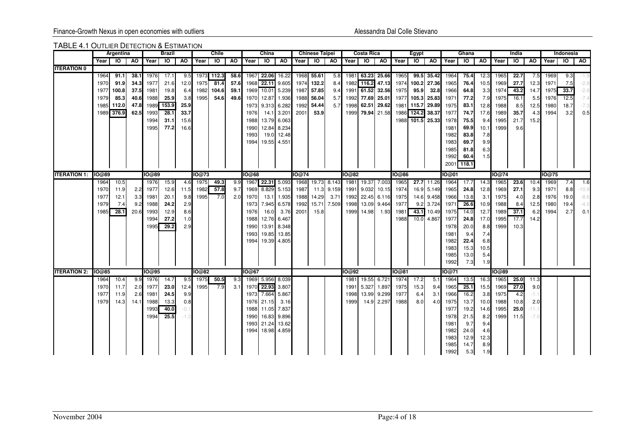### TABLE 4.1 OUTLIER DETECTION & ESTIMATION

|                     |        | Argentina |       |              | Brazil |        |       | Chile           |      |       | China              |             |           | <b>Chinese Taipei</b> |             |              | <b>Costa Rica</b> |                  |              | Egypt            |             |              | Ghana        |             |        | India     |         |       | Indonesia |         |
|---------------------|--------|-----------|-------|--------------|--------|--------|-------|-----------------|------|-------|--------------------|-------------|-----------|-----------------------|-------------|--------------|-------------------|------------------|--------------|------------------|-------------|--------------|--------------|-------------|--------|-----------|---------|-------|-----------|---------|
|                     | Year I | - 10      | AO    | Year IO      |        | AO .   | Year  | $\overline{10}$ | AO   | Year  | $\overline{10}$ AO |             | Year   IO |                       | <b>AO</b>   | Year I       | ा०                | AO I             | Year         | IO AO            |             | Year         | IO I         | <b>AO</b>   | Year I | <b>IO</b> | AO.     | Year  | ō         | AO.     |
| <b>ITERATION 0</b>  |        |           |       |              |        |        |       |                 |      |       |                    |             |           |                       |             |              |                   |                  |              |                  |             |              |              |             |        |           |         |       |           |         |
|                     | 1964   | 91.1      | 38.1  | 1976         | 17.1   | 9.5    |       | 1973 112.3      | 58.6 |       | 1967 22.06 16.22   |             |           | 1968 55.61            | 5.8         |              |                   | 1981 63.23 25.66 | 1965         |                  | 99.5 35.42  | 1964         | 75.4         | 12.3        | 1965   | 22.7      | 7.5     | 1969  | 9.3       |         |
|                     | 1970   | 91.9      | 34.31 | 1977         | 21.6   | 12.0   | 1975  | 81.4            | 57.6 | 1968  | 22.11 9.605        |             |           | 1974 132.2            | 8.4         |              | 1982 116.2        | 47.13            | 1974         |                  | 100.2 27.36 | 1965         | 76.4         | 10.5        | 1969   | 27.7      | 12.3    | 1971  | 7.5       | -2.8    |
|                     | 1977   | 100.8     | 37.5I | 1981         | 19.8   | 6.4    | 1982  | 104.6           | 59.1 | 1969  |                    | 10.01 5.239 |           | 1987 57.85            | 9.4         |              |                   | 1991 61.52 32.56 | 1975         | 95.9             | 32.8        | 1966         | 64.8         | 3.3         | 1974   | 43.2      | 14.7    | 1975  | 33.7      | $-2.6$  |
|                     | 1979   | 85.3      | 40.6  | 1988         | 25.9   | 3.8    | 1995  | 54.6            | 49.6 | 1970  |                    | 12.87 1.936 |           | 1988 56.04            | 5.7         |              |                   | 1992 77.69 25.01 | 1977         | 105.3            | 25.83       | 1971         | 77.2         | 7.9         | 1975   | 16.1      | 5.5     | 1976  | 12.5      | $-7.4$  |
|                     | 1985   | 112.0     | 47.8  | 1989         | 153.9  | 25.9   |       |                 |      | 1973  |                    | 9.313 6.282 | 1992      | 54.44                 | 5.7         | 1998         |                   | 62.51 29.62      |              | 1981 115.7       | 29.89       | 1975         | 83.1         | 12.8        | 1988   | 8.5       | 12.5    | 1980  | 18.7      | $-7.3$  |
|                     | 1989   | 376.9     | 62.5  | 1993         | 28.1   | 33.7   |       |                 |      | 1976  |                    | 14.1 3.201  | 2001      | 53.9                  |             |              |                   | 1999 79.94 21.58 | 1986         | 124.2            | 38.37       | 1977         | 74.7         | 17.6        | 1989   | 35.7      | 4.3     | 1994  | 3.2       | 0.5     |
|                     |        |           |       | 1994         | 31.1   | 15.6   |       |                 |      | 1988  |                    | 13.79 6.063 |           |                       |             |              |                   |                  |              | 1988 101.5 25.33 |             | 1978         | 75.5         | 9.4         | 1995   | 21.7      | 15.2    |       |           |         |
|                     |        |           |       | 1995         | 77.2   | 16.6   |       |                 |      | 1990  | 12.84              | 8.234       |           |                       |             |              |                   |                  |              |                  |             | 1981         | 69.9         | 10.1        | 1999   | 9.6       |         |       |           |         |
|                     |        |           |       |              |        |        |       |                 |      | 1993  | 19.0               | 12.48       |           |                       |             |              |                   |                  |              |                  |             | 1982         | 83.8         | 7.8         |        |           |         |       |           |         |
|                     |        |           |       |              |        |        |       |                 |      | 1994  |                    | 19.55 4.551 |           |                       |             |              |                   |                  |              |                  |             | 1983         | 69.7         | 9.9         |        |           |         |       |           |         |
|                     |        |           |       |              |        |        |       |                 |      |       |                    |             |           |                       |             |              |                   |                  |              |                  |             | 1985         | 81.8         | 6.3         |        |           |         |       |           |         |
|                     |        |           |       |              |        |        |       |                 |      |       |                    |             |           |                       |             |              |                   |                  |              |                  |             | 1992         | 60.4         | 1.5         |        |           |         |       |           |         |
|                     |        |           |       |              |        |        |       |                 |      |       |                    |             |           |                       |             |              |                   |                  |              |                  |             | 2001         | 118.1        |             |        |           |         |       |           |         |
| <b>ITERATION 1:</b> | IO@89  |           |       | 10@89        |        |        | 10@73 |                 |      | IO@68 |                    |             | 10@74     |                       |             | 10@82        |                   |                  | <b>10@86</b> |                  |             | IO@01        |              |             | IO@74  |           |         | 10@75 |           |         |
|                     | 1964   | 10.5      |       | 1976         | 15.9   | 4.6    | 1975  | 49.3            | 9.9  | 1967  | 22.31 5.093        |             |           | 1968 19.73 8.143      |             |              |                   | 1981 19.37 7.003 | 1965         |                  | 27.7 11.26  | 1964         | 17.7         | 14.3        | 1965   | 23.6      | 10.4    | 1969  | 7.4       | 1.6     |
|                     | 1970   | 11.9      | 2.2   | 1977         | 12.6   | 11.5   | 1982  | 57.8            | 9.7  | 1969  |                    | 8.829 5.153 | 1987      |                       | 11.3 9.159  |              |                   | 1991 9.032 10.15 | 1974         |                  | 16.9 5.149  | 1965         | 24.8         | 12.8        | 1969   | 27.1      | 9.3     | 1971  | 8.8       | $-10.9$ |
|                     | 1977   | 12.1      | 3.3   | 1981         | 20.1   | 9.8    | 1995  | 7.0             | 2.0  | 1970  |                    | 13.1 1.935  |           | 1988 14.29            | 3.71        |              |                   | 1992 22.45 6.116 | 1975         |                  | 14.6 9.458  | 1966         | 13.8         | 3.1         | 1975   | 4.0       | 2.8     | 1976  | 19.0      | $-8.6$  |
|                     | 1979   | 7.4       | 9.2   | 1988         | 24.2   | 2.9    |       |                 |      | 1973  |                    | 7.945 6.578 | 1992      |                       | 15.71 7.509 |              |                   | 1998 13.09 9.464 | 1977         |                  | 9.2 3.724   | 1971         | 26.6         | 10.9        | 1988   | 8.4       | 12.5    | 1980  | 19.4      | $-4.0$  |
|                     | 1985   | 28.1      | 20.6  | 1993         | 12.9   | 8.6    |       |                 |      | 1976  | 16.0               | 3.76        | 2001      | 15.8                  |             | 1999         | 14.98             | 1.93             | 1981         |                  | 43.1 10.49  | 1975         | 14.0         | 12.7        | 1989   | 37.1      | 6.2     | 1994  | 2.7       | 0.1     |
|                     |        |           |       | 1994         | 27.2   | 1.0    |       |                 |      | 1988  |                    | 12.76 6.467 |           |                       |             |              |                   |                  | 1988         |                  | 10.0 4.867  | 1977         | 24.8         | 17.0        | 1995   | 17.7      | 14.2    |       |           |         |
|                     |        |           |       | 1995         | 29.2   | 2.9    |       |                 |      | 1990  |                    | 13.91 8.348 |           |                       |             |              |                   |                  |              |                  |             | 1978         | 20.0         | 8.8         | 1999   | 10.3      |         |       |           |         |
|                     |        |           |       |              |        |        |       |                 |      | 1993  | 19.85              | 13.85       |           |                       |             |              |                   |                  |              |                  |             | 1981         | 9.4          | 7.4         |        |           |         |       |           |         |
|                     |        |           |       |              |        |        |       |                 |      | 1994  |                    | 19.39 4.805 |           |                       |             |              |                   |                  |              |                  |             | 1982         | 22.4         | 6.8         |        |           |         |       |           |         |
|                     |        |           |       |              |        |        |       |                 |      |       |                    |             |           |                       |             |              |                   |                  |              |                  |             | 1983         | 15.3         | 10.5        |        |           |         |       |           |         |
|                     |        |           |       |              |        |        |       |                 |      |       |                    |             |           |                       |             |              |                   |                  |              |                  |             | 1985         | 13.0         | 5.4         |        |           |         |       |           |         |
|                     |        |           |       |              |        |        |       |                 |      |       |                    |             |           |                       |             |              |                   |                  |              |                  |             | 1992         | 7.3          | 1.9         |        |           |         |       |           |         |
| <b>ITERATION 2:</b> | IO@85  |           |       | <b>IO@95</b> |        |        | 10@82 |                 |      | IO@67 |                    |             |           |                       |             | <b>IO@92</b> |                   |                  | IO@81        |                  |             | 10@71        |              |             | 10@89  |           |         |       |           |         |
|                     | 1964   | 10.4      | 9.9   | 1976         | 14.7   | 9.5    | 1975  | 50.5            | 9.3  |       | 1969 5.956 8.039   |             |           |                       |             |              |                   | 1981 19.55 6.721 | 1974         | 17.2             | 5.1         | 1964         | 13.5         | 16.3        | 1965   | 25.0      | 11.3    |       |           |         |
|                     | 1970   | 11.7      | 2.0   | 1977         | 23.0   | 12.4   | 1995  | 7.9             | 3.1  |       | 1970 22.93 3.807   |             |           |                       |             | 1991         |                   | 5.327 1.897      | 1975         | 15.3             | 9.4         | 1965         | 25.1         | 15.5        | 1969   | 27.0      | 9.0     |       |           |         |
|                     | 1977   | 11.9      | 2.6   | 1981         | 24.5   | 9.9    |       |                 |      | 1973  | 7.664              | 5.867       |           |                       |             | 1998         |                   | 13.99 9.299      | 1977         | 6.4              | 3.1         | 1966         | 16.2         | 3.8         | 1975   | 4.2       | $-1.1$  |       |           |         |
|                     | 1979   | 14.3      | 14.1  | 1988         | 13.3   | 0.8    |       |                 |      | 1976  | 21.15              | 3.16        |           |                       |             | 1999         |                   | 14.9 2.297       | 1988         | 8.0              | 4.0         | 1975         | 13.7         | 10.0        | 1988   | 10.8      | 2.0     |       |           |         |
|                     |        |           |       | 1993         | 40.0   | $-0.1$ |       |                 |      | 1988  |                    | 11.05 7.837 |           |                       |             |              |                   |                  |              |                  |             | 1977         | 19.2         | 14.6        | 1995   | 25.0      | $-11.1$ |       |           |         |
|                     |        |           |       | 1994         | 25.5   | $-1$   |       |                 |      | 1990  | 16.83              | 9.896       |           |                       |             |              |                   |                  |              |                  |             | 1978         | 21.5         | 8.2         | 1999   | 11.5      | $-7.0$  |       |           |         |
|                     |        |           |       |              |        |        |       |                 |      | 1993  | 21.24              | 13.62       |           |                       |             |              |                   |                  |              |                  |             | 1981         | 9.7          | 9.4         |        |           |         |       |           |         |
|                     |        |           |       |              |        |        |       |                 |      | 1994  |                    | 18.98 4.859 |           |                       |             |              |                   |                  |              |                  |             | 1982         | 24.0         | 4.6         |        |           |         |       |           |         |
|                     |        |           |       |              |        |        |       |                 |      |       |                    |             |           |                       |             |              |                   |                  |              |                  |             | 1983<br>1985 | 12.9<br>14.7 | 12.3<br>8.9 |        |           |         |       |           |         |
|                     |        |           |       |              |        |        |       |                 |      |       |                    |             |           |                       |             |              |                   |                  |              |                  |             |              |              |             |        |           |         |       |           |         |
|                     |        |           |       |              |        |        |       |                 |      |       |                    |             |           |                       |             |              |                   |                  |              |                  |             | 1992         | 5.3          | 1.9         |        |           |         |       |           |         |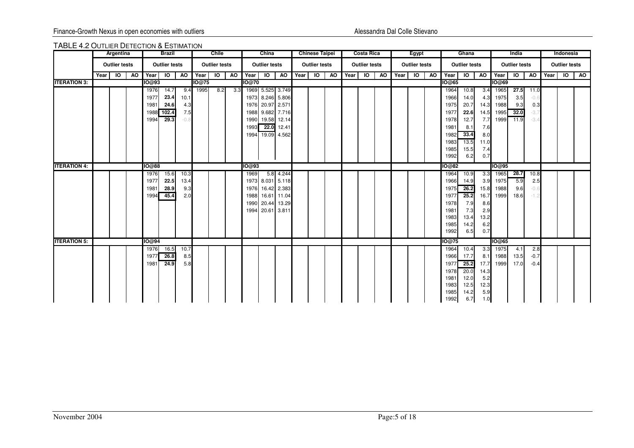### TABLE 4.2 OUTLIER DETECTION & ESTIMATION

|                      |        | Argentina            |           |         | <b>Brazil</b>        |      |       | <b>Chile</b>         |                |       | China                |                  |           | <b>Chinese Taipei</b> |                |      | <b>Costa Rica</b>    |    |      | Egypt                |                                                                                  | Ghana        |                  |              | India                |        | Indonesia            |  |
|----------------------|--------|----------------------|-----------|---------|----------------------|------|-------|----------------------|----------------|-------|----------------------|------------------|-----------|-----------------------|----------------|------|----------------------|----|------|----------------------|----------------------------------------------------------------------------------|--------------|------------------|--------------|----------------------|--------|----------------------|--|
|                      |        | <b>Outlier tests</b> |           |         | <b>Outlier tests</b> |      |       | <b>Outlier tests</b> |                |       | <b>Outlier tests</b> |                  |           | <b>Outlier tests</b>  |                |      | <b>Outlier tests</b> |    |      | <b>Outlier tests</b> | <b>Outlier tests</b><br>A <sub>0</sub><br>Year<br>$\overline{6}$<br><b>IO@65</b> |              |                  |              | <b>Outlier tests</b> |        | <b>Outlier tests</b> |  |
|                      | Year I | $\overline{6}$       | <b>AO</b> | Year IO |                      | AO   | Year  | $\overline{5}$       | $\overline{A}$ | Year  |                      | $IO$ $AO$        | $Year$ 10 |                       | $\overline{A}$ | Year | $\overline{6}$       | AO | Year | $\overline{6}$       |                                                                                  |              | A <sub>0</sub>   | Year 10      |                      | AO     | Year IO AO           |  |
| <b>IITERATION 3:</b> |        |                      |           | 10@93   |                      |      | IO@75 |                      |                | IO@70 |                      |                  |           |                       |                |      |                      |    |      |                      |                                                                                  |              |                  | 10@69        |                      |        |                      |  |
|                      |        |                      |           | 1976    | 14.7                 | 9.4  | 1995  | 8.2                  | 3.3            |       |                      | 1969 5.525 3.749 |           |                       |                |      |                      |    |      |                      | 1964                                                                             | 10.8         |                  | 3.4 1965     | 27.5                 | 11.0   |                      |  |
|                      |        |                      |           | 1977    | 23.4                 | 10.1 |       |                      |                |       |                      | 1973 8.246 5.806 |           |                       |                |      |                      |    |      |                      | 1966                                                                             | 14.0         | 4.3              | 1975         | 3.5                  |        |                      |  |
|                      |        |                      |           | 1981    | 24.6                 | 4.3  |       |                      |                |       |                      | 1976 20.97 2.571 |           |                       |                |      |                      |    |      |                      | 1975                                                                             | 20.7         | 14.3             | 1988         | 9.3                  | 0.3    |                      |  |
|                      |        |                      |           |         | 1988 102.4           | 7.5  |       |                      |                |       |                      | 1988 9.682 7.716 |           |                       |                |      |                      |    |      |                      | 1977                                                                             | 22.6         |                  | 14.5 1995    | 32.0                 | -3.1   |                      |  |
|                      |        |                      |           | 1994    | 29.3                 | -0.8 |       |                      |                |       |                      | 1990 19.58 12.14 |           |                       |                |      |                      |    |      |                      | 1978                                                                             | 12.7         |                  | 7.7 1999     | 11.9                 | $-3.4$ |                      |  |
|                      |        |                      |           |         |                      |      |       |                      |                |       |                      | 1993 22.0 12.41  |           |                       |                |      |                      |    |      |                      | 1981                                                                             | 8.1          | 7.6              |              |                      |        |                      |  |
|                      |        |                      |           |         |                      |      |       |                      |                |       |                      | 1994 19.09 4.562 |           |                       |                |      |                      |    |      |                      | 1982                                                                             | 33.4         | 8.0              |              |                      |        |                      |  |
|                      |        |                      |           |         |                      |      |       |                      |                |       |                      |                  |           |                       |                |      |                      |    |      |                      | 1983                                                                             | 13.5         | 11.0             |              |                      |        |                      |  |
|                      |        |                      |           |         |                      |      |       |                      |                |       |                      |                  |           |                       |                |      |                      |    |      |                      | 1985                                                                             | 15.5         | 7.4              |              |                      |        |                      |  |
|                      |        |                      |           |         |                      |      |       |                      |                |       |                      |                  |           |                       |                |      |                      |    |      |                      | 1992                                                                             | 6.2          | 0.7              |              |                      |        |                      |  |
| <b>IITERATION 4:</b> |        |                      |           | 10@88   |                      |      |       |                      |                | IO@93 |                      |                  |           |                       |                |      |                      |    |      |                      | <b>IO@82</b>                                                                     |              |                  | IO@95        |                      |        |                      |  |
|                      |        |                      |           | 1976    | 15.6                 | 10.3 |       |                      |                | 1969  |                      | 5.8 4.244        |           |                       |                |      |                      |    |      |                      | 1964                                                                             | 10.9         | 3.3 <sup>l</sup> | 1965         | 28.7                 | 10.8   |                      |  |
|                      |        |                      |           | 1977    | 22.5                 | 13.4 |       |                      |                |       |                      | 1973 8.031 5.118 |           |                       |                |      |                      |    |      |                      | 1966                                                                             | 14.9         |                  | 3.9 1975     | 5.9                  | 2.5    |                      |  |
|                      |        |                      |           | 1981    | 28.9                 | 9.3  |       |                      |                | 1976  |                      | 16.42 2.383      |           |                       |                |      |                      |    |      |                      | 1975                                                                             | 26.2         |                  | 15.8 1988    | 9.6                  | -0.6   |                      |  |
|                      |        |                      |           | 1994    | 45.4                 | 2.0  |       |                      |                | 1988  |                      | 16.61 11.04      |           |                       |                |      |                      |    |      |                      | 1977                                                                             | 25.2         | 16.7             | 1999         | 18.6                 |        |                      |  |
|                      |        |                      |           |         |                      |      |       |                      |                |       |                      | 1990 20.44 13.29 |           |                       |                |      |                      |    |      |                      | 1978                                                                             | 7.9          | 8.6              |              |                      |        |                      |  |
|                      |        |                      |           |         |                      |      |       |                      |                |       |                      | 1994 20.61 3.811 |           |                       |                |      |                      |    |      |                      | 1981                                                                             | 7.3          | 2.9              |              |                      |        |                      |  |
|                      |        |                      |           |         |                      |      |       |                      |                |       |                      |                  |           |                       |                |      |                      |    |      |                      | 1983<br>1985                                                                     | 13.4<br>14.2 | 13.2<br>6.2      |              |                      |        |                      |  |
|                      |        |                      |           |         |                      |      |       |                      |                |       |                      |                  |           |                       |                |      |                      |    |      |                      | 1992                                                                             | 6.5          | 0.7              |              |                      |        |                      |  |
|                      |        |                      |           |         |                      |      |       |                      |                |       |                      |                  |           |                       |                |      |                      |    |      |                      |                                                                                  |              |                  |              |                      |        |                      |  |
| <b>ITERATION 5:</b>  |        |                      |           | 10@94   |                      |      |       |                      |                |       |                      |                  |           |                       |                |      |                      |    |      |                      | 10@75                                                                            |              |                  | <b>IO@65</b> |                      |        |                      |  |
|                      |        |                      |           | 1976    | 16.5                 | 10.7 |       |                      |                |       |                      |                  |           |                       |                |      |                      |    |      |                      | 1964                                                                             | 10.4         |                  | 3.3 1975     | 4.1                  | 2.8    |                      |  |
|                      |        |                      |           | 1977    | 26.8                 | 8.5  |       |                      |                |       |                      |                  |           |                       |                |      |                      |    |      |                      | 1966                                                                             | 17.7         | 8.1              | 1988         | 13.5                 | $-0.7$ |                      |  |
|                      |        |                      |           | 1981    | 24.9                 | 5.8  |       |                      |                |       |                      |                  |           |                       |                |      |                      |    |      |                      | 1977                                                                             | 25.2         |                  | 17.7 1999    | 17.0                 | $-0.4$ |                      |  |
|                      |        |                      |           |         |                      |      |       |                      |                |       |                      |                  |           |                       |                |      |                      |    |      |                      | 1978<br>1981                                                                     | 20.0<br>12.0 | 14.3<br>5.2      |              |                      |        |                      |  |
|                      |        |                      |           |         |                      |      |       |                      |                |       |                      |                  |           |                       |                |      |                      |    |      |                      | 1983                                                                             | 12.5         | 12.3             |              |                      |        |                      |  |
|                      |        |                      |           |         |                      |      |       |                      |                |       |                      |                  |           |                       |                |      |                      |    |      |                      | 1985                                                                             | 14.2         | 5.9              |              |                      |        |                      |  |
|                      |        |                      |           |         |                      |      |       |                      |                |       |                      |                  |           |                       |                |      |                      |    |      |                      | 1992                                                                             | 6.7          | 1.0              |              |                      |        |                      |  |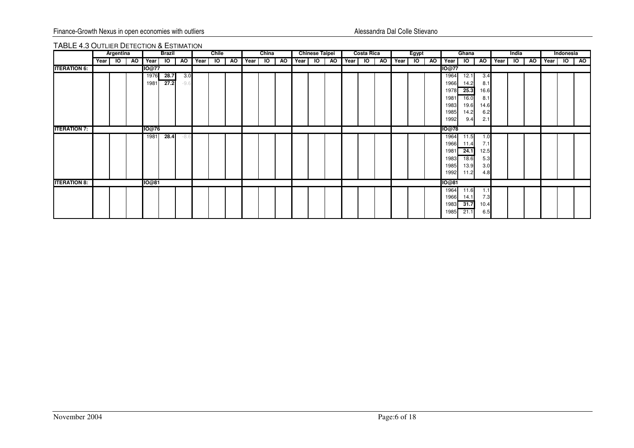### TABLE 4.3 OUTLIER DETECTION & ESTIMATION

|                     |      | Argentina |   |              | <b>Brazil</b> |        |      | Chile     |     |      | China |     |      | <b>Chinese Taipei</b> |           |         | <b>Costa Rica</b> |      |      | Egypt |           |               | Ghana          |           |      | India          |           |      | Indonesia |    |
|---------------------|------|-----------|---|--------------|---------------|--------|------|-----------|-----|------|-------|-----|------|-----------------------|-----------|---------|-------------------|------|------|-------|-----------|---------------|----------------|-----------|------|----------------|-----------|------|-----------|----|
|                     | Year | 10        | ð | Year         | IO.           | AO.    | Year | <b>IO</b> | AO. | Year | Ю     | AO. | Year | <b>IO</b>             | <b>AO</b> | Year IO |                   | AO I | Year | IO    | <b>AO</b> | I Year        | $\overline{6}$ | <b>AO</b> | Year | $\overline{6}$ | <b>AO</b> | Year | Ю         | AO |
| <b>ITERATION 6:</b> |      |           |   | 10@77        |               |        |      |           |     |      |       |     |      |                       |           |         |                   |      |      |       |           | <b>IO</b> @77 |                |           |      |                |           |      |           |    |
|                     |      |           |   | 1976         | 28.7          | 3.0    |      |           |     |      |       |     |      |                       |           |         |                   |      |      |       |           | 1964          | 12.1           | 3.4       |      |                |           |      |           |    |
|                     |      |           |   | 1981         | 27.2          | $-9.6$ |      |           |     |      |       |     |      |                       |           |         |                   |      |      |       |           | 1966          | 14.2           | 8.1       |      |                |           |      |           |    |
|                     |      |           |   |              |               |        |      |           |     |      |       |     |      |                       |           |         |                   |      |      |       |           | 1978          | 25.3           | 16.6      |      |                |           |      |           |    |
|                     |      |           |   |              |               |        |      |           |     |      |       |     |      |                       |           |         |                   |      |      |       |           | 1981          | 16.0           | 8.1       |      |                |           |      |           |    |
|                     |      |           |   |              |               |        |      |           |     |      |       |     |      |                       |           |         |                   |      |      |       |           | 1983          | 19.6           | 14.6      |      |                |           |      |           |    |
|                     |      |           |   |              |               |        |      |           |     |      |       |     |      |                       |           |         |                   |      |      |       |           | 1985          | 14.2           | 6.2       |      |                |           |      |           |    |
|                     |      |           |   |              |               |        |      |           |     |      |       |     |      |                       |           |         |                   |      |      |       |           | 1992          | 9.4            | 2.1       |      |                |           |      |           |    |
| <b>ITERATION 7:</b> |      |           |   | <b>10@76</b> |               |        |      |           |     |      |       |     |      |                       |           |         |                   |      |      |       |           | IO@78         |                |           |      |                |           |      |           |    |
|                     |      |           |   | 1981         | 28.4          | -8.6   |      |           |     |      |       |     |      |                       |           |         |                   |      |      |       |           | 1964          | 11.5           | 1.0       |      |                |           |      |           |    |
|                     |      |           |   |              |               |        |      |           |     |      |       |     |      |                       |           |         |                   |      |      |       |           | 1966          | 11.4           | 7.1       |      |                |           |      |           |    |
|                     |      |           |   |              |               |        |      |           |     |      |       |     |      |                       |           |         |                   |      |      |       |           | 1981          | 24.1           | 12.5      |      |                |           |      |           |    |
|                     |      |           |   |              |               |        |      |           |     |      |       |     |      |                       |           |         |                   |      |      |       |           | 1983          | 18.6           | 5.3       |      |                |           |      |           |    |
|                     |      |           |   |              |               |        |      |           |     |      |       |     |      |                       |           |         |                   |      |      |       |           | 1985          | 13.9           | 3.0       |      |                |           |      |           |    |
|                     |      |           |   |              |               |        |      |           |     |      |       |     |      |                       |           |         |                   |      |      |       |           | 1992          | 11.2           | 4.8       |      |                |           |      |           |    |
| <b>ITERATION 8:</b> |      |           |   | 10@81        |               |        |      |           |     |      |       |     |      |                       |           |         |                   |      |      |       |           | <b>IO@81</b>  |                |           |      |                |           |      |           |    |
|                     |      |           |   |              |               |        |      |           |     |      |       |     |      |                       |           |         |                   |      |      |       |           | 1964          | 11.6           | 1.1       |      |                |           |      |           |    |
|                     |      |           |   |              |               |        |      |           |     |      |       |     |      |                       |           |         |                   |      |      |       |           | 1966          | 14.1           | 7.3       |      |                |           |      |           |    |
|                     |      |           |   |              |               |        |      |           |     |      |       |     |      |                       |           |         |                   |      |      |       |           | 1983          | 31.7           | 10.4      |      |                |           |      |           |    |
|                     |      |           |   |              |               |        |      |           |     |      |       |     |      |                       |           |         |                   |      |      |       |           | 1985          | 21.1           | 6.5       |      |                |           |      |           |    |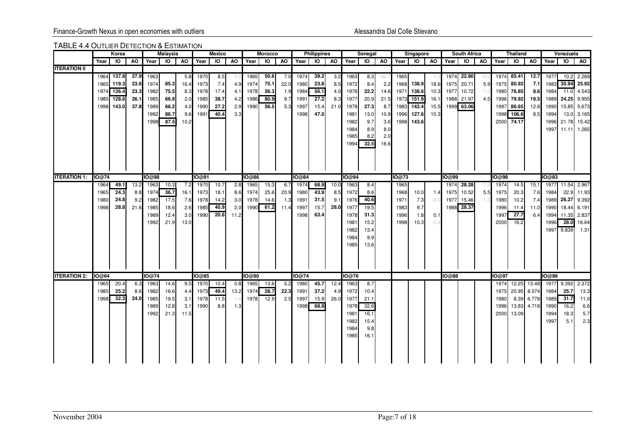### TABLE 4.4 OUTLIER DETECTION & ESTIMATION

|                     |              | Korea        |             |              | <b>Malaysia</b> |            |              | Mexico         |                |       | <b>Morocco</b> |             |              | <b>Philippines</b> |           |              | Senegal         |       |       | Singapore |        |              | <b>South Africa</b> |           |              | <b>Thailand</b> |           |            | Venezuela      |             |
|---------------------|--------------|--------------|-------------|--------------|-----------------|------------|--------------|----------------|----------------|-------|----------------|-------------|--------------|--------------------|-----------|--------------|-----------------|-------|-------|-----------|--------|--------------|---------------------|-----------|--------------|-----------------|-----------|------------|----------------|-------------|
|                     | Year 10      |              | <b>AO</b>   | Year         | $\overline{10}$ | AO         | Year         | $\overline{a}$ | A <sub>O</sub> | Year  | $\overline{6}$ | AO          | Year         |                    | $IO$ $AO$ | Year         | $\overline{10}$ | AO    |       | Year IO   |        | AO Year      | $\overline{6}$      | <b>AO</b> | Year         | $\overline{6}$  | <b>AO</b> | Year       | $\overline{6}$ | AO          |
| <b>ITERATION 0</b>  |              |              |             |              |                 |            |              |                |                |       |                |             |              |                    |           |              |                 |       |       |           |        |              |                     |           |              |                 |           |            |                |             |
|                     |              | 1964 137.8   | 27.9        | 1963         |                 | 5.8        | 1970         | 8.5            | 0.0            | 1965  | 50.6           | 7.0         | 1974         | 39.2               | 3.2       | 1963         | 8.3             | -50.1 | 1965  |           |        |              | 1974 22.80          | -3.0      | 1974         | 85.41           | 12.7      | 1977       | 10.2           | 2.269       |
|                     |              | 1965 119.3   | 23.6        | 1974         | 85.3            | 16.4       | 1973         | 7.4            | 4.9            | 1974  | 75.1           | 22.0        | 1980         | 23.8               | 8.5       | 1972         | 8.4             | 2.2   | 1968  | 138.9     | 18.6   | 1975         | 20.71               | 5.9       | 1975         | 80.92           | 7.1       | 1983       | 30.94          | 25.92       |
|                     |              | 1974 136.4   | 23.3        | 1982         | 75.5            | 8.3        | 1978         | 17.4           | 4.1            | 1978  | 56.3           | 1.9         | 1984         | 56.1               | 4.0       | 1976         | 22.2            | 14.6  | 1971  | 138.6     | 10.3   | 1977         | 10.72               | $-1.3$    | 1980         | 76.85           | 8.6       | 1984       | 11.0           | 4.543       |
|                     | 1980         | 128.6        | 26.1        | 1985         | 66.9            | 2.0        | 1985         | 38.7           | 4.2            | 1986  | 80.9           | 9.7         | 1991         | 27.2               | 8.3       | 1977         | 20.9            | 21.5  | 1973  | 151.9     | 16.1   |              | 1988 21.97          | 4.5       | 1996         | 79.92           | 19.5      | 1989       | 24.25          | 9.955       |
|                     |              | 1998 143.0   | 37.8        | 1989         | 66.2            | 4.0        | 1990         | 27.2           | 2.9            | 1990  | 56.5           | 5.3         | 1997         | 15.4               | 21.0      | 1978         | 27.3            | 8.7   | 1983  | 142.4     | 15.5   |              | 1999 63.06          |           | 1997         | 86.65           | 12.8      | 1990       | 15.85          | 5.673       |
|                     |              |              |             | 1992         | 86.7            | 9.6        | 1991         | 40.4           | 3.3            |       |                |             | 1998         | 47.0               |           | 1981         | 13.0            | 10.9  | 1996  | 127.6     | 10.3   |              |                     |           | 1998         | 106.6           | 8.5       | 1994       | 13.0           | 3.165       |
|                     |              |              |             | 1998         | 87.5            | 10.2       |              |                |                |       |                |             |              |                    |           | 1982         | 9.7             | 3.6   | 1998  | 143.6     |        |              |                     |           | 2000         | 74.17           |           | 1996       | 21.78          | 15.42       |
|                     |              |              |             |              |                 |            |              |                |                |       |                |             |              |                    |           | 1984         | 8.9             | 8.0   |       |           |        |              |                     |           |              |                 |           | 1997       | 11.11          | 1.265       |
|                     |              |              |             |              |                 |            |              |                |                |       |                |             |              |                    |           | 1985         | 8.2             | 2.0   |       |           |        |              |                     |           |              |                 |           |            |                |             |
|                     |              |              |             |              |                 |            |              |                |                |       |                |             |              |                    |           | 1994         | 32.5            | 16.6  |       |           |        |              |                     |           |              |                 |           |            |                |             |
|                     |              |              |             |              |                 |            |              |                |                |       |                |             |              |                    |           |              |                 |       |       |           |        |              |                     |           |              |                 |           |            |                |             |
|                     |              |              |             |              |                 |            |              |                |                |       |                |             |              |                    |           |              |                 |       |       |           |        |              |                     |           |              |                 |           |            |                |             |
|                     |              |              |             |              |                 |            |              |                |                |       |                |             |              |                    |           |              |                 |       |       |           |        |              |                     |           |              |                 |           |            |                |             |
| <b>ITERATION 1:</b> | IO@74        |              |             | IO@98        |                 |            | IO@91        |                |                | IO@86 |                |             | IO@84        |                    |           | IO@94        |                 |       | IO@73 |           |        | <b>IO@99</b> |                     |           | <b>IO@98</b> |                 |           | IO@83      |                |             |
|                     | 1964         | 49.1         | 13.2        | 1963         | 10.3            | 7.2        | 1970         | 10.7           | 2.8            | 1965  | 15.3           | 6.7         | 1974         | 68.9               | 10.0      | 1963         | 8.4             |       | 1965  |           |        | 1974         | 28.28               |           | 1974         | 14.5            | 15.       | 1977       |                | 11.54 2.967 |
|                     | 1965         | 24.3         | 8.8         | 1974         | 36.7            | 16.1       | 1973         | 18.1           | 8.6            | 1974  | 25.6           | 20.9        | 1980         | 43.9               | 8.5       | 1972         | 8.6             |       | 1968  | 10.0      | 1.4    | 1975         | 10.52               | 5.5       | 1975         | 20.3            | 7.6       | 1984       | 22.9           | 11.93       |
|                     | 1980         | 24.8         | 9.2         | 1982         | 17.5            |            | 7.6 1978     | 14.2           | 3.0            | 1978  | 14.6           | 1.3         | 1991         | 31.5               | 9.1       | 1976         | 40.6            |       | 1971  | 7.3       | $-4.0$ | 1977         | 15.46               | $-1.3$    | 1980         | 10.2            | 7.4       | 1989       |                | 26.27 9.392 |
|                     | 1998         | 28.8         | 21.6        | 1985         | 18.6            | 2.6        | 1985         | 40.9           | 2.0            |       | 1990 61.2      | 11.4        | 1997         | 15.7               | 28.0      | 1977         | 19.5            |       | 1983  | 9.7       |        |              | 1988 28.37          |           | 1996         | 11.4            | 11.0      | 1990       | 18.44          | 6.191       |
|                     |              |              |             | 1989         | 12.4            | 3.0        | 1990         | 20.6           | 11.2           |       |                |             | 1998         | 63.4               |           | 1978         | 31.3            |       | 1996  | 1.8       | 0.1    |              |                     |           | 1997         | 27.7            | 6.4       | 1994       | 11.35          | 2.837       |
|                     |              |              |             | 1992         | 21.9            | 13.0       |              |                |                |       |                |             |              |                    |           | 1981         | 15.2            |       | 1998  | 10.3      | $-5.9$ |              |                     |           | 2000         | 16.2            |           | 1996       | 28.0           | 16.64       |
|                     |              |              |             |              |                 |            |              |                |                |       |                |             |              |                    |           | 1982         | 13.4            |       |       |           |        |              |                     |           |              |                 |           | 1997       | 9.839          | 1.31        |
|                     |              |              |             |              |                 |            |              |                |                |       |                |             |              |                    |           | 1984         | 9.9             |       |       |           |        |              |                     |           |              |                 |           |            |                |             |
|                     |              |              |             |              |                 |            |              |                |                |       |                |             |              |                    |           | 1985         | 13.6            |       |       |           |        |              |                     |           |              |                 |           |            |                |             |
|                     |              |              |             |              |                 |            |              |                |                |       |                |             |              |                    |           |              |                 |       |       |           |        |              |                     |           |              |                 |           |            |                |             |
|                     |              |              |             |              |                 |            |              |                |                |       |                |             |              |                    |           |              |                 |       |       |           |        |              |                     |           |              |                 |           |            |                |             |
|                     |              |              |             |              |                 |            |              |                |                |       |                |             |              |                    |           |              |                 |       |       |           |        |              |                     |           |              |                 |           |            |                |             |
| <b>ITERATION 2:</b> | <b>IO@64</b> |              |             | IO@74        |                 |            | <b>IO@85</b> |                |                | IO@90 |                |             | IO@74        |                    |           | IO@76        |                 |       |       |           |        | <b>IO@88</b> |                     |           | IO@97        |                 |           | IO@96      |                |             |
|                     | 1965         | 20.4         | 6.3         | 1963         | 14.6            | 9.5        | 1970         | 10.4           | 0.8            | 1965  | 13.6           | 5.2         | 1980         | 45.7               | 12.4      | 1963         | 8.7             |       |       |           |        |              |                     |           | 1974         | 12.25           | 13.48     | 1977 9.392 |                | 2.372       |
|                     | 1980         | 25.2<br>32.3 | 8.6<br>24.0 | 1982         | 16.6            | 4.4        | 1973         | 49.4<br>11.5   | 13.2           | 1974  | 28.7<br>12.9   | 22.3<br>2.5 | 1991<br>1997 | 37.2               | 4.9       | 1972<br>1977 | 10.4            |       |       |           |        |              |                     |           | 1975         | 20.95           | 8.074     | 1984       | 25.7<br>31.7   | 13.3        |
|                     | 1998         |              |             | 1985<br>1989 | 19.5            | 3.1<br>3.1 | 1978<br>1990 | 8.8            | $-1.4$         | 1978  |                |             | 1998         | 15.9<br>68.8       | 26.0      |              | 21.1<br>32.6    |       |       |           |        |              |                     |           | 1980<br>1996 | 8.39            | 6.778     | 1989       | 16.2           | 11.0        |
|                     |              |              |             |              | 12.8            |            |              |                | 1.3            |       |                |             |              |                    |           | 1978         |                 |       |       |           |        |              |                     |           |              | 13.83           | 4.718     | 1990       |                | 6.6<br>5.7  |
|                     |              |              |             | 1992         | 21.3            | 11.5       |              |                |                |       |                |             |              |                    |           | 1981         | 16.1            |       |       |           |        |              |                     |           | 2000         | 13.09           |           | 1994       | 18.3           |             |
|                     |              |              |             |              |                 |            |              |                |                |       |                |             |              |                    |           | 1982         | 15.4            |       |       |           |        |              |                     |           |              |                 |           | 1997       | 5.1            | 2.3         |
|                     |              |              |             |              |                 |            |              |                |                |       |                |             |              |                    |           | 1984<br>1985 | 9.8<br>16.1     |       |       |           |        |              |                     |           |              |                 |           |            |                |             |
|                     |              |              |             |              |                 |            |              |                |                |       |                |             |              |                    |           |              |                 |       |       |           |        |              |                     |           |              |                 |           |            |                |             |
|                     |              |              |             |              |                 |            |              |                |                |       |                |             |              |                    |           |              |                 |       |       |           |        |              |                     |           |              |                 |           |            |                |             |
|                     |              |              |             |              |                 |            |              |                |                |       |                |             |              |                    |           |              |                 |       |       |           |        |              |                     |           |              |                 |           |            |                |             |
|                     |              |              |             |              |                 |            |              |                |                |       |                |             |              |                    |           |              |                 |       |       |           |        |              |                     |           |              |                 |           |            |                |             |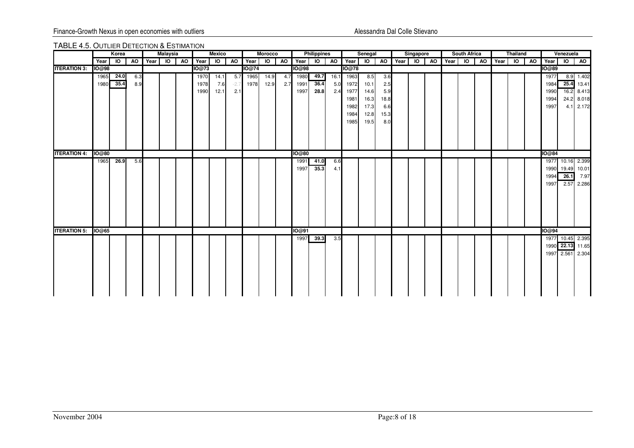### TABLE 4.5. OUTLIER DETECTION & ESTIMATION

|                     |              | Korea          |     |      | <b>Malaysia</b> |    |       | <b>Mexico</b>           |        |              | <b>Morocco</b> |           |              | <b>Philippines</b> |      |               | Senegal        |      |         | Singapore |      | <b>South Africa</b> |           |      | <b>Thailand</b> |    |              | Venezuela        |           |
|---------------------|--------------|----------------|-----|------|-----------------|----|-------|-------------------------|--------|--------------|----------------|-----------|--------------|--------------------|------|---------------|----------------|------|---------|-----------|------|---------------------|-----------|------|-----------------|----|--------------|------------------|-----------|
|                     | Year         | $\overline{6}$ | AO  | Year | $\overline{6}$  | AO | Year  | $\overline{\mathsf{o}}$ | ð      | Year         |                | $IO$ $AO$ | Year         | $IO$ $AO$          |      | Year          | $\overline{6}$ |      | AO Year | $IO$ $AO$ | Year | $\overline{5}$      | <b>AO</b> | Year | $\overline{a}$  | AO | Year         | $IO$ $AO$        |           |
| <b>ITERATION 3:</b> | <b>IO@98</b> |                |     |      |                 |    | IO@73 |                         |        | <b>IO@74</b> |                |           | IO@98        |                    |      | <b>IO</b> @78 |                |      |         |           |      |                     |           |      |                 |    | <b>IO@89</b> |                  |           |
|                     | 1965         | 24.0           | 6.3 |      |                 |    | 1970  | 14.1                    | 5.7    | 1965         | 14.9           | 4.7       | 1980         | 49.7               | 16.1 | 1963          | 8.5            | 3.6  |         |           |      |                     |           |      |                 |    | 1977         |                  | 8.9 1.402 |
|                     | 1980         | 35.4           | 8.9 |      |                 |    | 1978  | 7.6                     | $-2.7$ | 1978         | 12.9           | 2.7       | 1991         | 36.4               | 5.0  | 1972          | 10.1           | 2.5  |         |           |      |                     |           |      |                 |    | 1984         | 25.4             | 13.41     |
|                     |              |                |     |      |                 |    | 1990  | 12.1                    | 2.1    |              |                |           | 1997         | 28.8               | 2.4  | 1977          | 14.6           | 5.9  |         |           |      |                     |           |      |                 |    | 1990         | 16.2 8.413       |           |
|                     |              |                |     |      |                 |    |       |                         |        |              |                |           |              |                    |      | 1981          | 16.3           | 18.8 |         |           |      |                     |           |      |                 |    | 1994         | 24.2 8.018       |           |
|                     |              |                |     |      |                 |    |       |                         |        |              |                |           |              |                    |      | 1982          | 17.3           | 6.6  |         |           |      |                     |           |      |                 |    | 1997         |                  | 4.1 2.172 |
|                     |              |                |     |      |                 |    |       |                         |        |              |                |           |              |                    |      | 1984          | 12.8           | 15.3 |         |           |      |                     |           |      |                 |    |              |                  |           |
|                     |              |                |     |      |                 |    |       |                         |        |              |                |           |              |                    |      | 1985          | 19.5           | 8.0  |         |           |      |                     |           |      |                 |    |              |                  |           |
|                     |              |                |     |      |                 |    |       |                         |        |              |                |           |              |                    |      |               |                |      |         |           |      |                     |           |      |                 |    |              |                  |           |
|                     |              |                |     |      |                 |    |       |                         |        |              |                |           |              |                    |      |               |                |      |         |           |      |                     |           |      |                 |    |              |                  |           |
|                     |              |                |     |      |                 |    |       |                         |        |              |                |           |              |                    |      |               |                |      |         |           |      |                     |           |      |                 |    |              |                  |           |
| <b>ITERATION 4:</b> | <b>IO@80</b> |                |     |      |                 |    |       |                         |        |              |                |           | <b>IO@80</b> |                    |      |               |                |      |         |           |      |                     |           |      |                 |    | <b>IO@84</b> |                  |           |
|                     | 1965         | 26.9           | 5.6 |      |                 |    |       |                         |        |              |                |           | 1991         | 41.0               | 6.6  |               |                |      |         |           |      |                     |           |      |                 |    |              | 1977 10.16 2.399 |           |
|                     |              |                |     |      |                 |    |       |                         |        |              |                |           | 1997         | 35.3               | 4.1  |               |                |      |         |           |      |                     |           |      |                 |    |              | 1990 19.49 10.01 |           |
|                     |              |                |     |      |                 |    |       |                         |        |              |                |           |              |                    |      |               |                |      |         |           |      |                     |           |      |                 |    | 1994         | 26.1             | 7.97      |
|                     |              |                |     |      |                 |    |       |                         |        |              |                |           |              |                    |      |               |                |      |         |           |      |                     |           |      |                 |    | 1997         | 2.57             | 2.286     |
|                     |              |                |     |      |                 |    |       |                         |        |              |                |           |              |                    |      |               |                |      |         |           |      |                     |           |      |                 |    |              |                  |           |
|                     |              |                |     |      |                 |    |       |                         |        |              |                |           |              |                    |      |               |                |      |         |           |      |                     |           |      |                 |    |              |                  |           |
|                     |              |                |     |      |                 |    |       |                         |        |              |                |           |              |                    |      |               |                |      |         |           |      |                     |           |      |                 |    |              |                  |           |
|                     |              |                |     |      |                 |    |       |                         |        |              |                |           |              |                    |      |               |                |      |         |           |      |                     |           |      |                 |    |              |                  |           |
|                     |              |                |     |      |                 |    |       |                         |        |              |                |           |              |                    |      |               |                |      |         |           |      |                     |           |      |                 |    |              |                  |           |
|                     |              |                |     |      |                 |    |       |                         |        |              |                |           |              |                    |      |               |                |      |         |           |      |                     |           |      |                 |    |              |                  |           |
| <b>ITERATION 5:</b> | <b>IO@65</b> |                |     |      |                 |    |       |                         |        |              |                |           | IO@91        |                    |      |               |                |      |         |           |      |                     |           |      |                 |    | IO@94        |                  |           |
|                     |              |                |     |      |                 |    |       |                         |        |              |                |           | 1997         | 39.3               | 3.5  |               |                |      |         |           |      |                     |           |      |                 |    |              | 1977 10.45 2.395 |           |
|                     |              |                |     |      |                 |    |       |                         |        |              |                |           |              |                    |      |               |                |      |         |           |      |                     |           |      |                 |    |              | 1990 22.13       | 11.65     |
|                     |              |                |     |      |                 |    |       |                         |        |              |                |           |              |                    |      |               |                |      |         |           |      |                     |           |      |                 |    |              | 1997 2.561       | 2.304     |
|                     |              |                |     |      |                 |    |       |                         |        |              |                |           |              |                    |      |               |                |      |         |           |      |                     |           |      |                 |    |              |                  |           |
|                     |              |                |     |      |                 |    |       |                         |        |              |                |           |              |                    |      |               |                |      |         |           |      |                     |           |      |                 |    |              |                  |           |
|                     |              |                |     |      |                 |    |       |                         |        |              |                |           |              |                    |      |               |                |      |         |           |      |                     |           |      |                 |    |              |                  |           |
|                     |              |                |     |      |                 |    |       |                         |        |              |                |           |              |                    |      |               |                |      |         |           |      |                     |           |      |                 |    |              |                  |           |
|                     |              |                |     |      |                 |    |       |                         |        |              |                |           |              |                    |      |               |                |      |         |           |      |                     |           |      |                 |    |              |                  |           |
|                     |              |                |     |      |                 |    |       |                         |        |              |                |           |              |                    |      |               |                |      |         |           |      |                     |           |      |                 |    |              |                  |           |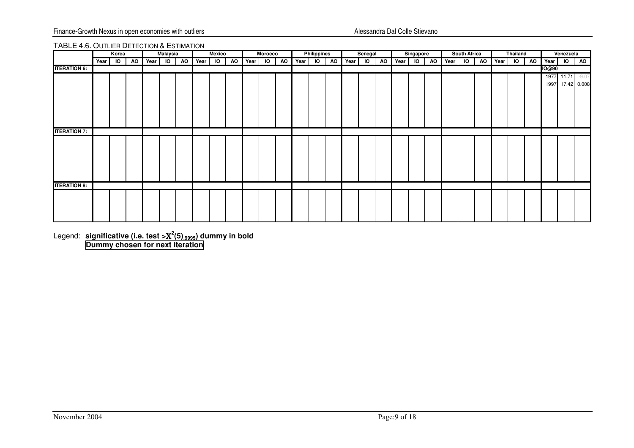### TABLE 4.6. OUTLIER DETECTION & ESTIMATION

|                     |      | Korea     |    | <b>Malaysia</b> |            | <b>Mexico</b> |    |            | <b>Morocco</b> |  | <b>Philippines</b> |  | Senegal |    | Singapore |    |      | <b>South Africa</b> |    |         | <b>Thailand</b> |                |              | Venezuela      |                  |
|---------------------|------|-----------|----|-----------------|------------|---------------|----|------------|----------------|--|--------------------|--|---------|----|-----------|----|------|---------------------|----|---------|-----------------|----------------|--------------|----------------|------------------|
|                     | Year | <b>IO</b> | AO | Year IO         | AO Year IO |               | AO | Year IO AO |                |  | Year IO AO         |  | Year IO | AO | Year IO   | AO | Year | $\overline{10}$     | AO | Year IO |                 | A <sub>0</sub> | Year         | $\overline{a}$ | <b>AO</b>        |
| <b>ITERATION 6:</b> |      |           |    |                 |            |               |    |            |                |  |                    |  |         |    |           |    |      |                     |    |         |                 |                | <b>IO@90</b> |                |                  |
|                     |      |           |    |                 |            |               |    |            |                |  |                    |  |         |    |           |    |      |                     |    |         |                 |                |              |                | 1977 11.71 -9.07 |
|                     |      |           |    |                 |            |               |    |            |                |  |                    |  |         |    |           |    |      |                     |    |         |                 |                |              |                | 1997 17.42 0.008 |
|                     |      |           |    |                 |            |               |    |            |                |  |                    |  |         |    |           |    |      |                     |    |         |                 |                |              |                |                  |
|                     |      |           |    |                 |            |               |    |            |                |  |                    |  |         |    |           |    |      |                     |    |         |                 |                |              |                |                  |
|                     |      |           |    |                 |            |               |    |            |                |  |                    |  |         |    |           |    |      |                     |    |         |                 |                |              |                |                  |
|                     |      |           |    |                 |            |               |    |            |                |  |                    |  |         |    |           |    |      |                     |    |         |                 |                |              |                |                  |
|                     |      |           |    |                 |            |               |    |            |                |  |                    |  |         |    |           |    |      |                     |    |         |                 |                |              |                |                  |
| <b>ITERATION 7:</b> |      |           |    |                 |            |               |    |            |                |  |                    |  |         |    |           |    |      |                     |    |         |                 |                |              |                |                  |
|                     |      |           |    |                 |            |               |    |            |                |  |                    |  |         |    |           |    |      |                     |    |         |                 |                |              |                |                  |
|                     |      |           |    |                 |            |               |    |            |                |  |                    |  |         |    |           |    |      |                     |    |         |                 |                |              |                |                  |
|                     |      |           |    |                 |            |               |    |            |                |  |                    |  |         |    |           |    |      |                     |    |         |                 |                |              |                |                  |
|                     |      |           |    |                 |            |               |    |            |                |  |                    |  |         |    |           |    |      |                     |    |         |                 |                |              |                |                  |
|                     |      |           |    |                 |            |               |    |            |                |  |                    |  |         |    |           |    |      |                     |    |         |                 |                |              |                |                  |
|                     |      |           |    |                 |            |               |    |            |                |  |                    |  |         |    |           |    |      |                     |    |         |                 |                |              |                |                  |
| <b>ITERATION 8:</b> |      |           |    |                 |            |               |    |            |                |  |                    |  |         |    |           |    |      |                     |    |         |                 |                |              |                |                  |
|                     |      |           |    |                 |            |               |    |            |                |  |                    |  |         |    |           |    |      |                     |    |         |                 |                |              |                |                  |
|                     |      |           |    |                 |            |               |    |            |                |  |                    |  |         |    |           |    |      |                     |    |         |                 |                |              |                |                  |
|                     |      |           |    |                 |            |               |    |            |                |  |                    |  |         |    |           |    |      |                     |    |         |                 |                |              |                |                  |
|                     |      |           |    |                 |            |               |    |            |                |  |                    |  |         |    |           |    |      |                     |    |         |                 |                |              |                |                  |
|                     |      |           |    |                 |            |               |    |            |                |  |                    |  |         |    |           |    |      |                     |    |         |                 |                |              |                |                  |

Legend: **significative (i.e. test >**Χ**2(5).9995) dummy in bold Dummy chosen for next iteration**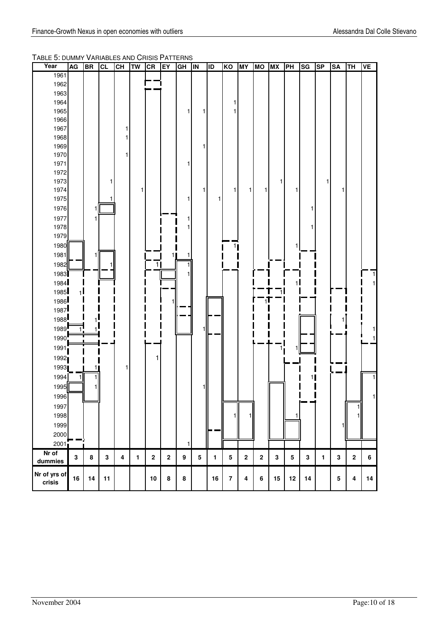TABLE 5: DUMMY VARIABLES AND CRISIS PATTERNS

| Year                                                   | AG           | <b>BR</b> | <b>CL</b> | <b>CH</b>               | <b>TW</b>    | CR         | EY             | GH               | <b>IN</b> | ID   | KO             | <b>MY</b> | <b>MO</b>   | <b>MX</b>   | PH        | SG | <b>SP</b>    | <b>SA</b> | TH      | <b>VE</b> |
|--------------------------------------------------------|--------------|-----------|-----------|-------------------------|--------------|------------|----------------|------------------|-----------|------|----------------|-----------|-------------|-------------|-----------|----|--------------|-----------|---------|-----------|
| 1961                                                   |              |           |           |                         |              |            |                |                  |           |      |                |           |             |             |           |    |              |           |         |           |
| 1962                                                   |              |           |           |                         |              |            |                |                  |           |      |                |           |             |             |           |    |              |           |         |           |
| 1963                                                   |              |           |           |                         |              |            |                |                  |           |      |                |           |             |             |           |    |              |           |         |           |
| 1964                                                   |              |           |           |                         |              |            |                |                  |           |      |                |           |             |             |           |    |              |           |         |           |
| 1965                                                   |              |           |           |                         |              |            |                | 1                | 1         |      |                |           |             |             |           |    |              |           |         |           |
| 1966                                                   |              |           |           |                         |              |            |                |                  |           |      |                |           |             |             |           |    |              |           |         |           |
| 1967                                                   |              |           |           |                         |              |            |                |                  |           |      |                |           |             |             |           |    |              |           |         |           |
| 1968                                                   |              |           |           |                         |              |            |                |                  |           |      |                |           |             |             |           |    |              |           |         |           |
| 1969                                                   |              |           |           |                         |              |            |                |                  |           |      |                |           |             |             |           |    |              |           |         |           |
| 1970                                                   |              |           |           |                         |              |            |                |                  |           |      |                |           |             |             |           |    |              |           |         |           |
| 1971                                                   |              |           |           |                         |              |            |                | 1                |           |      |                |           |             |             |           |    |              |           |         |           |
| 1972                                                   |              |           |           |                         |              |            |                |                  |           |      |                |           |             |             |           |    |              |           |         |           |
| 1973                                                   |              |           |           |                         |              |            |                |                  |           |      |                |           |             | 1           |           |    | 1            |           |         |           |
| 1974                                                   |              |           |           |                         | 1            |            |                |                  | 1         |      | 1              | 1         | 1           |             | 1         |    |              |           |         |           |
| 1975                                                   |              |           |           |                         |              |            |                | 1                |           | 1    |                |           |             |             |           |    |              |           |         |           |
| 1976                                                   |              |           |           |                         |              |            |                |                  |           |      |                |           |             |             |           |    |              |           |         |           |
| 1977                                                   |              | 1         |           |                         |              |            |                |                  |           |      |                |           |             |             |           |    |              |           |         |           |
| 1978                                                   |              |           |           |                         |              |            |                | 1                |           |      |                |           |             |             |           |    |              |           |         |           |
| 1979                                                   |              |           |           |                         |              |            |                |                  |           |      |                |           |             |             |           |    |              |           |         |           |
| 1980                                                   |              |           |           |                         |              |            |                |                  |           |      | 1 <sub>l</sub> |           |             |             |           |    |              |           |         |           |
| 1981                                                   |              |           |           |                         |              |            | 1 <sub>l</sub> |                  |           |      |                |           |             |             |           |    |              |           |         |           |
| 1982                                                   |              |           |           |                         |              | 1          |                |                  |           |      |                |           |             |             |           |    |              |           |         |           |
| 1983                                                   |              |           |           |                         |              |            |                |                  |           |      |                |           |             |             |           |    |              |           |         |           |
| 1984                                                   |              |           |           |                         |              |            |                |                  |           |      |                |           |             |             | 11        |    |              |           |         |           |
| 1985                                                   | $\mathbf{1}$ |           |           |                         |              |            |                |                  |           |      |                |           |             |             |           |    |              |           |         |           |
|                                                        |              |           |           |                         |              |            |                |                  |           |      |                |           |             |             |           |    |              |           |         |           |
|                                                        |              |           |           |                         |              |            |                |                  |           |      |                |           |             |             |           |    |              |           |         |           |
| $\begin{array}{c} 1986 \\ 1987 \\ 1988 \\ \end{array}$ |              |           |           |                         |              |            |                |                  |           |      |                |           |             |             |           |    |              |           |         |           |
| 1989                                                   |              |           |           |                         |              |            |                |                  |           |      |                |           |             |             |           |    |              |           |         |           |
| 1990                                                   |              |           |           |                         |              |            |                |                  |           |      |                |           |             |             |           |    |              |           |         |           |
|                                                        |              |           |           |                         |              |            |                |                  |           |      |                |           |             |             |           |    |              |           |         |           |
| 1991                                                   |              |           |           |                         |              |            |                |                  |           |      |                |           |             |             |           |    |              |           |         |           |
| 1992                                                   |              |           |           |                         |              |            |                |                  |           |      |                |           |             |             |           |    |              |           |         |           |
| 1993                                                   |              |           |           | 1                       |              |            |                |                  |           |      |                |           |             |             |           |    |              |           |         |           |
| 1994                                                   |              |           |           |                         |              |            |                |                  |           |      |                |           |             |             |           | 11 |              |           |         |           |
| 1995                                                   |              |           |           |                         |              |            |                |                  |           |      |                |           |             |             |           |    |              |           |         |           |
| 1996                                                   |              |           |           |                         |              |            |                |                  |           |      |                |           |             |             |           |    |              |           |         |           |
| 1997                                                   |              |           |           |                         |              |            |                |                  |           |      |                |           |             |             |           |    |              |           | 11      |           |
| 1998                                                   |              |           |           |                         |              |            |                |                  |           |      |                |           |             |             | 1         |    |              |           |         |           |
| 1999                                                   |              |           |           |                         |              |            |                |                  |           |      |                |           |             |             |           |    |              | 1         |         |           |
| 2000                                                   |              |           |           |                         |              |            |                |                  |           |      |                |           |             |             |           |    |              |           |         |           |
| 2001                                                   |              |           |           |                         |              |            |                | 1                |           |      |                |           |             |             |           |    |              |           |         |           |
| Nr of                                                  |              |           |           |                         |              |            |                |                  |           |      |                |           |             |             |           |    |              |           |         |           |
| dummies                                                | $\mathbf 3$  | $\bf8$    | ${\bf 3}$ | $\overline{\mathbf{4}}$ | $\mathbf{1}$ | $\bf 2$    | $\mathbf 2$    | $\boldsymbol{9}$ | ${\bf 5}$ | 1    | ${\bf 5}$      | $\bf 2$   | $\mathbf 2$ | $\mathbf 3$ | ${\bf 5}$ | 3  | $\mathbf{1}$ | 3         | $\bf 2$ | 6         |
| Nr of yrs of                                           |              |           |           |                         |              |            |                |                  |           |      |                |           |             |             |           |    |              |           |         |           |
| crisis                                                 | $16\,$       | 14        | 11        |                         |              | ${\bf 10}$ | 8              | 8                |           | $16$ | $\bf 7$        | 4         | 6           | 15          | $12\,$    | 14 |              | ${\bf 5}$ | 4       | 14        |
|                                                        |              |           |           |                         |              |            |                |                  |           |      |                |           |             |             |           |    |              |           |         |           |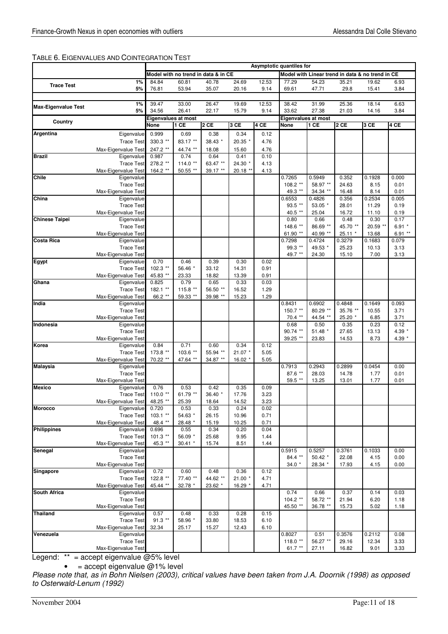# TABLE 6. EIGENVALUES AND COINTEGRATION TEST

|                            |                                          |                                    |                  |                                     |                |              | Asymptotic quantiles for           |                      |                                                  |                |                |
|----------------------------|------------------------------------------|------------------------------------|------------------|-------------------------------------|----------------|--------------|------------------------------------|----------------------|--------------------------------------------------|----------------|----------------|
|                            |                                          |                                    |                  | Model with no trend in data & in CE |                |              |                                    |                      | Model with Linear trend in data & no trend in CE |                |                |
| <b>Trace Test</b>          | 1%                                       | 84.84                              | 60.81            | 40.78                               | 24.69          | 12.53        | 77.29                              | 54.23                | 35.21                                            | 19.62          | 6.93           |
|                            | 5%                                       | 76.81                              | 53.94            | 35.07                               | 20.16          | 9.14         | 69.61                              | 47.71                | 29.8                                             | 15.41          | 3.84           |
|                            |                                          |                                    |                  |                                     |                |              |                                    |                      |                                                  |                |                |
| <b>Max-Eigenvalue Test</b> | 1%                                       | 39.47                              | 33.00            | 26.47                               | 19.69          | 12.53        | 38.42                              | 31.99                | 25.36                                            | 18.14          | 6.63           |
|                            | 5%                                       | 34.56                              | 26.41            | 22.17                               | 15.79          | 9.14         | 33.62                              | 27.38                | 21.03                                            | 14.16          | 3.84           |
| Country                    |                                          | <b>Eigenvalues at most</b><br>None | 1 CE             | 2 CE                                | 3 CE           | 4 CE         | Eigenvalues at most<br><b>None</b> | 1 CE                 | 2 CE                                             | 3 CE           | 4 CE           |
|                            |                                          |                                    |                  |                                     |                |              |                                    |                      |                                                  |                |                |
| Argentina                  | Eigenvalue                               | 0.999<br>330.3 **                  | 0.69             | 0.38<br>38.43 *                     | 0.34           | 0.12         |                                    |                      |                                                  |                |                |
|                            | <b>Trace Test</b>                        |                                    | 83.17 **         |                                     | 20.35 *        | 4.76         |                                    |                      |                                                  |                |                |
| <b>Brazil</b>              | Max-Eigenvalue Test<br>Eigenvalue        | 247.2 **<br>0.987                  | 44.74 **<br>0.74 | 18.08<br>0.64                       | 15.60<br>0.41  | 4.76<br>0.10 |                                    |                      |                                                  |                |                |
|                            | <b>Trace Test</b>                        | 278.2 **                           | $114.0**$        | 63.47 **                            | 24.30 *        | 4.13         |                                    |                      |                                                  |                |                |
|                            | Max-Eigenvalue Test                      | 164.2 **                           | 50.55 **         | 39.17 **                            | 20.18 *        | 4.13         |                                    |                      |                                                  |                |                |
| Chile                      | Eigenvalue                               |                                    |                  |                                     |                |              | 0.7265                             | 0.5949               | 0.352                                            | 0.1928         | 0.000          |
|                            | <b>Trace Test</b>                        |                                    |                  |                                     |                |              | 108.2 **                           | 58.97 **             | 24.63                                            | 8.15           | 0.01           |
|                            | Max-Eigenvalue Test                      |                                    |                  |                                     |                |              | 49.3 **                            | 34.34 **             | 16.48                                            | 8.14           | 0.01           |
| China                      | Eigenvalue                               |                                    |                  |                                     |                |              | 0.6553                             | 0.4826               | 0.356                                            | 0.2534         | 0.005          |
|                            | <b>Trace Test</b><br>Max-Eigenvalue Test |                                    |                  |                                     |                |              | 93.5 **<br>40.5 **                 | 53.05 *<br>25.04     | 28.01<br>16.72                                   | 11.29<br>11.10 | 0.19<br>0.19   |
| <b>Chinese Taipei</b>      | Eigenvalue                               |                                    |                  |                                     |                |              | 0.80                               | 0.66                 | 0.48                                             | 0.30           | 0.17           |
|                            | <b>Trace Test</b>                        |                                    |                  |                                     |                |              | 148.6 **                           | 86.69 **             | 45.70 **                                         | 20.59 **       | $6.91*$        |
|                            | Max-Eigenvalue Test                      |                                    |                  |                                     |                |              | 61.90 **                           | 40.99 **             | $25.11*$                                         | 13.68          | $6.91**$       |
| <b>Costa Rica</b>          | Eigenvalue                               |                                    |                  |                                     |                |              | 0.7298                             | 0.4724               | 0.3279                                           | 0.1683         | 0.079          |
|                            | <b>Trace Test</b>                        |                                    |                  |                                     |                |              | 99.3 **                            | 49.53 *              | 25.23                                            | 10.13          | 3.13           |
|                            | Max-Eigenvalue Test                      |                                    |                  |                                     |                |              | 49.7 **                            | 24.30                | 15.10                                            | 7.00           | 3.13           |
| Egypt                      | Eigenvalue                               | 0.70                               | 0.46             | 0.39                                | 0.30           | 0.02         |                                    |                      |                                                  |                |                |
|                            | <b>Trace Test</b><br>Max-Eigenvalue Test | 102.3 **                           | 56.46 *          | 33.12<br>18.82                      | 14.31<br>13.39 | 0.91<br>0.91 |                                    |                      |                                                  |                |                |
| Ghana                      | Eigenvalue                               | 45.83 **<br>0.825                  | 23.33<br>0.79    | 0.65                                | 0.33           | 0.03         |                                    |                      |                                                  |                |                |
|                            | <b>Trace Test</b>                        | 182.1 **                           | 115.8 **         | 56.50 **                            | 16.52          | 1.29         |                                    |                      |                                                  |                |                |
|                            | Max-Eigenvalue Test                      | 66.2 **                            | 59.33 **         | 39.98 **                            | 15.23          | 1.29         |                                    |                      |                                                  |                |                |
| India                      | Eigenvalue                               |                                    |                  |                                     |                |              | 0.8431                             | 0.6902               | 0.4848                                           | 0.1649         | 0.093          |
|                            | <b>Trace Test</b>                        |                                    |                  |                                     |                |              | 150.7 **                           | 80.29 **             | 35.76 **                                         | 10.55          | 3.71           |
|                            | Max-Eigenvalue Test                      |                                    |                  |                                     |                |              | 70.4 **                            | 44.54 **             | 25.20 *                                          | 6.85           | 3.71           |
| Indonesia                  | Eigenvalue<br><b>Trace Test</b>          |                                    |                  |                                     |                |              | 0.68<br>90.74 **                   | 0.50<br>51.48 *      | 0.35                                             | 0.23<br>13.13  | 0.12<br>4.39 * |
|                            | Max-Eigenvalue Test                      |                                    |                  |                                     |                |              | 39.25 **                           | 23.83                | 27.65<br>14.53                                   | 8.73           | 4.39 *         |
| Korea                      | Eigenvalue                               | 0.84                               | 0.71             | 0.60                                | 0.34           | 0.12         |                                    |                      |                                                  |                |                |
|                            | <b>Trace Test</b>                        | 173.8 **                           | 103.6 **         | 55.94 **                            | $21.07$ *      | 5.05         |                                    |                      |                                                  |                |                |
|                            | Max-Eigenvalue Test                      | 70.22 **                           | 47.64 **         | 34.87 **                            | 16.02 *        | 5.05         |                                    |                      |                                                  |                |                |
| <b>Malaysia</b>            | Eigenvalue                               |                                    |                  |                                     |                |              | 0.7913                             | 0.2943               | 0.2899                                           | 0.0454         | 0.00           |
|                            | <b>Trace Test</b>                        |                                    |                  |                                     |                |              | 87.6 **                            | 28.03                | 14.78                                            | 1.77           | 0.01           |
|                            | Max-Eigenvalue Test                      |                                    |                  |                                     |                |              | 59.5 **                            | 13.25                | 13.01                                            | 1.77           | 0.01           |
| <b>Mexico</b>              | Eigenvalue<br><b>Trace Test</b>          | 0.76<br>110.0 **                   | 0.53<br>61.79 ** | 0.42<br>36.40 *                     | 0.35<br>17.76  | 0.09<br>3.23 |                                    |                      |                                                  |                |                |
|                            | Max-Eigenvalue Test                      | 48.25                              | 25.39            | 18.64                               | 14.52          | 3.23         |                                    |                      |                                                  |                |                |
| <b>Morocco</b>             | Eigenvalue                               | 0.720                              | 0.53             | 0.33                                | 0.24           | 0.02         |                                    |                      |                                                  |                |                |
|                            | <b>Trace Test</b>                        | $103.1$ **                         | 54.63 *          | 26.15                               | 10.96          | 0.71         |                                    |                      |                                                  |                |                |
|                            | Max-Eigenvalue Test                      | 48.4 **                            | 28.48 *          | 15.19                               | 10.25          | 0.71         |                                    |                      |                                                  |                |                |
| <b>Philippines</b>         | Eigenvalue                               | 0.696                              | 0.55             | 0.34                                | 0.20           | 0.04         |                                    |                      |                                                  |                |                |
|                            | <b>Trace Test</b>                        | $101.3$ **                         | 56.09 *          | 25.68                               | 9.95           | 1.44         |                                    |                      |                                                  |                |                |
| Senegal                    | Max-Eigenvalue Test<br>Eigenvalue        | 45.3 **                            | $30.41$ *        | 15.74                               | 8.51           | 1.44         | 0.5915                             | 0.5257               | 0.3761                                           | 0.1033         | 0.00           |
|                            | <b>Trace Test</b>                        |                                    |                  |                                     |                |              | 84.4 **                            | $50.42$ *            | 22.08                                            | 4.15           | 0.00           |
|                            | Max-Eigenvalue Test                      |                                    |                  |                                     |                |              | $34.0*$                            | 28.34 *              | 17.93                                            | 4.15           | 0.00           |
| Singapore                  | Eigenvalue                               | 0.72                               | 0.60             | 0.48                                | 0.36           | 0.12         |                                    |                      |                                                  |                |                |
|                            | <b>Trace Test</b>                        | 122.8 **                           | 77.40 **         | 44.62 **                            | $21.00*$       | 4.71         |                                    |                      |                                                  |                |                |
|                            | Max-Eigenvalue Test                      | 45.44 **                           | 32.78 *          | 23.62 *                             | 16.29 *        | 4.71         |                                    |                      |                                                  |                |                |
| <b>South Africa</b>        | Eigenvalue                               |                                    |                  |                                     |                |              | 0.74                               | 0.66                 | 0.37                                             | 0.14           | 0.03           |
|                            | <b>Trace Test</b><br>Max-Eigenvalue Test |                                    |                  |                                     |                |              | $104.2$ **<br>45.50 **             | 58.72 **<br>36.78 ** | 21.94                                            | 6.20           | 1.18           |
| <b>Thailand</b>            | Eigenvalue                               | 0.57                               | 0.48             | 0.33                                | 0.28           | 0.15         |                                    |                      | 15.73                                            | 5.02           | 1.18           |
|                            | <b>Trace Test</b>                        | $91.3$ **                          | 58.96 *          | 33.80                               | 18.53          | 6.10         |                                    |                      |                                                  |                |                |
|                            | Max-Eigenvalue Test                      | 32.34                              | 25.17            | 15.27                               | 12.43          | 6.10         |                                    |                      |                                                  |                |                |
| Venezuela                  | Eigenvalue                               |                                    |                  |                                     |                |              | 0.8027                             | 0.51                 | 0.3576                                           | 0.2112         | 0.08           |
|                            | <b>Trace Test</b>                        |                                    |                  |                                     |                |              | 118.0 **                           | 56.27 **             | 29.16                                            | 12.34          | 3.33           |
|                            | Max-Eigenvalue Test                      |                                    |                  |                                     |                |              | 61.7 **                            | 27.11                | 16.82                                            | 9.01           | 3.33           |

Legend: \*\* = accept eigenvalue @5% level

 $\bullet$  = accept eigenvalue  $@1\%$  level

Please note that, as in Bohn Nielsen (2003), critical values have been taken from J.A. Doornik (1998) as opposed to Osterwald-Lenum (1992)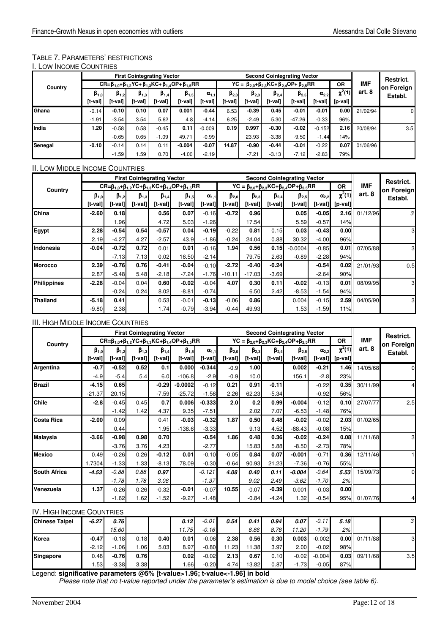# TABLE 7. PARAMETERS' RESTRICTIONS

| I. LOW INCOME COUNTRIES |  |
|-------------------------|--|
|-------------------------|--|

|                 |               |               | <b>First Cointegrating Vector</b> |               |                                                                        |                |               |               |               | <b>Second Cointegrating Vector</b>                    |                |             |            | Restrict.  |
|-----------------|---------------|---------------|-----------------------------------|---------------|------------------------------------------------------------------------|----------------|---------------|---------------|---------------|-------------------------------------------------------|----------------|-------------|------------|------------|
| Country         |               |               |                                   |               | CR= $β_{1.0}$ + $β_{1.2}$ YC+ $β_{1.3}$ KC+ $β_{1.4}$ OP+ $β_{1.5}$ RR |                |               |               |               | YC = $β_{20}$ + $β_{23}$ KC+ $β_{24}$ OP+ $β_{25}$ RR |                | <b>OR</b>   | <b>IMF</b> | on Foreign |
|                 | $\beta_{1,0}$ | $\beta_{1,2}$ | $\beta_{1,3}$                     | $\beta_{1,4}$ | $\beta_{1,5}$                                                          | $\alpha_{1,1}$ | $\beta_{2,0}$ | $\beta_{2,3}$ | $\beta_{2,4}$ | $\beta_{2,5}$                                         | $\alpha_{2,2}$ | $\chi^2(1)$ | art. 8     | Establ.    |
|                 | [t-val]       | [t-val]       | [t-val]                           | [t-val]       | [t-val]                                                                | [t-val]        | [t-val]       | [t-val]       | [t-val]       | [t-val]                                               | [t-val]        | $[p-value]$ |            |            |
| Ghana           | $-0.14$       | $-0.10$       | 0.10                              | 0.07          | 0.001                                                                  | $-0.44$        | 6.53          | $-0.39$       | 0.45          | $-0.01$                                               | $-0.01$        | 0.00        | 21/02/94   | 0          |
|                 | $-1.91$       | $-3.54$       | 3.54                              | 5.62          | 4.8                                                                    | $-4.14$        | 6.25          | $-2.49$       | 5.30          | $-47.26$                                              | $-0.33$        | 96%         |            |            |
| <b>I</b> India  | 1.20          | $-0.58$       | 0.58                              | $-0.45$       | 0.11                                                                   | $-0.009$       | 0.19          | 0.997         | $-0.30$       | $-0.02$                                               | $-0.152$       | 2.16        | 20/08/94   | 3.5        |
|                 |               | $-0.65$       | 0.65                              | $-1.09$       | 49.71                                                                  | $-0.99$        |               | 23.93         | $-3.38$       | $-9.50$                                               | $-1.44$        | 14%         |            |            |
| <b>ISenegal</b> | $-0.10$       | $-0.14$       | 0.14                              | 0.11          | $-0.004$                                                               | $-0.07$        | 14.87         | $-0.90$       | $-0.44$       | $-0.01$                                               | $-0.22$        | 0.07        | 01/06/96   |            |
|                 |               | $-1.59$       | l.59                              | 0.70          | $-4.00$                                                                | $-2.19$        |               | $-7.21$       | $-3.13$       | $-7.12$                                               | $-2.83$        | 79%         |            |            |

# II. LOW MIDDLE INCOME COUNTRIES

|                    | <b>First Cointegrating Vector</b> |               |               |               |                                                                                        |                |                                                                       |               |               | <b>Second Cointegrating Vector</b> |                |             |            | Restrict.  |
|--------------------|-----------------------------------|---------------|---------------|---------------|----------------------------------------------------------------------------------------|----------------|-----------------------------------------------------------------------|---------------|---------------|------------------------------------|----------------|-------------|------------|------------|
| Country            |                                   |               |               |               | $CR = \beta_{1.0} + \beta_{1.2} YC + \beta_{1.3} KC + \beta_{1.4} OP + \beta_{1.5} RR$ |                | $YC = \beta_{2.0} + \beta_{2.3} KC + \beta_{2.4} OP + \beta_{2.5} RR$ |               |               |                                    |                |             | <b>IMF</b> | on Foreign |
|                    | $\beta_{1,0}$                     | $\beta_{1,2}$ | $\beta_{1,3}$ | $\beta_{1,4}$ | $\beta_{1,5}$                                                                          | $\alpha_{1.1}$ | $\beta_{2,0}$                                                         | $\beta_{2,3}$ | $\beta_{2,4}$ | $\beta_{2,5}$                      | $\alpha_{2.2}$ | $\chi^2(1)$ | art. 8     | Establ.    |
|                    | [t-val]                           | [t-val]       | [t-val]       | [t-val]       | [t-val]                                                                                | [t-val]        | [t-val]                                                               | [t-val]       | $[t-val]$     | [t-val]                            | [t-val]        | $[p-value]$ |            |            |
| China              | $-2.60$                           | 0.18          |               | 0.56          | 0.07                                                                                   | $-0.16$        | $-0.72$                                                               | 0.96          |               | 0.05                               | $-0.05$        | 2.16II      | 01/12/96   | 3          |
|                    |                                   | 1.96          |               | 4.72          | 5.03                                                                                   | $-1.26$        |                                                                       | 17.54         |               | 5.59                               | $-0.57$        | 14%         |            |            |
| Egypt              | 2.28                              | $-0.54$       | 0.54          | $-0.57$       | 0.04                                                                                   | $-0.19$        | $-0.22$                                                               | 0.81          | 0.15          | 0.03                               | $-0.43$        | 0.00        |            | 3          |
|                    | 2.19                              | $-4.27$       | 4.27          | $-2.57$       | 43.9                                                                                   | $-1.86$        | $-0.24$                                                               | 24.04         | 0.88          | 30.32                              | $-4.00$        | 96%         |            |            |
| Indonesia          | $-0.04$                           | $-0.72$       | 0.72          | 0.01          | 0.01                                                                                   | $-0.16$        | 1.94                                                                  | 0.56          | 0.15          | $-0.0004$                          | $-0.85$        | 0.01        | 07/05/88   | 3          |
|                    |                                   | $-7.13$       | 7.13          | 0.02          | 16.50                                                                                  | $-2.14$        |                                                                       | 79.75         | 2.63          | $-0.89$                            | $-2.28$        | 94%         |            |            |
| <b>Morocco</b>     | 2.39                              | $-0.76$       | 0.76          | $-0.41$       | $-0.04$                                                                                | $-0.10$        | $-2.72$                                                               | $-0.40$       | $-0.24$       |                                    | $-0.54$        | 0.02        | 21/01/93   | 0.5        |
|                    | 2.87                              | $-5.48$       | 5.48          | $-2.18$       | $-7.24$                                                                                | $-1.76$        | $-10.11$                                                              | $-17.03$      | $-3.69$       |                                    | $-2.64$        | 90%         |            |            |
| <b>Philippines</b> | $-2.28$                           | $-0.04$       | 0.04          | 0.60          | $-0.02$                                                                                | $-0.04$        | 4.07                                                                  | 0.30          | 0.11          | $-0.02$                            | $-0.13$        | 0.01        | 08/09/95   | 3          |
|                    |                                   | $-0.24$       | 0.24          | 8.02          | $-8.81$                                                                                | $-0.74$        |                                                                       | 6.50          | 2.42          | $-8.53$                            | $-1.54$        | 94%         |            |            |
| <b>Thailand</b>    | $-5.18$                           | 0.41          |               | 0.53          | $-0.01$                                                                                | $-0.13$        | $-0.06$                                                               | 0.86          |               | 0.004                              | $-0.15$        | 2.59        | 04/05/90   | 3          |
|                    | $-9.80$                           | 2.38          |               | 1.74          | $-0.79$                                                                                | $-3.94$        | $-0.44$                                                               | 49.93         |               | 1.53                               | $-1.59$        | 11%         |            |            |

# III. HIGH MIDDLE INCOME COUNTRIES

|                     |               |               | <b>First Cointegrating Vector</b> |               |                                                                                                 |                |                  | <b>Second Cointegrating Vector</b> |               |                                                                       |                |             |              | Restrict.  |
|---------------------|---------------|---------------|-----------------------------------|---------------|-------------------------------------------------------------------------------------------------|----------------|------------------|------------------------------------|---------------|-----------------------------------------------------------------------|----------------|-------------|--------------|------------|
| Country             |               |               |                                   |               | $CR = \beta_{1.0} + \beta_{1.2}$ YC+β <sub>1.3</sub> KC+β <sub>1.4</sub> OP+β <sub>1.5</sub> RR |                |                  |                                    |               | $YC = \beta_{2.0} + \beta_{2.3} KC + \beta_{2.4} OP + \beta_{2.5} RR$ |                | <b>OR</b>   | <b>IMF</b>   | on Foreign |
|                     | $\beta_{1,0}$ | $\beta_{1,2}$ | $\beta_{1,3}$                     | $\beta_{1,4}$ | $\beta_{1,5}$                                                                                   | $\alpha_{1.1}$ | $\beta_{2,0}$    | $\beta_{2,3}$                      | $\beta_{2,4}$ | $\beta_{2,5}$                                                         | $\alpha_{2,2}$ | $\chi^2(1)$ | art. 8       | Establ.    |
|                     | [t-val]       | [t-val]       | [t-val]                           | $[t-val]$     | [t-val]                                                                                         | [t-val]        | $[t-val]$        | $[t-val]]$                         | $[t-val]$     | [t-val]                                                               | [t-val]        | [p-val]     |              |            |
| Argentina           | $-0.7$        | $-0.52$       | 0.52                              | 0.1           | 0.000                                                                                           | $-0.344$       | $-0.9$           | 1.00                               |               | 0.002                                                                 | $-0.21$        | 1.46II      | 14/05/68     |            |
|                     | $-4.9$        | $-5.4$        | 5.4                               | 6.0           | $-106.8$                                                                                        | $-2.9$         | $-0.9$           | 10.0                               |               | 156.1                                                                 | $-2.8$         | 23%         |              |            |
| <b>Brazil</b>       | $-4.15$       | 0.65          |                                   | $-0.29$       | $-0.0002$                                                                                       | $-0.12$        | 0.21             | 0.91                               | $-0.11$       |                                                                       | $-0.22$        | 0.35        | 30/11/99     |            |
|                     | $-21.37$      | 20.15         |                                   | $-7.59$       | $-25.72$                                                                                        | $-1.58$        | 2.26             | 62.23                              | $-5.34$       |                                                                       | $-0.92$        | 56%         |              |            |
| Chile               | $-2.8$        | $-0.45$       | 0.45                              | 0.7           | 0.006                                                                                           | $-0.333$       | 2.0 <sub>l</sub> | 0.2 <sub>l</sub>                   | 0.99          | $-0.004$                                                              | $-0.12$        | 0.10        | 27/07/77     | 2.5        |
|                     |               | $-1.42$       | 1.42                              | 4.37          | 9.35                                                                                            | $-7.51$        |                  | 2.02                               | 7.07          | $-6.53$                                                               | $-1.48$        | 76%         |              |            |
| <b>Costa Rica</b>   | $-2.00$       | 0.09          |                                   | 0.41          | $-0.03$                                                                                         | $-0.32$        | 1.87             | 0.50                               | 0.48          | $-0.02$                                                               | $-0.02$        | 2.03        | 01/02/65     |            |
|                     |               | 0.44          |                                   | 1.95          | $-138.6$                                                                                        | $-3.33$        |                  | 9.13                               | 4.52          | $-88.43$                                                              | $-0.08$        | 15%         |              |            |
| <b>Malaysia</b>     | $-3.66$       | $-0.98$       | 0.98                              | 0.70          |                                                                                                 | $-0.54$        | 1.86             | 0.48                               | 0.36          | $-0.02$                                                               | $-0.24$        | 0.08        | 11/11/68     |            |
|                     |               | $-3.76$       | 3.76                              | 4.23          |                                                                                                 | $-2.77$        |                  | 15.83                              | 5.88          | $-8.50$                                                               | $-2.73$        | 78%         |              |            |
| <b>Mexico</b>       | 0.49          | $-0.26$       | 0.26                              | $-0.12$       | 0.01                                                                                            | $-0.10$        | $-0.05$          | 0.84                               | 0.07          | $-0.001$                                                              | $-0.71$        | 0.36        | 12/11/46     |            |
|                     | 1.7304        | $-1.33$       | 1.33                              | $-8.13$       | 78.09                                                                                           | $-0.30$        | $-0.64$          | 90.93                              | 21.23         | $-7.36$                                                               | $-0.76$        | 55%         |              |            |
| <b>South Africa</b> | $-4.53$       | $-0.88$       | 0.88                              | 0.97          |                                                                                                 | $-0.121$       | 4.08             | 0.40                               | 0.11          | $-0.004$                                                              | $-0.64$        | 5.53        | 15/09/73     | $\Omega$   |
|                     |               | $-1.78$       | 1.78                              | 3.06          |                                                                                                 | $-1.37$        |                  | 9.02                               | 2.49          | $-3.62$                                                               | $-1.70$        | 2%          |              |            |
| Venezuela           | 1.37          | $-0.26$       | 0.26                              | $-0.32$       | $-0.01$                                                                                         | $-0.07$        | 10.55            | $-0.07$                            | $-0.39$       | 0.001                                                                 | $-0.03$        | 0.00        |              |            |
|                     |               | $-1.62$       | 1.62                              | $-1.52$       | $-9.27$                                                                                         | $-1.48$        |                  | $-0.84$                            | $-4.24$       | 1.32                                                                  | $-0.54$        |             | 95% 01/07/76 |            |

# IV. HIGH INCOME COUNTRIES

| <b>Chinese Taipei</b> | $-6.27$ | 0.76    |                  |      | 0.12  | $-0.01$ | 0.54  | 0.41 I | 0.94 | 0.07    | $-0.11$  | 5.18  |                 | 3   |
|-----------------------|---------|---------|------------------|------|-------|---------|-------|--------|------|---------|----------|-------|-----------------|-----|
|                       |         | 15.60   |                  |      | 11.75 | $-0.16$ |       | 6.86   | 8.78 | 11.20   | $-1.79$  | 2% II |                 |     |
| Korea                 | $-0.47$ | $-0.18$ | 0.18             | 0.40 | 0.01  | $-0.06$ | 2.38  | 0.56   | 0.30 | 0.003   | $-0.002$ |       | $0.00$ 01/11/88 | 3   |
|                       | $-2.12$ | $-1.06$ | .06 <sub>l</sub> | 5.03 | 8.97  | $-0.80$ | 11.23 | 11.38  | 3.97 | 2.00    | $-0.02$  | 98%I  |                 |     |
| Singapore             | 0.48    | $-0.76$ | 0.76             |      | 0.02  | $-0.02$ | 2.13  | 0.67   | 0.10 | $-0.02$ | $-0.004$ | 0.03  | 09/11/68        | 3.5 |
|                       | .53     | $-3.38$ | 3.38             |      | .66   | $-0.20$ | 4.74  | 13.82  | 0.87 | $-1.73$ | $-0.05$  | 87%   |                 |     |

Legend: **significative parameters @5% [t-value>1.96; t-value<-1.96] in bold**  Please note that no t-value reported under the parameter's estimation is due to model choice (see table 6).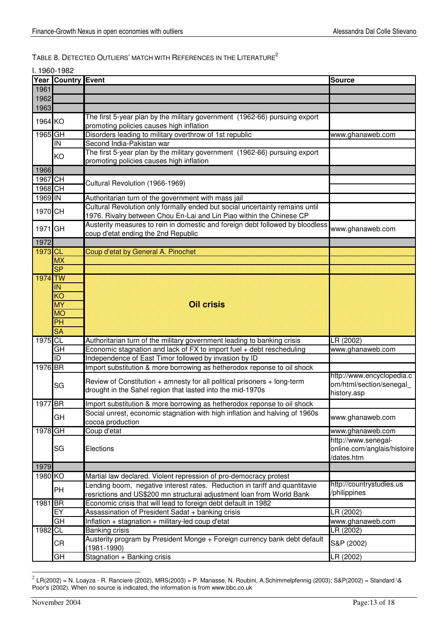TABLE 8. DETECTED OUTLIERS' MATCH WITH REFERENCES IN THE LITERATURE<sup>2</sup>

I. 1960-1982

|                 | Year Country Event       |                                                                                                                                                      | <b>Source</b>                                                    |
|-----------------|--------------------------|------------------------------------------------------------------------------------------------------------------------------------------------------|------------------------------------------------------------------|
| 1961            |                          |                                                                                                                                                      |                                                                  |
| 1962            |                          |                                                                                                                                                      |                                                                  |
| 1963            |                          |                                                                                                                                                      |                                                                  |
| 1964 KO         |                          | The first 5-year plan by the military government (1962-66) pursuing export<br>promoting policies causes high inflation                               |                                                                  |
| 1965 GH         |                          | Disorders leading to military overthrow of 1st republic                                                                                              | www.ghanaweb.com                                                 |
|                 | IN                       | Second India-Pakistan war                                                                                                                            |                                                                  |
|                 | KO                       | The first 5-year plan by the military government (1962-66) pursuing export<br>promoting policies causes high inflation                               |                                                                  |
| 1966            |                          |                                                                                                                                                      |                                                                  |
| 1967 CH         |                          | Cultural Revolution (1966-1969)                                                                                                                      |                                                                  |
| 1968 CH         |                          |                                                                                                                                                      |                                                                  |
| 1969 IN         |                          | Authoritarian turn of the government with mass jail                                                                                                  |                                                                  |
| 1970 CH         |                          | Cultural Revolution only formally ended but social uncertainty remains until<br>1976. Rivalry between Chou En-Lai and Lin Piao within the Chinese CP |                                                                  |
| 1971 GH         |                          | Austerity measures to rein in domestic and foreign debt followed by bloodless<br>coup d'etat ending the 2nd Republic                                 | www.ghanaweb.com                                                 |
| 1972            |                          |                                                                                                                                                      |                                                                  |
| 1973 CX         |                          | Coup d'etat by General A. Pinochet                                                                                                                   |                                                                  |
|                 | MX                       |                                                                                                                                                      |                                                                  |
|                 | S                        |                                                                                                                                                      |                                                                  |
| <b>1974 TWV</b> |                          |                                                                                                                                                      |                                                                  |
|                 | <b>XXX</b>               |                                                                                                                                                      |                                                                  |
|                 | KØ                       |                                                                                                                                                      |                                                                  |
|                 | <b>NAX</b>               | Oil crisis                                                                                                                                           |                                                                  |
|                 | MØ                       |                                                                                                                                                      |                                                                  |
|                 | <b>DA</b>                |                                                                                                                                                      |                                                                  |
|                 | SK                       |                                                                                                                                                      |                                                                  |
| 1975 CL         |                          | Authoritarian turn of the military government leading to banking crisis                                                                              | LR (2002)                                                        |
|                 | GH                       | Economic stagnation and lack of FX to import fuel + debt rescheduling                                                                                | www.ghanaweb.com                                                 |
|                 | $\overline{\mathsf{ID}}$ | Independence of East Timor followed by invasion by ID                                                                                                |                                                                  |
| 1976 BR         |                          | Import substitution & more borrowing as hetherodox reponse to oil shock                                                                              | http://www.encyclopedia.c                                        |
|                 | SG                       | Review of Constitution + amnesty for all political prisoners + long-term<br>drought in the Sahel region that lasted into the mid-1970s               | om/html/section/senegal<br>history.asp                           |
| 1977 BR         |                          | Import substitution & more borrowing as hetherodox reponse to oil shock                                                                              |                                                                  |
|                 | GH                       | Social unrest, economic stagnation with high inflation and halving of 1960s<br>cocoa production                                                      | www.ghanaweb.com                                                 |
| 1978 GH         |                          | Coup d'etat                                                                                                                                          | www.ghanaweb.com                                                 |
|                 | SG                       | Elections                                                                                                                                            | http://www.senegal-<br>online.com/anglais/histoire<br>/dates.htm |
| 1979            |                          |                                                                                                                                                      |                                                                  |
| 1980 KO         |                          | Martial law declared. Violent repression of pro-democracy protest                                                                                    |                                                                  |
|                 | PH                       | Lending boom, negative interest rates. Reduction in tariff and quantitavie<br>resrictions and US\$200 mn structural adjustment loan from World Bank  | http://countrystudies.us<br>/philippines                         |
| 1981 BR         |                          | Economic crisis that will lead to foreign debt default in 1982                                                                                       |                                                                  |
|                 | EY                       | Assassination of President Sadat + banking crisis                                                                                                    | LR (2002)                                                        |
|                 | $\overline{GH}$          | Inflation + stagnation + military-led coup d'etat                                                                                                    | www.ghanaweb.com                                                 |
| 1982 CL         |                          | Banking crisis                                                                                                                                       | LR (2002)                                                        |
|                 | CR                       | Austerity program by President Monge + Foreign currency bank debt default<br>(1981-1990)                                                             | S&P (2002)                                                       |
|                 | GH                       | Stagnation + Banking crisis                                                                                                                          | LR (2002)                                                        |

 $^2$  LR(2002) = N. Loayza - R. Ranciere (2002), MRS(2003) = P. Manasse, N. Roubini, A.Schimmelpfennig (2003); S&P(2002) = Standard \& Poor's (2002). When no source is indicated, the information is from www.bbc.co.uk

-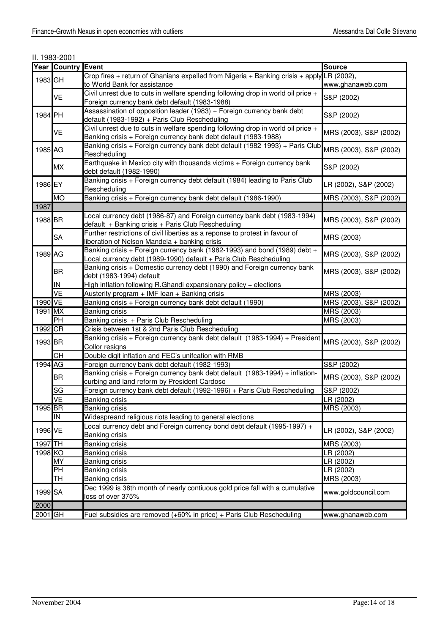II. 1983-2001

|         | <b>Year Country Event</b>      |                                                                                                             | <b>Source</b>          |
|---------|--------------------------------|-------------------------------------------------------------------------------------------------------------|------------------------|
| 1983 GH |                                | Crop fires + return of Ghanians expelled from Nigeria + Banking crisis + apply LR (2002),                   |                        |
|         |                                | to World Bank for assistance                                                                                | www.ghanaweb.com       |
|         | VE                             | Civil unrest due to cuts in welfare spending following drop in world oil price +                            | S&P (2002)             |
|         |                                | Foreign currency bank debt default (1983-1988)                                                              |                        |
| 1984 PH |                                | Assassination of opposition leader (1983) + Foreign currency bank debt                                      | S&P (2002)             |
|         |                                | default (1983-1992) + Paris Club Rescheduling                                                               |                        |
|         | VE                             | Civil unrest due to cuts in welfare spending following drop in world oil price +                            | MRS (2003), S&P (2002) |
|         |                                | Banking crisis + Foreign currency bank debt default (1983-1988)                                             |                        |
| 1985 AG |                                | Banking crisis + Foreign currency bank debt default (1982-1993) + Paris Club MRS (2003), S&P (2002)         |                        |
|         |                                | Rescheduling<br>Earthquake in Mexico city with thousands victims + Foreign currency bank                    |                        |
|         | <b>MX</b>                      | debt default (1982-1990)                                                                                    | S&P (2002)             |
|         |                                | Banking crisis + Foreign currency debt default (1984) leading to Paris Club                                 |                        |
| 1986 EY |                                | Rescheduling                                                                                                | LR (2002), S&P (2002)  |
|         | <b>MO</b>                      | Banking crisis + Foreign currency bank debt default (1986-1990)                                             | MRS (2003), S&P (2002) |
| 1987    |                                |                                                                                                             |                        |
|         |                                | Local currency debt (1986-87) and Foreign currency bank debt (1983-1994)                                    |                        |
| 1988 BR |                                | default + Banking crisis + Paris Club Rescheduling                                                          | MRS (2003), S&P (2002) |
|         | <b>SA</b>                      | Further restrictions of civil liberties as a reponse to protest in favour of                                | MRS (2003)             |
|         |                                | liberation of Nelson Mandela + banking crisis                                                               |                        |
| 1989 AG |                                | Banking crisis + Foreign currency bank (1982-1993) and bond (1989) debt +                                   | MRS (2003), S&P (2002) |
|         |                                | Local currency debt (1989-1990) default + Paris Club Rescheduling                                           |                        |
|         | <b>BR</b>                      | Banking crisis + Domestic currency debt (1990) and Foreign currency bank                                    | MRS (2003), S&P (2002) |
|         |                                | debt (1983-1994) default                                                                                    |                        |
|         | IN<br>$\overline{\mathsf{VE}}$ | High inflation following R.Ghandi expansionary policy + elections                                           | MRS (2003)             |
| 1990 VE |                                | Austerity program + IMF loan + Banking crisis<br>Banking crisis + Foreign currency bank debt default (1990) | MRS (2003), S&P (2002) |
| 1991 MX |                                | <b>Banking crisis</b>                                                                                       | MRS (2003)             |
|         | PH                             | Banking crisis + Paris Club Rescheduling                                                                    | MRS (2003)             |
| 1992 CR |                                | Crisis between 1st & 2nd Paris Club Rescheduling                                                            |                        |
|         |                                | Banking crisis + Foreign currency bank debt default (1983-1994) + President MRS (2003), S&P (2002)          |                        |
| 1993 BR |                                | Collor resigns                                                                                              |                        |
|         | <b>CH</b>                      | Double digit inflation and FEC's unifcation with RMB                                                        |                        |
| 1994 AG |                                | Foreign currency bank debt default (1982-1993)                                                              | S&P (2002)             |
|         | <b>BR</b>                      | Banking crisis + Foreign currency bank debt default (1983-1994) + inflation-                                | MRS (2003), S&P (2002) |
|         |                                | curbing and land reform by President Cardoso                                                                |                        |
|         | SG                             | Foreign currency bank debt default (1992-1996) + Paris Club Rescheduling                                    | S&P (2002)             |
|         | <b>VE</b>                      | Banking crisis                                                                                              | LR(2002)               |
| 1995 BR |                                | Banking crisis                                                                                              | MRS (2003)             |
|         | IN                             | Widespreand religious riots leading to general elections                                                    |                        |
| 1996 VE |                                | Local currency debt and Foreign currency bond debt default (1995-1997) +                                    | LR (2002), S&P (2002)  |
|         |                                | <b>Banking crisis</b>                                                                                       |                        |
| 1997 TH |                                | <b>Banking crisis</b>                                                                                       | MRS (2003)             |
| 1998 KO |                                | <b>Banking crisis</b>                                                                                       | LR(2002)               |
|         | <b>MY</b><br>PН                | <b>Banking crisis</b><br><b>Banking crisis</b>                                                              | LR (2002)<br>LR (2002) |
|         | TН                             | <b>Banking crisis</b>                                                                                       | MRS (2003)             |
|         |                                | Dec 1999 is 38th month of nearly contiuous gold price fall with a cumulative                                |                        |
| 1999 SA |                                | loss of over 375%                                                                                           | www.goldcouncil.com    |
| 2000    |                                |                                                                                                             |                        |
| 2001 GH |                                | Fuel subsidies are removed (+60% in price) + Paris Club Rescheduling                                        | www.ghanaweb.com       |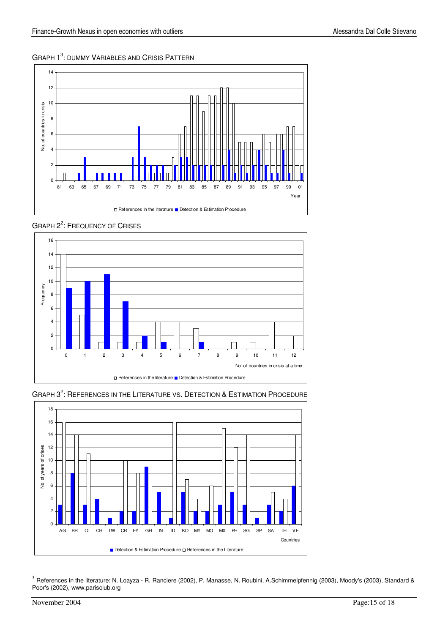# GRAPH 1<sup>3</sup>: DUMMY VARIABLES AND CRISIS PATTERN





GRAPH  $3^2$ : REFERENCES IN THE LITERATURE VS. DETECTION & ESTIMATION PROCEDURE



 $3$  References in the literature: N. Loayza - R. Ranciere (2002), P. Manasse, N. Roubini, A.Schimmelpfennig (2003), Moody's (2003), Standard & Poor's (2002), www.parisclub.org

-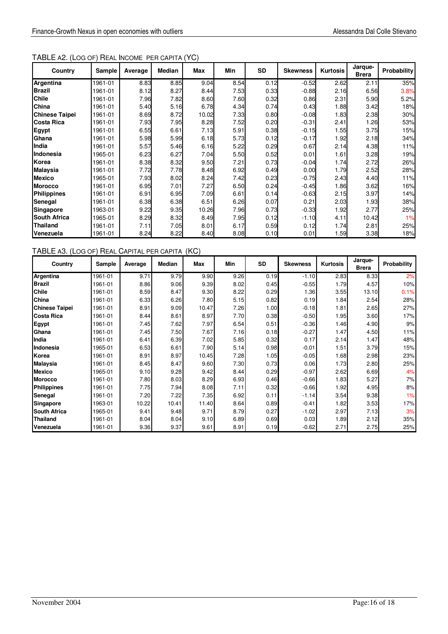| Country               | Sample  | Average | <b>Median</b> | <b>Max</b> | <b>Min</b> | SD   | <b>Skewness</b> | Kurtosis | Jarque-<br><b>Brera</b> | <b>Probability</b> |
|-----------------------|---------|---------|---------------|------------|------------|------|-----------------|----------|-------------------------|--------------------|
| Argentina             | 1961-01 | 8.83    | 8.85          | 9.04       | 8.54       | 0.12 | $-0.52$         | 2.62     | 2.11                    | 35%                |
| <b>Brazil</b>         | 1961-01 | 8.12    | 8.27          | 8.44       | 7.53       | 0.33 | $-0.88$         | 2.16     | 6.56                    | 3.8%               |
| <b>Chile</b>          | 1961-01 | 7.96    | 7.82          | 8.60       | 7.60       | 0.32 | 0.86            | 2.31     | 5.90                    | 5.2%               |
| China                 | 1961-01 | 5.40    | 5.16          | 6.78       | 4.34       | 0.74 | 0.43            | 1.88     | 3.42                    | 18%                |
| <b>Chinese Taipei</b> | 1961-01 | 8.69    | 8.72          | 10.02      | 7.33       | 0.80 | $-0.08$         | 1.83     | 2.38                    | 30%                |
| <b>Costa Rica</b>     | 1961-01 | 7.93    | 7.95          | 8.28       | 7.52       | 0.20 | $-0.31$         | 2.41     | 1.26                    | 53%                |
| <b>Egypt</b>          | 1961-01 | 6.55    | 6.61          | 7.13       | 5.91       | 0.38 | $-0.15$         | 1.55     | 3.75                    | 15%                |
| Ghana                 | 1961-01 | 5.98    | 5.99          | 6.18       | 5.73       | 0.12 | $-0.17$         | 1.92     | 2.18                    | 34%                |
| India                 | 1961-01 | 5.57    | 5.46          | 6.16       | 5.22       | 0.29 | 0.67            | 2.14     | 4.38                    | 11%                |
| Indonesia             | 1965-01 | 6.23    | 6.27          | 7.04       | 5.50       | 0.52 | 0.01            | 1.61     | 3.28                    | 19%                |
| Korea                 | 1961-01 | 8.38    | 8.32          | 9.50       | 7.21       | 0.73 | $-0.04$         | 1.74     | 2.72                    | 26%                |
| Malaysia              | 1961-01 | 7.72    | 7.78          | 8.48       | 6.92       | 0.49 | 0.00            | 1.79     | 2.52                    | 28%                |
| <b>Mexico</b>         | 1965-01 | 7.93    | 8.02          | 8.24       | 7.42       | 0.23 | $-0.75$         | 2.43     | 4.40                    | 11%                |
| <b>Morocco</b>        | 1961-01 | 6.95    | 7.01          | 7.27       | 6.50       | 0.24 | $-0.45$         | 1.86     | 3.62                    | 16%                |
| Philippines           | 1961-01 | 6.91    | 6.95          | 7.09       | 6.61       | 0.14 | $-0.63$         | 2.15     | 3.97                    | 14%                |
| Senegal               | 1961-01 | 6.38    | 6.38          | 6.51       | 6.26       | 0.07 | 0.21            | 2.03     | 1.93                    | 38%                |
| <b>Singapore</b>      | 1963-01 | 9.22    | 9.35          | 10.26      | 7.96       | 0.73 | $-0.33$         | 1.92     | 2.77                    | 25%                |
| <b>South Africa</b>   | 1965-01 | 8.29    | 8.32          | 8.49       | 7.95       | 0.12 | $-1.10$         | 4.11     | 10.42                   | 1%                 |
| <b>Thailand</b>       | 1961-01 | 7.11    | 7.05          | 8.01       | 6.17       | 0.59 | 0.12            | 1.74     | 2.81                    | 25%                |
| Venezuela             | 1961-01 | 8.24    | 8.22          | 8.40       | 8.08       | 0.10 | 0.01            | 1.59     | 3.38                    | 18%                |

# TABLE A3. (LOG OF) REAL CAPITAL PER CAPITA (KC)

| Country               | Sample  | Average | Median | <b>Max</b> | Min  | <b>SD</b> | <b>Skewness</b> | <b>Kurtosis</b> | Jarque-<br><b>Brera</b> | Probability |
|-----------------------|---------|---------|--------|------------|------|-----------|-----------------|-----------------|-------------------------|-------------|
| Argentina             | 1961-01 | 9.71    | 9.79   | 9.90       | 9.26 | 0.19      | $-1.10$         | 2.83            | 8.33                    | 2%          |
| <b>Brazil</b>         | 1961-01 | 8.86    | 9.06   | 9.39       | 8.02 | 0.45      | $-0.55$         | 1.79            | 4.57                    | 10%         |
| <b>Chile</b>          | 1961-01 | 8.59    | 8.47   | 9.30       | 8.22 | 0.29      | 1.36            | 3.55            | 13.10                   | 0.1%        |
| China                 | 1961-01 | 6.33    | 6.26   | 7.80       | 5.15 | 0.82      | 0.19            | 1.84            | 2.54                    | 28%         |
| <b>Chinese Taipei</b> | 1961-01 | 8.91    | 9.09   | 10.47      | 7.26 | 1.00      | $-0.18$         | 1.81            | 2.65                    | 27%         |
| Costa Rica            | 1961-01 | 8.44    | 8.61   | 8.97       | 7.70 | 0.38      | $-0.50$         | 1.95            | 3.60                    | 17%         |
| Egypt                 | 1961-01 | 7.45    | 7.62   | 7.97       | 6.54 | 0.51      | $-0.36$         | 1.46            | 4.90                    | 9%          |
| Ghana                 | 1961-01 | 7.45    | 7.50   | 7.67       | 7.16 | 0.18      | $-0.27$         | 1.47            | 4.50                    | 11%         |
| India                 | 1961-01 | 6.41    | 6.39   | 7.02       | 5.85 | 0.32      | 0.17            | 2.14            | 1.47                    | 48%         |
| Indonesia             | 1965-01 | 6.53    | 6.61   | 7.90       | 5.14 | 0.98      | $-0.01$         | 1.51            | 3.79                    | 15%         |
| Korea                 | 1961-01 | 8.91    | 8.97   | 10.45      | 7.28 | 1.05      | $-0.05$         | 1.68            | 2.98                    | 23%         |
| <b>Malaysia</b>       | 1961-01 | 8.45    | 8.47   | 9.60       | 7.30 | 0.73      | 0.06            | 1.73            | 2.80                    | 25%         |
| <b>Mexico</b>         | 1965-01 | 9.10    | 9.28   | 9.42       | 8.44 | 0.29      | $-0.97$         | 2.62            | 6.69                    | 4%          |
| <b>Morocco</b>        | 1961-01 | 7.80    | 8.03   | 8.29       | 6.93 | 0.46      | $-0.66$         | 1.83            | 5.27                    | 7%          |
| <b>Philippines</b>    | 1961-01 | 7.75    | 7.94   | 8.08       | 7.11 | 0.32      | $-0.66$         | 1.92            | 4.95                    | 8%          |
| Senegal               | 1961-01 | 7.20    | 7.22   | 7.35       | 6.92 | 0.11      | $-1.14$         | 3.54            | 9.38                    | 1%          |
| Singapore             | 1963-01 | 10.22   | 10.41  | 11.40      | 8.64 | 0.89      | $-0.41$         | 1.82            | 3.53                    | 17%         |
| <b>South Africa</b>   | 1965-01 | 9.41    | 9.48   | 9.71       | 8.79 | 0.27      | $-1.02$         | 2.97            | 7.13                    | 3%          |
| <b>Thailand</b>       | 1961-01 | 8.04    | 8.04   | 9.10       | 6.89 | 0.69      | 0.03            | 1.89            | 2.12                    | 35%         |
| Venezuela             | 1961-01 | 9.36    | 9.37   | 9.61       | 8.91 | 0.19      | $-0.62$         | 2.71            | 2.75                    | 25%         |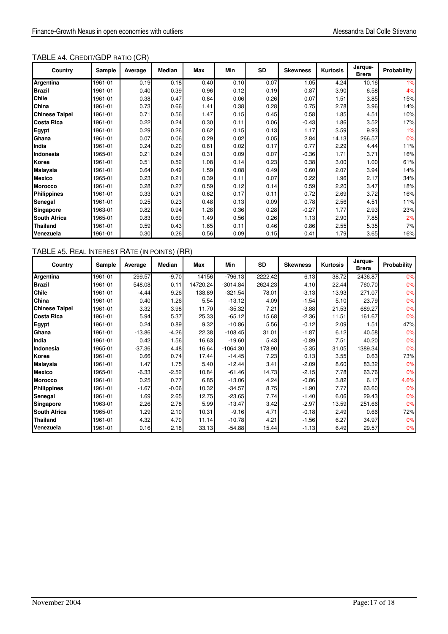# TABLE A4. CREDIT/GDP RATIO (CR)

| Country               | Sample  | Average | <b>Median</b> | Max  | Min  | <b>SD</b> | <b>Skewness</b> | Kurtosis | Jarque-<br><b>Brera</b> | Probability |
|-----------------------|---------|---------|---------------|------|------|-----------|-----------------|----------|-------------------------|-------------|
| Argentina             | 1961-01 | 0.19    | 0.18          | 0.40 | 0.10 | 0.07      | 1.05            | 4.24     | 10.16                   | 1%          |
| <b>Brazil</b>         | 1961-01 | 0.40    | 0.39          | 0.96 | 0.12 | 0.19      | 0.87            | 3.90     | 6.58                    | 4%          |
| <b>Chile</b>          | 1961-01 | 0.38    | 0.47          | 0.84 | 0.06 | 0.26      | 0.07            | 1.51     | 3.85                    | 15%         |
| China                 | 1961-01 | 0.73    | 0.66          | 1.41 | 0.38 | 0.28      | 0.75            | 2.78     | 3.96                    | 14%         |
| <b>Chinese Taipei</b> | 1961-01 | 0.71    | 0.56          | 1.47 | 0.15 | 0.45      | 0.58            | 1.85     | 4.51                    | 10%         |
| Costa Rica            | 1961-01 | 0.22    | 0.24          | 0.30 | 0.11 | 0.06      | $-0.43$         | 1.86     | 3.52                    | 17%         |
| Egypt                 | 1961-01 | 0.29    | 0.26          | 0.62 | 0.15 | 0.13      | 1.17            | 3.59     | 9.93                    | 1%          |
| Ghana                 | 1961-01 | 0.07    | 0.06          | 0.29 | 0.02 | 0.05      | 2.84            | 14.13    | 266.57                  | 0%          |
| India                 | 1961-01 | 0.24    | 0.20          | 0.61 | 0.02 | 0.17      | 0.77            | 2.29     | 4.44                    | 11%         |
| Indonesia             | 1965-01 | 0.21    | 0.24          | 0.31 | 0.09 | 0.07      | $-0.36$         | 1.71     | 3.71                    | 16%         |
| Korea                 | 1961-01 | 0.51    | 0.52          | 1.08 | 0.14 | 0.23      | 0.38            | 3.00     | 1.00                    | 61%         |
| <b>Malaysia</b>       | 1961-01 | 0.64    | 0.49          | 1.59 | 0.08 | 0.49      | 0.60            | 2.07     | 3.94                    | 14%         |
| <b>Mexico</b>         | 1965-01 | 0.23    | 0.21          | 0.39 | 0.11 | 0.07      | 0.22            | 1.96     | 2.17                    | 34%         |
| <b>Morocco</b>        | 1961-01 | 0.28    | 0.27          | 0.59 | 0.12 | 0.14      | 0.59            | 2.20     | 3.47                    | 18%         |
| <b>Philippines</b>    | 1961-01 | 0.33    | 0.31          | 0.62 | 0.17 | 0.11      | 0.72            | 2.69     | 3.72                    | 16%         |
| Senegal               | 1961-01 | 0.25    | 0.23          | 0.48 | 0.13 | 0.09      | 0.78            | 2.56     | 4.51                    | 11%         |
| Singapore             | 1963-01 | 0.82    | 0.94          | 1.28 | 0.36 | 0.28      | $-0.27$         | 1.77     | 2.93                    | 23%         |
| <b>South Africa</b>   | 1965-01 | 0.83    | 0.69          | 1.49 | 0.56 | 0.26      | 1.13            | 2.90     | 7.85                    | 2%          |
| <b>Thailand</b>       | 1961-01 | 0.59    | 0.43          | 1.65 | 0.11 | 0.46      | 0.86            | 2.55     | 5.35                    | 7%          |
| Venezuela             | 1961-01 | 0.30    | 0.26          | 0.56 | 0.09 | 0.15      | 0.41            | 1.79     | 3.65                    | 16%         |

# TABLE A5. REAL INTEREST RATE (IN POINTS) (RR)

| Country               | Sample  | Average  | Median  | Max      | Min        | SD      | <b>Skewness</b> | <b>Kurtosis</b> | Jarque-<br><b>Brera</b> | Probability |
|-----------------------|---------|----------|---------|----------|------------|---------|-----------------|-----------------|-------------------------|-------------|
| Argentina             | 1961-01 | 299.57   | $-9.70$ | 14156    | $-796.13$  | 2222.42 | 6.13            | 38.72           | 2436.87                 | 0%          |
| <b>Brazil</b>         | 1961-01 | 548.08   | 0.11    | 14720.24 | $-3014.84$ | 2624.23 | 4.10            | 22.44           | 760.70                  | 0%          |
| Chile                 | 1961-01 | $-4.44$  | 9.26    | 138.89   | $-321.54$  | 78.01   | $-3.13$         | 13.93           | 271.07                  | 0%          |
| China                 | 1961-01 | 0.40     | 1.26    | 5.54     | $-13.12$   | 4.09    | $-1.54$         | 5.10            | 23.79                   | 0%          |
| <b>Chinese Taipei</b> | 1961-01 | 3.32     | 3.98    | 11.70    | $-35.32$   | 7.21    | $-3.88$         | 21.53           | 689.27                  | 0%          |
| <b>Costa Rica</b>     | 1961-01 | 5.94     | 5.37    | 25.33    | $-65.12$   | 15.68   | $-2.36$         | 11.51           | 161.67                  | 0%          |
| Egypt                 | 1961-01 | 0.24     | 0.89    | 9.32     | $-10.86$   | 5.56    | $-0.12$         | 2.09            | 1.51                    | 47%         |
| Ghana                 | 1961-01 | $-13.86$ | $-4.26$ | 22.38    | $-108.45$  | 31.01   | $-1.87$         | 6.12            | 40.58                   | 0%          |
| India                 | 1961-01 | 0.42     | 1.56    | 16.63    | $-19.60$   | 5.43    | $-0.89$         | 7.51            | 40.20                   | 0%          |
| Indonesia             | 1965-01 | $-37.36$ | 4.48    | 16.64    | $-1064.30$ | 178.90  | $-5.35$         | 31.05           | 1389.34                 | 0%          |
| Korea                 | 1961-01 | 0.66     | 0.74    | 17.44    | $-14.45$   | 7.23    | 0.13            | 3.55            | 0.63                    | 73%         |
| <b>Malaysia</b>       | 1961-01 | 1.47     | 1.75    | 5.40     | $-12.44$   | 3.41    | $-2.09$         | 8.60            | 83.32                   | 0%          |
| <b>Mexico</b>         | 1965-01 | $-6.33$  | $-2.52$ | 10.84    | $-61.46$   | 14.73   | $-2.15$         | 7.78            | 63.76                   | 0%          |
| <b>Morocco</b>        | 1961-01 | 0.25     | 0.77    | 6.85     | $-13.06$   | 4.24    | $-0.86$         | 3.82            | 6.17                    | 4.6%        |
| <b>Philippines</b>    | 1961-01 | $-1.67$  | $-0.06$ | 10.32    | $-34.57$   | 8.75    | $-1.90$         | 7.77            | 63.60                   | 0%          |
| Senegal               | 1961-01 | 1.69     | 2.65    | 12.75    | $-23.65$   | 7.74    | $-1.40$         | 6.06            | 29.43                   | 0%          |
| Singapore             | 1963-01 | 2.26     | 2.78    | 5.99     | $-13.47$   | 3.42    | $-2.97$         | 13.59           | 251.66                  | 0%          |
| <b>South Africa</b>   | 1965-01 | 1.29     | 2.10    | 10.31    | $-9.16$    | 4.71    | $-0.18$         | 2.49            | 0.66                    | 72%         |
| <b>Thailand</b>       | 1961-01 | 4.32     | 4.70    | 11.14    | $-10.78$   | 4.21    | $-1.56$         | 6.27            | 34.97                   | 0%          |
| Venezuela             | 1961-01 | 0.16     | 2.18    | 33.13    | $-54.88$   | 15.44   | $-1.13$         | 6.49            | 29.57                   | 0%          |